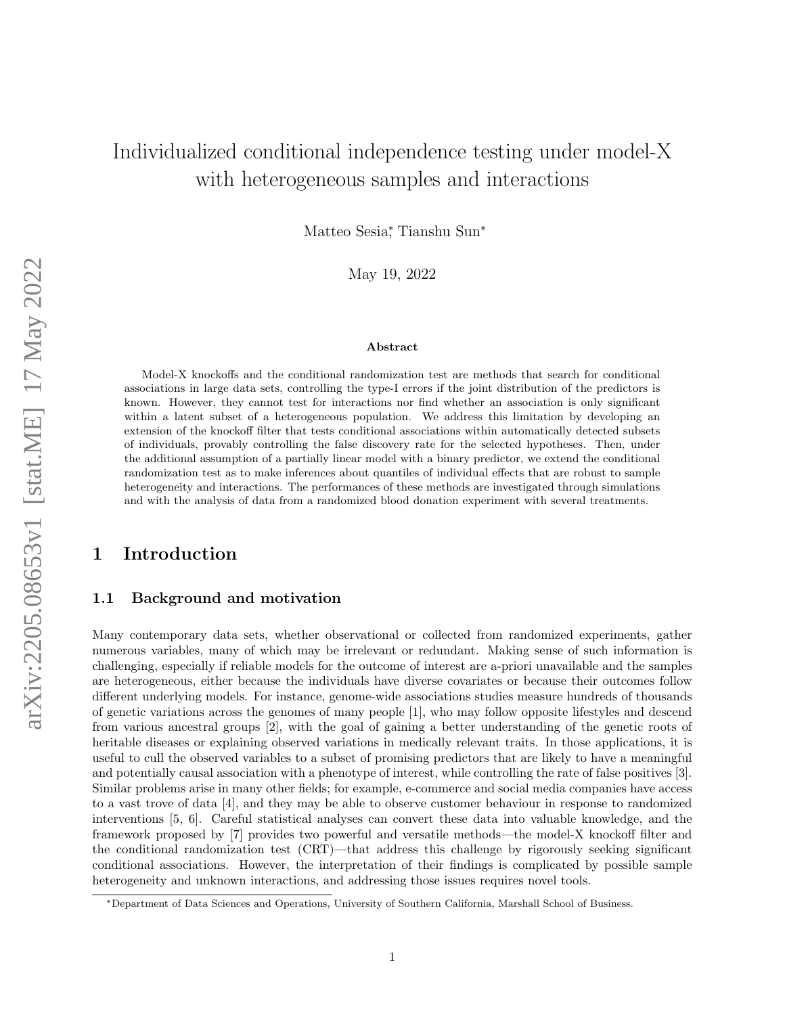# Individualized conditional independence testing under model-X with heterogeneous samples and interactions

Matteo Sesia<sup>\*</sup>, Tianshu Sun<sup>\*</sup>

May 19, 2022

#### Abstract

Model-X knockoffs and the conditional randomization test are methods that search for conditional associations in large data sets, controlling the type-I errors if the joint distribution of the predictors is known. However, they cannot test for interactions nor find whether an association is only significant within a latent subset of a heterogeneous population. We address this limitation by developing an extension of the knockoff filter that tests conditional associations within automatically detected subsets of individuals, provably controlling the false discovery rate for the selected hypotheses. Then, under the additional assumption of a partially linear model with a binary predictor, we extend the conditional randomization test as to make inferences about quantiles of individual effects that are robust to sample heterogeneity and interactions. The performances of these methods are investigated through simulations and with the analysis of data from a randomized blood donation experiment with several treatments.

# 1 Introduction

#### 1.1 Background and motivation

Many contemporary data sets, whether observational or collected from randomized experiments, gather numerous variables, many of which may be irrelevant or redundant. Making sense of such information is challenging, especially if reliable models for the outcome of interest are a-priori unavailable and the samples are heterogeneous, either because the individuals have diverse covariates or because their outcomes follow different underlying models. For instance, genome-wide associations studies measure hundreds of thousands of genetic variations across the genomes of many people [1], who may follow opposite lifestyles and descend from various ancestral groups [2], with the goal of gaining a better understanding of the genetic roots of heritable diseases or explaining observed variations in medically relevant traits. In those applications, it is useful to cull the observed variables to a subset of promising predictors that are likely to have a meaningful and potentially causal association with a phenotype of interest, while controlling the rate of false positives [3]. Similar problems arise in many other fields; for example, e-commerce and social media companies have access to a vast trove of data [4], and they may be able to observe customer behaviour in response to randomized interventions [5, 6]. Careful statistical analyses can convert these data into valuable knowledge, and the framework proposed by [7] provides two powerful and versatile methods—the model-X knockoff filter and the conditional randomization test (CRT)—that address this challenge by rigorously seeking significant conditional associations. However, the interpretation of their findings is complicated by possible sample heterogeneity and unknown interactions, and addressing those issues requires novel tools.

<sup>∗</sup>Department of Data Sciences and Operations, University of Southern California, Marshall School of Business.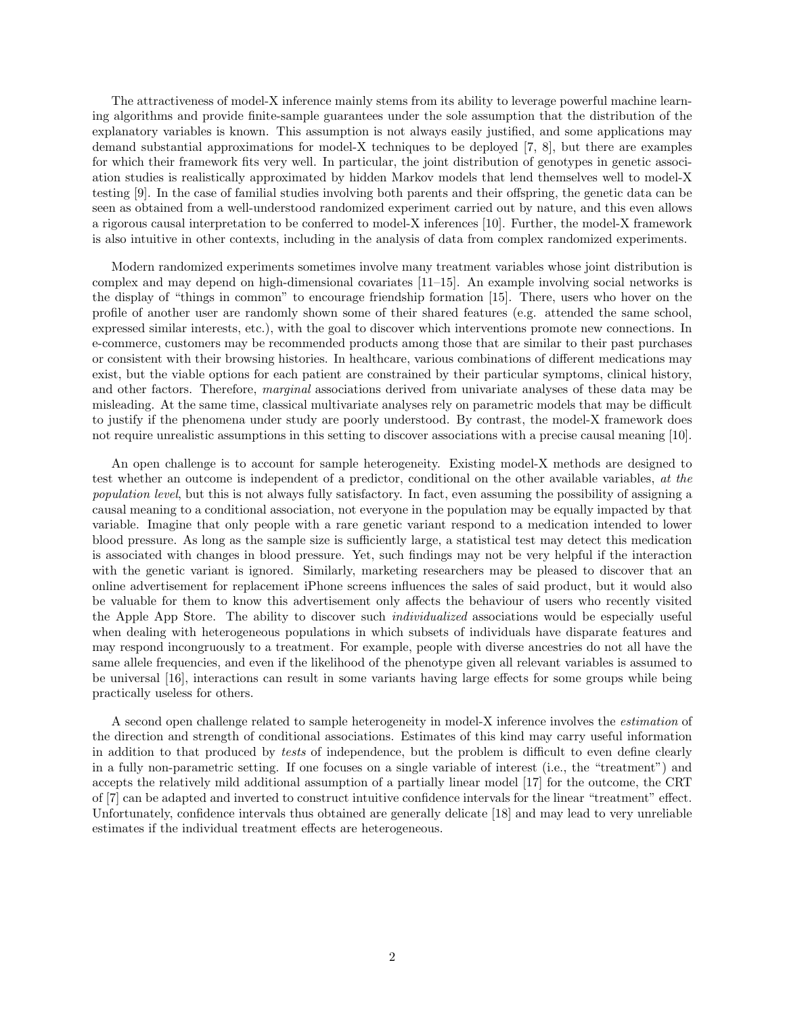The attractiveness of model-X inference mainly stems from its ability to leverage powerful machine learning algorithms and provide finite-sample guarantees under the sole assumption that the distribution of the explanatory variables is known. This assumption is not always easily justified, and some applications may demand substantial approximations for model-X techniques to be deployed [7, 8], but there are examples for which their framework fits very well. In particular, the joint distribution of genotypes in genetic association studies is realistically approximated by hidden Markov models that lend themselves well to model-X testing [9]. In the case of familial studies involving both parents and their offspring, the genetic data can be seen as obtained from a well-understood randomized experiment carried out by nature, and this even allows a rigorous causal interpretation to be conferred to model-X inferences [10]. Further, the model-X framework is also intuitive in other contexts, including in the analysis of data from complex randomized experiments.

Modern randomized experiments sometimes involve many treatment variables whose joint distribution is complex and may depend on high-dimensional covariates [11–15]. An example involving social networks is the display of "things in common" to encourage friendship formation [15]. There, users who hover on the profile of another user are randomly shown some of their shared features (e.g. attended the same school, expressed similar interests, etc.), with the goal to discover which interventions promote new connections. In e-commerce, customers may be recommended products among those that are similar to their past purchases or consistent with their browsing histories. In healthcare, various combinations of different medications may exist, but the viable options for each patient are constrained by their particular symptoms, clinical history, and other factors. Therefore, *marginal* associations derived from univariate analyses of these data may be misleading. At the same time, classical multivariate analyses rely on parametric models that may be difficult to justify if the phenomena under study are poorly understood. By contrast, the model-X framework does not require unrealistic assumptions in this setting to discover associations with a precise causal meaning [10].

An open challenge is to account for sample heterogeneity. Existing model-X methods are designed to test whether an outcome is independent of a predictor, conditional on the other available variables, at the population level, but this is not always fully satisfactory. In fact, even assuming the possibility of assigning a causal meaning to a conditional association, not everyone in the population may be equally impacted by that variable. Imagine that only people with a rare genetic variant respond to a medication intended to lower blood pressure. As long as the sample size is sufficiently large, a statistical test may detect this medication is associated with changes in blood pressure. Yet, such findings may not be very helpful if the interaction with the genetic variant is ignored. Similarly, marketing researchers may be pleased to discover that an online advertisement for replacement iPhone screens influences the sales of said product, but it would also be valuable for them to know this advertisement only affects the behaviour of users who recently visited the Apple App Store. The ability to discover such individualized associations would be especially useful when dealing with heterogeneous populations in which subsets of individuals have disparate features and may respond incongruously to a treatment. For example, people with diverse ancestries do not all have the same allele frequencies, and even if the likelihood of the phenotype given all relevant variables is assumed to be universal [16], interactions can result in some variants having large effects for some groups while being practically useless for others.

A second open challenge related to sample heterogeneity in model-X inference involves the estimation of the direction and strength of conditional associations. Estimates of this kind may carry useful information in addition to that produced by tests of independence, but the problem is difficult to even define clearly in a fully non-parametric setting. If one focuses on a single variable of interest (i.e., the "treatment") and accepts the relatively mild additional assumption of a partially linear model [17] for the outcome, the CRT of [7] can be adapted and inverted to construct intuitive confidence intervals for the linear "treatment" effect. Unfortunately, confidence intervals thus obtained are generally delicate [18] and may lead to very unreliable estimates if the individual treatment effects are heterogeneous.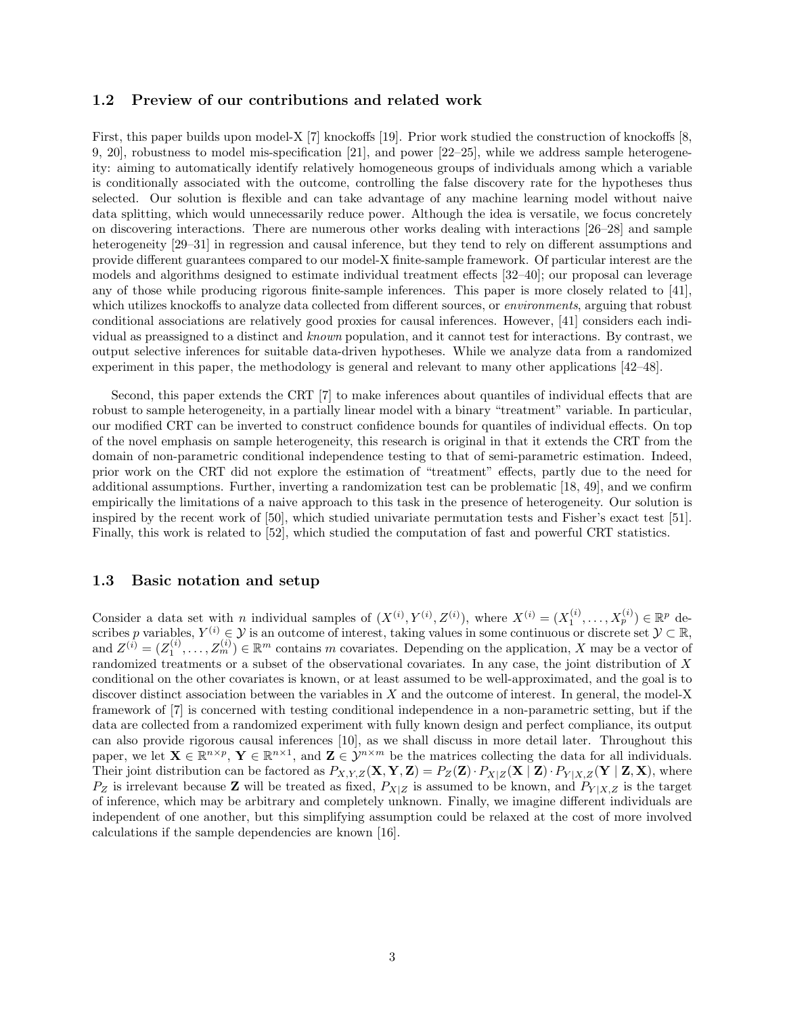#### 1.2 Preview of our contributions and related work

First, this paper builds upon model-X [7] knockoffs [19]. Prior work studied the construction of knockoffs [8, 9, 20], robustness to model mis-specification [21], and power [22–25], while we address sample heterogeneity: aiming to automatically identify relatively homogeneous groups of individuals among which a variable is conditionally associated with the outcome, controlling the false discovery rate for the hypotheses thus selected. Our solution is flexible and can take advantage of any machine learning model without naive data splitting, which would unnecessarily reduce power. Although the idea is versatile, we focus concretely on discovering interactions. There are numerous other works dealing with interactions [26–28] and sample heterogeneity  $[29-31]$  in regression and causal inference, but they tend to rely on different assumptions and provide different guarantees compared to our model-X finite-sample framework. Of particular interest are the models and algorithms designed to estimate individual treatment effects [32–40]; our proposal can leverage any of those while producing rigorous finite-sample inferences. This paper is more closely related to [41], which utilizes knockoffs to analyze data collected from different sources, or *environments*, arguing that robust conditional associations are relatively good proxies for causal inferences. However, [41] considers each individual as preassigned to a distinct and known population, and it cannot test for interactions. By contrast, we output selective inferences for suitable data-driven hypotheses. While we analyze data from a randomized experiment in this paper, the methodology is general and relevant to many other applications [42–48].

Second, this paper extends the CRT [7] to make inferences about quantiles of individual effects that are robust to sample heterogeneity, in a partially linear model with a binary "treatment" variable. In particular, our modified CRT can be inverted to construct confidence bounds for quantiles of individual effects. On top of the novel emphasis on sample heterogeneity, this research is original in that it extends the CRT from the domain of non-parametric conditional independence testing to that of semi-parametric estimation. Indeed, prior work on the CRT did not explore the estimation of "treatment" effects, partly due to the need for additional assumptions. Further, inverting a randomization test can be problematic [18, 49], and we confirm empirically the limitations of a naive approach to this task in the presence of heterogeneity. Our solution is inspired by the recent work of [50], which studied univariate permutation tests and Fisher's exact test [51]. Finally, this work is related to [52], which studied the computation of fast and powerful CRT statistics.

#### <span id="page-2-0"></span>1.3 Basic notation and setup

Consider a data set with *n* individual samples of  $(X^{(i)}, Y^{(i)}, Z^{(i)})$ , where  $X^{(i)} = (X_1^{(i)}, \ldots, X_p^{(i)}) \in \mathbb{R}^p$  describes p variables,  $Y^{(i)} \in \mathcal{Y}$  is an outcome of interest, taking values in some continuous or discrete set  $\mathcal{Y} \subset \mathbb{R}$ , and  $Z^{(i)} = (Z_1^{(i)}, \ldots, Z_m^{(i)}) \in \mathbb{R}^m$  contains m covariates. Depending on the application, X may be a vector of randomized treatments or a subset of the observational covariates. In any case, the joint distribution of X conditional on the other covariates is known, or at least assumed to be well-approximated, and the goal is to discover distinct association between the variables in  $X$  and the outcome of interest. In general, the model-X framework of [7] is concerned with testing conditional independence in a non-parametric setting, but if the data are collected from a randomized experiment with fully known design and perfect compliance, its output can also provide rigorous causal inferences [10], as we shall discuss in more detail later. Throughout this paper, we let  $\mathbf{X} \in \mathbb{R}^{n \times p}$ ,  $\mathbf{Y} \in \mathbb{R}^{n \times 1}$ , and  $\mathbf{Z} \in \mathcal{Y}^{n \times m}$  be the matrices collecting the data for all individuals. Their joint distribution can be factored as  $P_{X,Y,Z}(\mathbf{X}, \mathbf{Y}, \mathbf{Z}) = P_Z(\mathbf{Z}) \cdot P_{X|Z}(\mathbf{X} | \mathbf{Z}) \cdot P_{Y|X,Z}(\mathbf{Y} | \mathbf{Z}, \mathbf{X})$ , where  $P_Z$  is irrelevant because **Z** will be treated as fixed,  $P_{X|Z}$  is assumed to be known, and  $P_{Y|X,Z}$  is the target of inference, which may be arbitrary and completely unknown. Finally, we imagine different individuals are independent of one another, but this simplifying assumption could be relaxed at the cost of more involved calculations if the sample dependencies are known [16].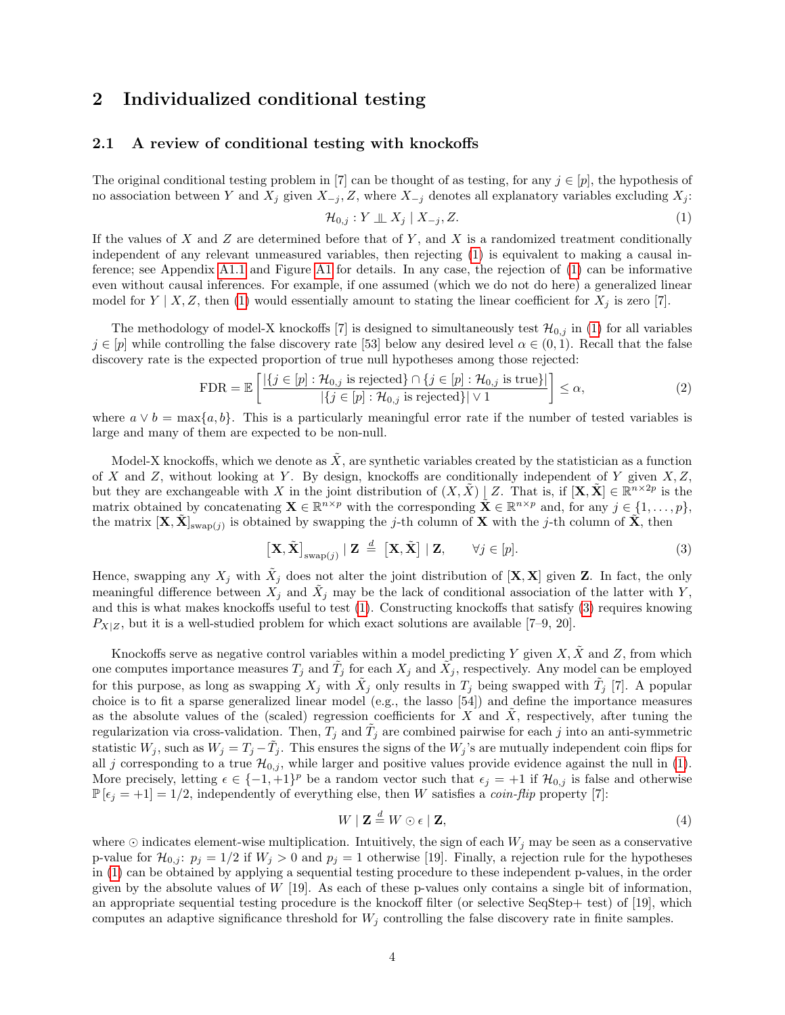## <span id="page-3-5"></span>2 Individualized conditional testing

#### <span id="page-3-2"></span>2.1 A review of conditional testing with knockoffs

The original conditional testing problem in [7] can be thought of as testing, for any  $j \in [p]$ , the hypothesis of no association between Y and  $X_j$  given  $X_{-j}$ , Z, where  $X_{-j}$  denotes all explanatory variables excluding  $X_j$ :

<span id="page-3-4"></span><span id="page-3-0"></span>
$$
\mathcal{H}_{0,j}: Y \perp \!\!\!\perp X_j \mid X_{-j}, Z. \tag{1}
$$

If the values of X and Z are determined before that of Y, and X is a randomized treatment conditionally independent of any relevant unmeasured variables, then rejecting [\(1\)](#page-3-0) is equivalent to making a causal inference; see Appendix [A1.1](#page-27-0) and Figure [A1](#page-6-0) for details. In any case, the rejection of [\(1\)](#page-3-0) can be informative even without causal inferences. For example, if one assumed (which we do not do here) a generalized linear model for  $Y \mid X, Z$ , then [\(1\)](#page-3-0) would essentially amount to stating the linear coefficient for  $X_j$  is zero [7].

The methodology of model-X knockoffs [7] is designed to simultaneously test  $\mathcal{H}_{0,j}$  in [\(1\)](#page-3-0) for all variables  $j \in [p]$  while controlling the false discovery rate [53] below any desired level  $\alpha \in (0,1)$ . Recall that the false discovery rate is the expected proportion of true null hypotheses among those rejected:

$$
\text{FDR} = \mathbb{E}\left[\frac{|\{j \in [p] : \mathcal{H}_{0,j} \text{ is rejected}\}\cap \{j \in [p] : \mathcal{H}_{0,j} \text{ is true}\}|}{|\{j \in [p] : \mathcal{H}_{0,j} \text{ is rejected}\}|\vee 1}\right] \le \alpha,
$$
\n(2)

where  $a \vee b = \max\{a, b\}$ . This is a particularly meaningful error rate if the number of tested variables is large and many of them are expected to be non-null.

Model-X knockoffs, which we denote as  $\tilde{X}$ , are synthetic variables created by the statistician as a function of X and Z, without looking at Y. By design, knockoffs are conditionally independent of Y given  $X, Z$ , but they are exchangeable with X in the joint distribution of  $(X, \tilde{X}) | Z$ . That is, if  $[\mathbf{X}, \tilde{\mathbf{X}}] \in \mathbb{R}^{n \times 2p}$  is the matrix obtained by concatenating  $\mathbf{X} \in \mathbb{R}^{n \times p}$  with the corresponding  $\mathbf{X} \in \mathbb{R}^{n \times p}$  and, for any  $j \in \{1, \ldots, p\}$ , the matrix  $[X, \tilde{X}]_{swap(j)}$  is obtained by swapping the j-th column of X with the j-th column of  $\tilde{X}$ , then

<span id="page-3-1"></span>
$$
\left[\mathbf{X}, \tilde{\mathbf{X}}\right]_{\text{swap}(j)} \mid \mathbf{Z} \stackrel{d}{=} \left[\mathbf{X}, \tilde{\mathbf{X}}\right] \mid \mathbf{Z}, \qquad \forall j \in [p]. \tag{3}
$$

Hence, swapping any  $X_j$  with  $\tilde{X}_j$  does not alter the joint distribution of  $[\mathbf{X}, \mathbf{X}]$  given Z. In fact, the only meaningful difference between  $X_j$  and  $\tilde{X}_j$  may be the lack of conditional association of the latter with Y, and this is what makes knockoffs useful to test [\(1\)](#page-3-0). Constructing knockoffs that satisfy [\(3\)](#page-3-1) requires knowing  $P_{X|Z}$ , but it is a well-studied problem for which exact solutions are available [7–9, 20].

Knockoffs serve as negative control variables within a model predicting Y given  $X, \overline{X}$  and Z, from which one computes importance measures  $T_j$  and  $\tilde{T}_j$  for each  $X_j$  and  $\tilde{X}_j$ , respectively. Any model can be employed for this purpose, as long as swapping  $X_j$  with  $\tilde{X}_j$  only results in  $T_j$  being swapped with  $\tilde{T}_j$  [7]. A popular choice is to fit a sparse generalized linear model (e.g., the lasso [54]) and define the importance measures as the absolute values of the (scaled) regression coefficients for  $X$  and  $X$ , respectively, after tuning the regularization via cross-validation. Then,  $T_j$  and  $\tilde{T}_j$  are combined pairwise for each j into an anti-symmetric statistic  $W_j$ , such as  $W_j = T_j - \tilde{T}_j$ . This ensures the signs of the  $W_j$ 's are mutually independent coin flips for all j corresponding to a true  $\mathcal{H}_{0,j}$ , while larger and positive values provide evidence against the null in [\(1\)](#page-3-0). More precisely, letting  $\epsilon \in \{-1,+1\}^p$  be a random vector such that  $\epsilon_j = +1$  if  $\mathcal{H}_{0,j}$  is false and otherwise  $\mathbb{P}[\epsilon_j = +1] = 1/2$ , independently of everything else, then W satisfies a *coin-flip* property [7]:

<span id="page-3-3"></span>
$$
W \mid \mathbf{Z} \stackrel{d}{=} W \odot \epsilon \mid \mathbf{Z},\tag{4}
$$

where  $\odot$  indicates element-wise multiplication. Intuitively, the sign of each  $W_i$  may be seen as a conservative p-value for  $\mathcal{H}_{0,j}$ :  $p_j = 1/2$  if  $W_j > 0$  and  $p_j = 1$  otherwise [19]. Finally, a rejection rule for the hypotheses in [\(1\)](#page-3-0) can be obtained by applying a sequential testing procedure to these independent p-values, in the order given by the absolute values of  $W$  [19]. As each of these p-values only contains a single bit of information, an appropriate sequential testing procedure is the knockoff filter (or selective SeqStep+ test) of [19], which computes an adaptive significance threshold for  $W_i$  controlling the false discovery rate in finite samples.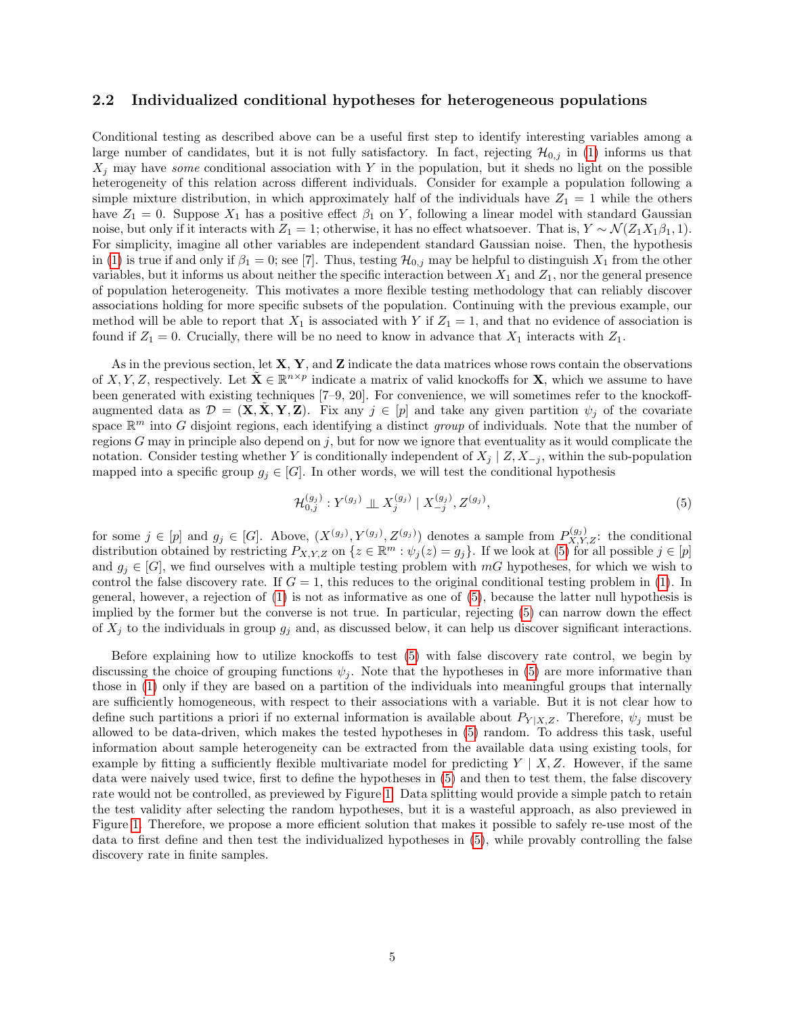#### 2.2 Individualized conditional hypotheses for heterogeneous populations

Conditional testing as described above can be a useful first step to identify interesting variables among a large number of candidates, but it is not fully satisfactory. In fact, rejecting  $\mathcal{H}_{0,j}$  in [\(1\)](#page-3-0) informs us that  $X_j$  may have some conditional association with Y in the population, but it sheds no light on the possible heterogeneity of this relation across different individuals. Consider for example a population following a simple mixture distribution, in which approximately half of the individuals have  $Z_1 = 1$  while the others have  $Z_1 = 0$ . Suppose  $X_1$  has a positive effect  $\beta_1$  on Y, following a linear model with standard Gaussian noise, but only if it interacts with  $Z_1 = 1$ ; otherwise, it has no effect whatsoever. That is,  $Y \sim \mathcal{N}(Z_1 X_1 \beta_1, 1)$ . For simplicity, imagine all other variables are independent standard Gaussian noise. Then, the hypothesis in [\(1\)](#page-3-0) is true if and only if  $\beta_1 = 0$ ; see [7]. Thus, testing  $\mathcal{H}_{0,j}$  may be helpful to distinguish  $X_1$  from the other variables, but it informs us about neither the specific interaction between  $X_1$  and  $Z_1$ , nor the general presence of population heterogeneity. This motivates a more flexible testing methodology that can reliably discover associations holding for more specific subsets of the population. Continuing with the previous example, our method will be able to report that  $X_1$  is associated with Y if  $Z_1 = 1$ , and that no evidence of association is found if  $Z_1 = 0$ . Crucially, there will be no need to know in advance that  $X_1$  interacts with  $Z_1$ .

As in the previous section, let  $X, Y$ , and  $Z$  indicate the data matrices whose rows contain the observations of X, Y, Z, respectively. Let  $\tilde{\mathbf{X}} \in \mathbb{R}^{n \times p}$  indicate a matrix of valid knockoffs for **X**, which we assume to have been generated with existing techniques [7–9, 20]. For convenience, we will sometimes refer to the knockoffaugmented data as  $\mathcal{D} = (\mathbf{X}, \dot{\mathbf{X}}, \mathbf{Y}, \mathbf{Z})$ . Fix any  $j \in [p]$  and take any given partition  $\psi_j$  of the covariate space  $\mathbb{R}^m$  into G disjoint regions, each identifying a distinct group of individuals. Note that the number of regions  $G$  may in principle also depend on j, but for now we ignore that eventuality as it would complicate the notation. Consider testing whether Y is conditionally independent of  $X_j \mid Z, X_{-j}$ , within the sub-population mapped into a specific group  $g_j \in [G]$ . In other words, we will test the conditional hypothesis

<span id="page-4-0"></span>
$$
\mathcal{H}_{0,j}^{(g_j)}: Y^{(g_j)} \perp \!\!\! \perp X_j^{(g_j)} \mid X_{-j}^{(g_j)}, Z^{(g_j)}, \tag{5}
$$

for some  $j \in [p]$  and  $g_j \in [G]$ . Above,  $(X^{(g_j)}, Y^{(g_j)}, Z^{(g_j)})$  denotes a sample from  $P_{X,Y,Z}^{(g_j)}$ : the conditional distribution obtained by restricting  $P_{X,Y,Z}$  on  $\{z \in \mathbb{R}^m : \psi_j(z) = g_j\}$ . If we look at  $(5)$  for all possible  $j \in [p]$ and  $g_i \in [G]$ , we find ourselves with a multiple testing problem with mG hypotheses, for which we wish to control the false discovery rate. If  $G = 1$ , this reduces to the original conditional testing problem in [\(1\)](#page-3-0). In general, however, a rejection of [\(1\)](#page-3-0) is not as informative as one of [\(5\)](#page-4-0), because the latter null hypothesis is implied by the former but the converse is not true. In particular, rejecting [\(5\)](#page-4-0) can narrow down the effect of  $X_i$  to the individuals in group  $g_i$  and, as discussed below, it can help us discover significant interactions.

Before explaining how to utilize knockoffs to test [\(5\)](#page-4-0) with false discovery rate control, we begin by discussing the choice of grouping functions  $\psi_i$ . Note that the hypotheses in [\(5\)](#page-4-0) are more informative than those in [\(1\)](#page-3-0) only if they are based on a partition of the individuals into meaningful groups that internally are sufficiently homogeneous, with respect to their associations with a variable. But it is not clear how to define such partitions a priori if no external information is available about  $P_{Y|X,Z}$ . Therefore,  $\psi_j$  must be allowed to be data-driven, which makes the tested hypotheses in [\(5\)](#page-4-0) random. To address this task, useful information about sample heterogeneity can be extracted from the available data using existing tools, for example by fitting a sufficiently flexible multivariate model for predicting  $Y \mid X, Z$ . However, if the same data were naively used twice, first to define the hypotheses in [\(5\)](#page-4-0) and then to test them, the false discovery rate would not be controlled, as previewed by Figure [1.](#page-6-0) Data splitting would provide a simple patch to retain the test validity after selecting the random hypotheses, but it is a wasteful approach, as also previewed in Figure [1.](#page-6-0) Therefore, we propose a more efficient solution that makes it possible to safely re-use most of the data to first define and then test the individualized hypotheses in [\(5\)](#page-4-0), while provably controlling the false discovery rate in finite samples.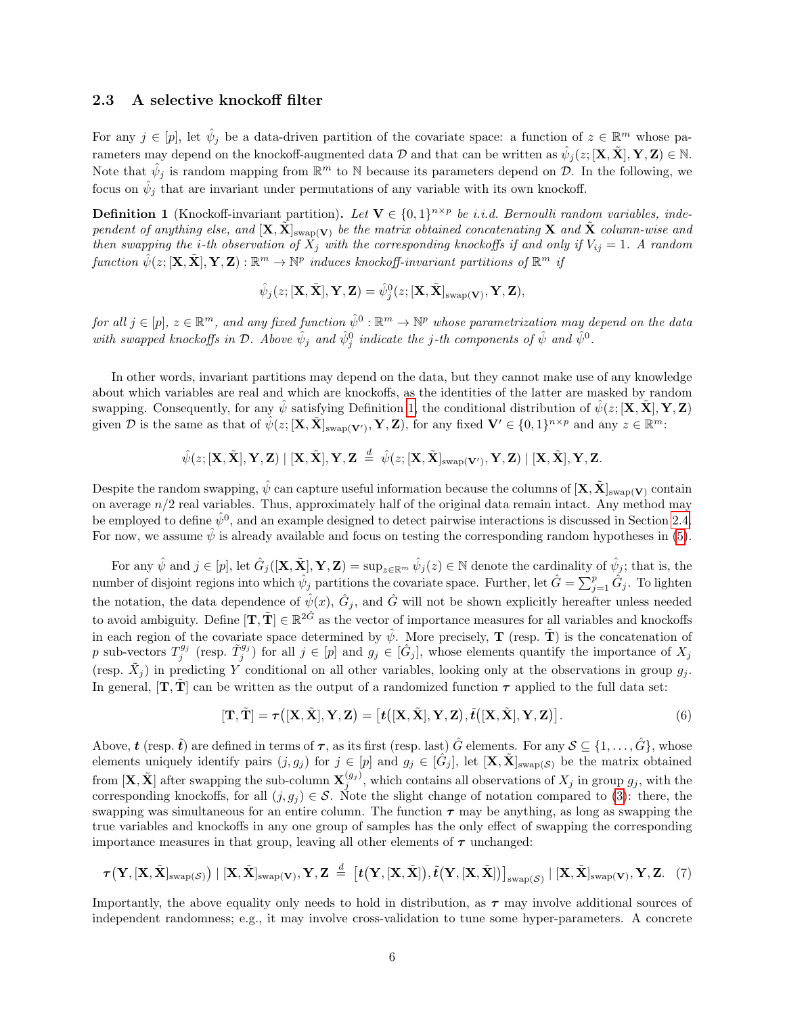#### <span id="page-5-2"></span>2.3 A selective knockoff filter

For any  $j \in [p]$ , let  $\hat{\psi}_j$  be a data-driven partition of the covariate space: a function of  $z \in \mathbb{R}^m$  whose parameters may depend on the knockoff-augmented data  $\mathcal D$  and that can be written as  $\hat\psi_j(z;[\textbf{X},\tilde{\textbf{X}}],\textbf{Y},\textbf{Z})\in\mathbb N.$ Note that  $\hat{\psi}_j$  is random mapping from  $\mathbb{R}^m$  to N because its parameters depend on  $\mathcal{D}$ . In the following, we focus on  $\hat{\psi}_j$  that are invariant under permutations of any variable with its own knockoff.

<span id="page-5-0"></span>**Definition 1** (Knockoff-invariant partition). Let  $V \in \{0,1\}^{n \times p}$  be *i.i.d.* Bernoulli random variables, independent of anything else, and  $[\mathbf{X}, \tilde{\mathbf{X}}]_{swap(\mathbf{V})}$  be the matrix obtained concatenating  $\mathbf{X}$  and  $\tilde{\mathbf{X}}$  column-wise and then swapping the *i*-th observation of  $\overline{X}_j$  with the corresponding knockoffs if and only if  $V_{ij} = 1$ . A random function  $\hat{\psi}(z; [\mathbf{X}, \tilde{\mathbf{X}}], \mathbf{Y}, \mathbf{Z}) : \mathbb{R}^m \to \mathbb{N}^p$  induces knockoff-invariant partitions of  $\mathbb{R}^m$  if

$$
\hat{\psi}_j(z;[\mathbf{X}, \tilde{\mathbf{X}}], \mathbf{Y}, \mathbf{Z}) = \hat{\psi}_j^0(z; [\mathbf{X}, \tilde{\mathbf{X}}]_{\text{swap}(\mathbf{V})}, \mathbf{Y}, \mathbf{Z}),
$$

for all  $j \in [p]$ ,  $z \in \mathbb{R}^m$ , and any fixed function  $\hat{\psi}^0 : \mathbb{R}^m \to \mathbb{N}^p$  whose parametrization may depend on the data with swapped knockoffs in  $\mathcal D$ . Above  $\hat \psi_j$  and  $\hat \psi_j^0$  indicate the j-th components of  $\hat \psi$  and  $\hat \psi^0$ .

In other words, invariant partitions may depend on the data, but they cannot make use of any knowledge about which variables are real and which are knockoffs, as the identities of the latter are masked by random swapping. Consequently, for any  $\hat{\psi}$  satisfying Definition [1,](#page-5-0) the conditional distribution of  $\hat{\psi}(z; [\mathbf{X}, \tilde{\mathbf{X}}], \mathbf{Y}, \mathbf{Z})$ given D is the same as that of  $\hat{\psi}(z; [\mathbf{X}, \tilde{\mathbf{X}}]_{\text{swap}(\mathbf{V}')}$ , Y, Z), for any fixed  $\mathbf{V}' \in \{0, 1\}^{n \times p}$  and any  $z \in \mathbb{R}^m$ :

 $\hat{\psi}(z;[\textbf{X},\tilde{\textbf{X}}],\textbf{Y},\textbf{Z}) \mid [\textbf{X},\tilde{\textbf{X}}],\textbf{Y},\textbf{Z} \; \stackrel{d}{=} \; \hat{\psi}(z;[\textbf{X},\tilde{\textbf{X}}]_{\text{swap}(\textbf{V}')},\textbf{Y},\textbf{Z}) \mid [\textbf{X},\tilde{\textbf{X}}],\textbf{Y},\textbf{Z}.$ 

Despite the random swapping,  $\hat{\psi}$  can capture useful information because the columns of  $[\mathbf{X}, \tilde{\mathbf{X}}]_{\text{swap}(\mathbf{V})}$  contain on average  $n/2$  real variables. Thus, approximately half of the original data remain intact. Any method may be employed to define  $\hat{\psi}^0$ , and an example designed to detect pairwise interactions is discussed in Section [2.4.](#page-7-0) For now, we assume  $\hat{\psi}$  is already available and focus on testing the corresponding random hypotheses in [\(5\)](#page-4-0).

For any  $\hat{\psi}$  and  $j \in [p]$ , let  $\hat{G}_j([\mathbf{X}, \tilde{\mathbf{X}}], \mathbf{Y}, \mathbf{Z}) = \sup_{z \in \mathbb{R}^m} \hat{\psi}_j(z) \in \mathbb{N}$  denote the cardinality of  $\hat{\psi}_j$ ; that is, the number of disjoint regions into which  $\hat{\psi}_j$  partitions the covariate space. Further, let  $\hat{G} = \sum_{j=1}^p \hat{G}_j$ . To lighten the notation, the data dependence of  $\hat{\psi}(x)$ ,  $\hat{G}_j$ , and  $\hat{G}$  will not be shown explicitly hereafter unless needed to avoid ambiguity. Define  $[\mathbf{T}, \tilde{\mathbf{T}}] \in \mathbb{R}^{2\hat{G}}$  as the vector of importance measures for all variables and knockoffs in each region of the covariate space determined by  $\hat{\psi}$ . More precisely, **T** (resp.  $\tilde{\mathbf{T}}$ ) is the concatenation of p sub-vectors  $T_j^{g_j}$  (resp.  $\tilde{T}_j^{g_j}$ ) for all  $j \in [p]$  and  $g_j \in [\hat{G}_j]$ , whose elements quantify the importance of  $X_j$ (resp.  $\tilde{X}_j$ ) in predicting Y conditional on all other variables, looking only at the observations in group  $g_j$ . In general,  $[T, T]$  can be written as the output of a randomized function  $\tau$  applied to the full data set:

<span id="page-5-1"></span>
$$
[\mathbf{T}, \tilde{\mathbf{T}}] = \tau([\mathbf{X}, \tilde{\mathbf{X}}], \mathbf{Y}, \mathbf{Z}) = [t([\mathbf{X}, \tilde{\mathbf{X}}], \mathbf{Y}, \mathbf{Z}), \tilde{t}([\mathbf{X}, \tilde{\mathbf{X}}], \mathbf{Y}, \mathbf{Z})].
$$
\n(6)

Above,  $\boldsymbol{t}$  (resp.  $\tilde{\boldsymbol{t}}$ ) are defined in terms of  $\boldsymbol{\tau}$ , as its first (resp. last)  $\hat{G}$  elements. For any  $\mathcal{S} \subseteq \{1, \ldots, \hat{G}\}$ , whose elements uniquely identify pairs  $(j, g_j)$  for  $j \in [p]$  and  $g_j \in [\hat{G}_j]$ , let  $[\mathbf{X}, \tilde{\mathbf{X}}]_{\text{swap}(\mathcal{S})}$  be the matrix obtained from  $[\mathbf{X}, \tilde{\mathbf{X}}]$  after swapping the sub-column  $\mathbf{X}_{j}^{(g_j)}$ , which contains all observations of  $X_j$  in group  $g_j$ , with the corresponding knockoffs, for all  $(j, g_i) \in S$ . Note the slight change of notation compared to [\(3\)](#page-3-1): there, the swapping was simultaneous for an entire column. The function  $\tau$  may be anything, as long as swapping the true variables and knockoffs in any one group of samples has the only effect of swapping the corresponding importance measures in that group, leaving all other elements of  $\tau$  unchanged:

$$
\tau\big(\mathbf{Y},[\mathbf{X},\tilde{\mathbf{X}}]_{\text{swap}(\mathcal{S})}\big) \mid [\mathbf{X},\tilde{\mathbf{X}}]_{\text{swap}(\mathbf{V})}, \mathbf{Y},\mathbf{Z} \overset{d}{=} \big[t\big(\mathbf{Y},[\mathbf{X},\tilde{\mathbf{X}}]\big),\tilde{t}\big(\mathbf{Y},[\mathbf{X},\tilde{\mathbf{X}}]\big)\big]_{\text{swap}(\mathcal{S})} \mid [\mathbf{X},\tilde{\mathbf{X}}]_{\text{swap}(\mathbf{V})}, \mathbf{Y},\mathbf{Z}. \tag{7}
$$

Importantly, the above equality only needs to hold in distribution, as  $\tau$  may involve additional sources of independent randomness; e.g., it may involve cross-validation to tune some hyper-parameters. A concrete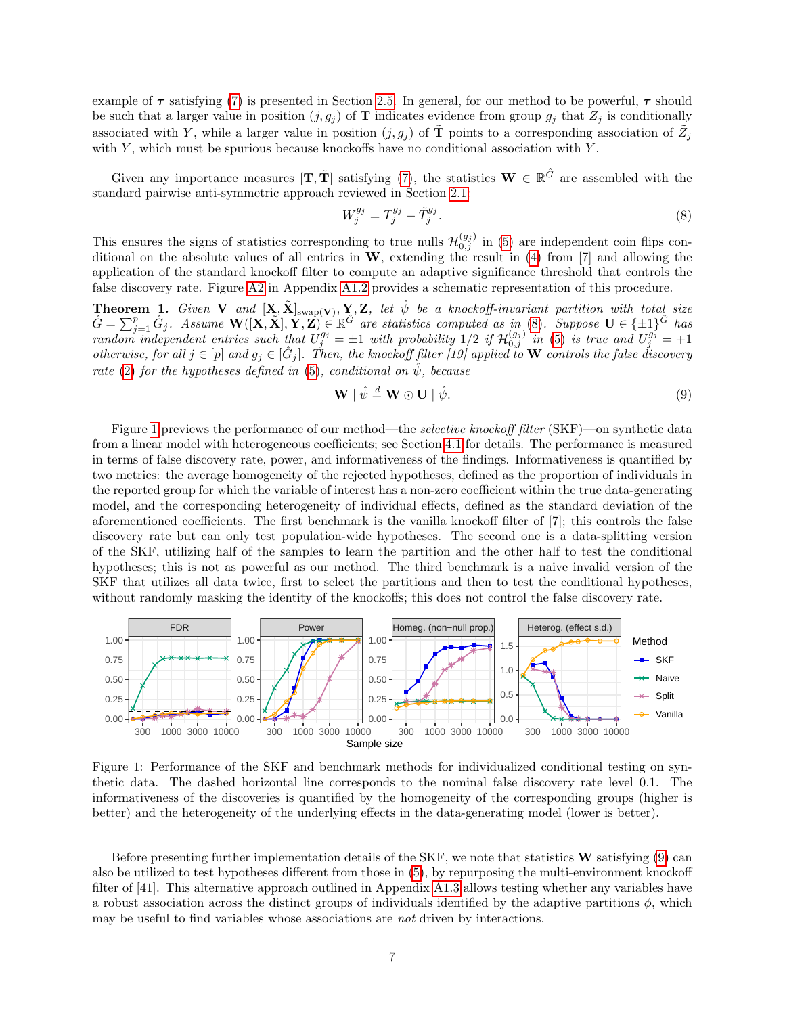example of  $\tau$  satisfying [\(7\)](#page-5-1) is presented in Section [2.5.](#page-8-0) In general, for our method to be powerful,  $\tau$  should be such that a larger value in position  $(j, g_j)$  of **T** indicates evidence from group  $g_j$  that  $Z_j$  is conditionally associated with Y, while a larger value in position  $(j, g_j)$  of  $\tilde{\mathbf{T}}$  points to a corresponding association of  $\tilde{Z}_j$ with  $Y$ , which must be spurious because knockoffs have no conditional association with  $Y$ .

Given any importance measures  $[\mathbf{T}, \tilde{\mathbf{T}}]$  satisfying [\(7\)](#page-5-1), the statistics  $\mathbf{W} \in \mathbb{R}^{\hat{G}}$  are assembled with the standard pairwise anti-symmetric approach reviewed in Section [2.1:](#page-3-2)

<span id="page-6-1"></span>
$$
W_j^{g_j} = T_j^{g_j} - \tilde{T}_j^{g_j}.
$$
\n(8)

This ensures the signs of statistics corresponding to true nulls  $\mathcal{H}_{0,j}^{(g_j)}$  in [\(5\)](#page-4-0) are independent coin flips conditional on the absolute values of all entries in  $W$ , extending the result in [\(4\)](#page-3-3) from [7] and allowing the application of the standard knockoff filter to compute an adaptive significance threshold that controls the false discovery rate. Figure [A2](#page-9-0) in Appendix [A1.2](#page-27-1) provides a schematic representation of this procedure.

<span id="page-6-3"></span>**Theorem 1.** Given **V** and  $[X, \tilde{X}]_{swap(V)}, Y, Z$ , let  $\hat{\psi}$  be a knockoff-invariant partition with total size  $\hat{G} = \sum_{j=1}^p \hat{G}_j$ . Assume  $\mathbf{W}([\mathbf{X}, \tilde{\mathbf{X}}], \mathbf{Y}, \mathbf{Z}) \in \mathbb{R}^{\hat{G}}$  are statistics computed as in [\(8\)](#page-6-1). Suppose  $\mathbf{U} \in \{\pm 1\}^{\hat{G}}$  has random independent entries such that  $U_j^{g_j} = \pm 1$  with probability  $1/2$  if  $\mathcal{H}_{0,j}^{(g_j)}$  in [\(5\)](#page-4-0) is true and  $U_j^{g_j} = +1$ otherwise, for all  $j \in [p]$  and  $g_j \in [\hat{G}_j]$ . Then, the knockoff filter [19] applied to W controls the false discovery rate [\(2\)](#page-3-4) for the hypotheses defined in [\(5\)](#page-4-0), conditional on  $\hat{\psi}$ , because

<span id="page-6-2"></span>
$$
\mathbf{W} \mid \hat{\psi} \stackrel{d}{=} \mathbf{W} \odot \mathbf{U} \mid \hat{\psi}.\tag{9}
$$

Figure [1](#page-6-0) previews the performance of our method—the *selective knockoff filter* (SKF)—on synthetic data from a linear model with heterogeneous coefficients; see Section [4.1](#page-14-0) for details. The performance is measured in terms of false discovery rate, power, and informativeness of the findings. Informativeness is quantified by two metrics: the average homogeneity of the rejected hypotheses, defined as the proportion of individuals in the reported group for which the variable of interest has a non-zero coefficient within the true data-generating model, and the corresponding heterogeneity of individual effects, defined as the standard deviation of the aforementioned coefficients. The first benchmark is the vanilla knockoff filter of [7]; this controls the false discovery rate but can only test population-wide hypotheses. The second one is a data-splitting version of the SKF, utilizing half of the samples to learn the partition and the other half to test the conditional hypotheses; this is not as powerful as our method. The third benchmark is a naive invalid version of the SKF that utilizes all data twice, first to select the partitions and then to test the conditional hypotheses, without randomly masking the identity of the knockoffs; this does not control the false discovery rate.



<span id="page-6-0"></span>Figure 1: Performance of the SKF and benchmark methods for individualized conditional testing on synthetic data. The dashed horizontal line corresponds to the nominal false discovery rate level 0.1. The informativeness of the discoveries is quantified by the homogeneity of the corresponding groups (higher is better) and the heterogeneity of the underlying effects in the data-generating model (lower is better).

Before presenting further implementation details of the SKF, we note that statistics W satisfying [\(9\)](#page-6-2) can also be utilized to test hypotheses different from those in [\(5\)](#page-4-0), by repurposing the multi-environment knockoff filter of [41]. This alternative approach outlined in Appendix [A1.3](#page-30-0) allows testing whether any variables have a robust association across the distinct groups of individuals identified by the adaptive partitions  $\phi$ , which may be useful to find variables whose associations are not driven by interactions.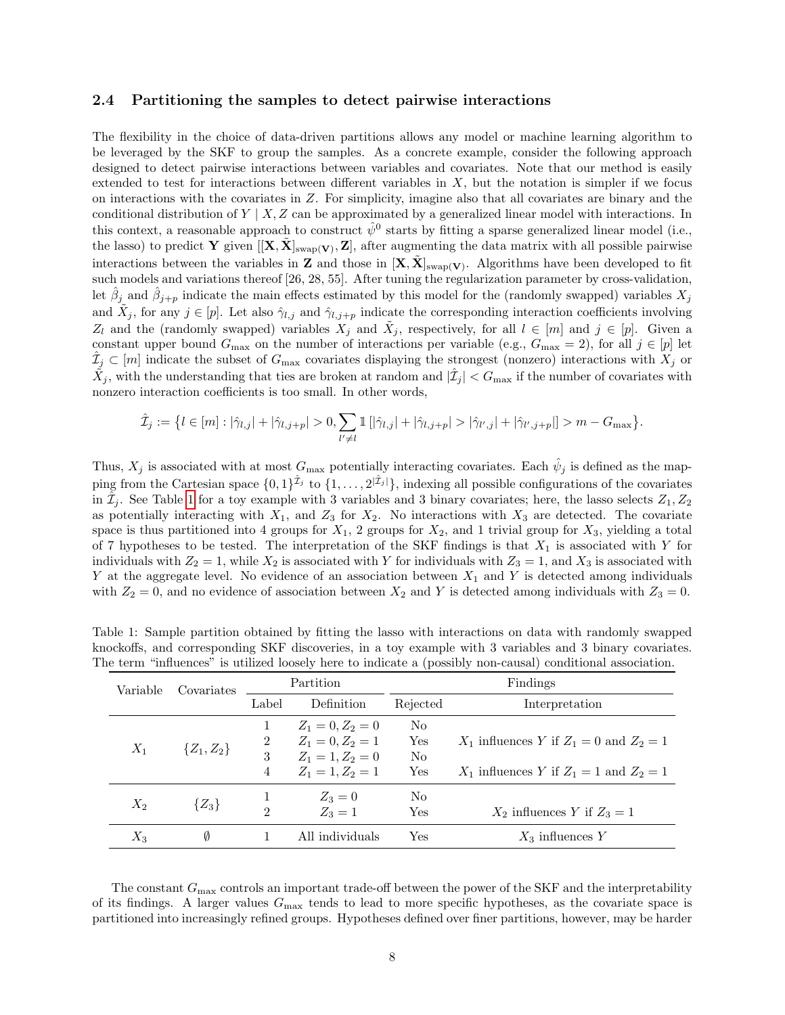#### <span id="page-7-0"></span>2.4 Partitioning the samples to detect pairwise interactions

The flexibility in the choice of data-driven partitions allows any model or machine learning algorithm to be leveraged by the SKF to group the samples. As a concrete example, consider the following approach designed to detect pairwise interactions between variables and covariates. Note that our method is easily extended to test for interactions between different variables in  $X$ , but the notation is simpler if we focus on interactions with the covariates in Z. For simplicity, imagine also that all covariates are binary and the conditional distribution of  $Y \mid X, Z$  can be approximated by a generalized linear model with interactions. In this context, a reasonable approach to construct  $\hat{\psi}^0$  starts by fitting a sparse generalized linear model (i.e., the lasso) to predict Y given  $[[\mathbf{X}, \tilde{\mathbf{X}}]_{\text{swap}(\mathbf{V})}, \mathbf{Z}]$ , after augmenting the data matrix with all possible pairwise interactions between the variables in **Z** and those in  $[X, \tilde{X}]_{swap(V)}$ . Algorithms have been developed to fit such models and variations thereof [26, 28, 55]. After tuning the regularization parameter by cross-validation, let  $\hat{\beta}_j$  and  $\hat{\beta}_{j+p}$  indicate the main effects estimated by this model for the (randomly swapped) variables  $X_j$ and  $\tilde{X}_j$ , for any  $j \in [p]$ . Let also  $\hat{\gamma}_{l,j}$  and  $\hat{\gamma}_{l,j+p}$  indicate the corresponding interaction coefficients involving  $Z_l$  and the (randomly swapped) variables  $X_j$  and  $\tilde{X}_j$ , respectively, for all  $l \in [m]$  and  $j \in [p]$ . Given a constant upper bound  $G_{\text{max}}$  on the number of interactions per variable (e.g.,  $G_{\text{max}} = 2$ ), for all  $j \in [p]$  let  $\hat{\mathcal{I}}_j \subset [m]$  indicate the subset of  $G_{\text{max}}$  covariates displaying the strongest (nonzero) interactions with  $X_j$  or  $\tilde{X}_j$ , with the understanding that ties are broken at random and  $|\hat{\mathcal{I}}_j| < G_{\max}$  if the number of covariates with nonzero interaction coefficients is too small. In other words,

$$
\hat{\mathcal{I}}_j := \left\{ l \in [m] : |\hat{\gamma}_{l,j}| + |\hat{\gamma}_{l,j+p}| > 0, \sum_{l' \neq l} \mathbb{1} \left[ |\hat{\gamma}_{l,j}| + |\hat{\gamma}_{l,j+p}| > |\hat{\gamma}_{l',j}| + |\hat{\gamma}_{l',j+p}| \right] > m - G_{\text{max}} \right\}.
$$

Thus,  $X_j$  is associated with at most  $G_{\text{max}}$  potentially interacting covariates. Each  $\hat{\psi}_j$  is defined as the mapping from the Cartesian space  $\{0,1\}^{\hat{\mathcal{I}}_j}$  to  $\{1,\ldots,2^{|\hat{\mathcal{I}}_j|}\}$ , indexing all possible configurations of the covariates in  $\hat{\mathcal{I}}_j$ . See Table [1](#page-7-1) for a toy example with 3 variables and 3 binary covariates; here, the lasso selects  $Z_1, Z_2$ as potentially interacting with  $X_1$ , and  $Z_3$  for  $X_2$ . No interactions with  $X_3$  are detected. The covariate space is thus partitioned into 4 groups for  $X_1$ , 2 groups for  $X_2$ , and 1 trivial group for  $X_3$ , yielding a total of 7 hypotheses to be tested. The interpretation of the SKF findings is that  $X_1$  is associated with Y for individuals with  $Z_2 = 1$ , while  $X_2$  is associated with Y for individuals with  $Z_3 = 1$ , and  $X_3$  is associated with Y at the aggregate level. No evidence of an association between  $X_1$  and Y is detected among individuals with  $Z_2 = 0$ , and no evidence of association between  $X_2$  and Y is detected among individuals with  $Z_3 = 0$ .

| Variable | Covariates     |                             | Partition                                                      |                             | Findings                                      |
|----------|----------------|-----------------------------|----------------------------------------------------------------|-----------------------------|-----------------------------------------------|
|          |                | Label                       | Definition                                                     | Rejected                    | Interpretation                                |
| $X_1$    | $\{Z_1, Z_2\}$ | $\overline{2}$<br>3         | $Z_1 = 0, Z_2 = 0$<br>$Z_1 = 0, Z_2 = 1$<br>$Z_1 = 1, Z_2 = 0$ | No<br>Yes<br>N <sub>0</sub> | $X_1$ influences Y if $Z_1 = 0$ and $Z_2 = 1$ |
|          |                | 4                           | $Z_1 = 1, Z_2 = 1$                                             | Yes                         | $X_1$ influences Y if $Z_1 = 1$ and $Z_2 = 1$ |
| $X_2$    | $\{Z_3\}$      | $\mathcal{D}_{\mathcal{L}}$ | $Z_3 = 0$<br>$Z_3 = 1$                                         | No<br>Yes                   | $X_2$ influences Y if $Z_3 = 1$               |
| $X_3$    | Ø              |                             | All individuals                                                | Yes                         | $X_3$ influences Y                            |

<span id="page-7-1"></span>Table 1: Sample partition obtained by fitting the lasso with interactions on data with randomly swapped knockoffs, and corresponding SKF discoveries, in a toy example with 3 variables and 3 binary covariates. The term "influences" is utilized loosely here to indicate a (possibly non-causal) conditional association.

The constant  $G_{\text{max}}$  controls an important trade-off between the power of the SKF and the interpretability of its findings. A larger values  $G_{\text{max}}$  tends to lead to more specific hypotheses, as the covariate space is partitioned into increasingly refined groups. Hypotheses defined over finer partitions, however, may be harder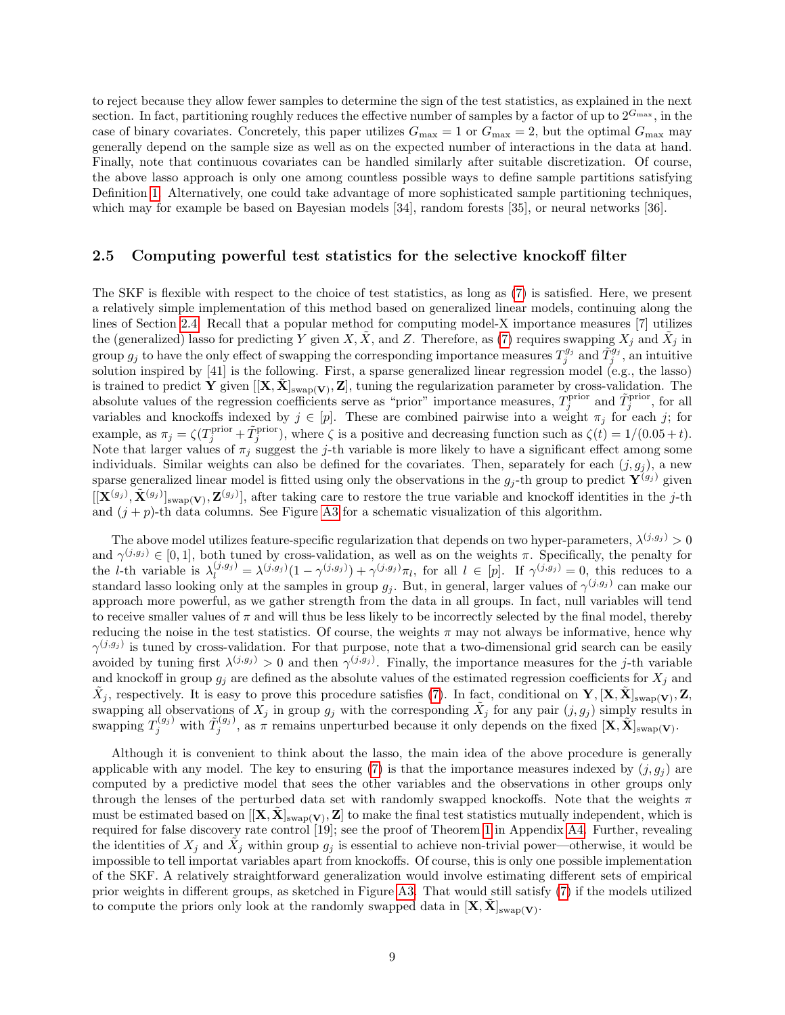to reject because they allow fewer samples to determine the sign of the test statistics, as explained in the next section. In fact, partitioning roughly reduces the effective number of samples by a factor of up to  $2^{G_{\text{max}}}$ , in the case of binary covariates. Concretely, this paper utilizes  $G_{\text{max}} = 1$  or  $G_{\text{max}} = 2$ , but the optimal  $G_{\text{max}}$  may generally depend on the sample size as well as on the expected number of interactions in the data at hand. Finally, note that continuous covariates can be handled similarly after suitable discretization. Of course, the above lasso approach is only one among countless possible ways to define sample partitions satisfying Definition [1.](#page-5-0) Alternatively, one could take advantage of more sophisticated sample partitioning techniques, which may for example be based on Bayesian models [34], random forests [35], or neural networks [36].

#### <span id="page-8-0"></span>2.5 Computing powerful test statistics for the selective knockoff filter

The SKF is flexible with respect to the choice of test statistics, as long as [\(7\)](#page-5-1) is satisfied. Here, we present a relatively simple implementation of this method based on generalized linear models, continuing along the lines of Section [2.4.](#page-7-0) Recall that a popular method for computing model-X importance measures [7] utilizes the (generalized) lasso for predicting Y given X,  $\tilde{X}$ , and Z. Therefore, as [\(7\)](#page-5-1) requires swapping  $X_j$  and  $\tilde{X}_j$  in group  $g_j$  to have the only effect of swapping the corresponding importance measures  $T_j^{g_j}$  and  $\tilde{T}_j^{g_j}$ , an intuitive solution inspired by [41] is the following. First, a sparse generalized linear regression model (e.g., the lasso) is trained to predict  $\mathbf{Y}$  given  $[[\mathbf{X}, \tilde{\mathbf{X}}]_{\text{swap}(\mathbf{V})}, \mathbf{Z}]$ , tuning the regularization parameter by cross-validation. The absolute values of the regression coefficients serve as "prior" importance measures,  $T_j^{\text{prior}}$  and  $\tilde{T}_j^{\text{prior}}$ , for all variables and knockoffs indexed by  $j \in [p]$ . These are combined pairwise into a weight  $\pi_j$  for each j; for example, as  $\pi_j = \zeta(T_j^{\text{prior}} + \tilde{T}_j^{\text{prior}})$ , where  $\zeta$  is a positive and decreasing function such as  $\zeta(t) = 1/(0.05 + t)$ . Note that larger values of  $\pi_j$  suggest the j-th variable is more likely to have a significant effect among some individuals. Similar weights can also be defined for the covariates. Then, separately for each  $(j, g_j)$ , a new sparse generalized linear model is fitted using only the observations in the  $g_j$ -th group to predict  $\mathbf{Y}^{(g_j)}$  given  $[[\mathbf{X}^{(g_j)}, \tilde{\mathbf{X}}^{(g_j)}]_{\text{swap}}(\mathbf{V}), \mathbf{Z}^{(g_j)}]$ , after taking care to restore the true variable and knockoff identities in the j-th and  $(j + p)$ -th data columns. See Figure [A3](#page-15-0) for a schematic visualization of this algorithm.

The above model utilizes feature-specific regularization that depends on two hyper-parameters,  $\lambda^{(j,g_j)} > 0$ and  $\gamma^{(j,g_j)} \in [0,1]$ , both tuned by cross-validation, as well as on the weights  $\pi$ . Specifically, the penalty for the *l*-th variable is  $\lambda_l^{(j,g_j)} = \lambda^{(j,g_j)}(1-\gamma^{(j,g_j)}) + \gamma^{(j,g_j)}\pi_l$ , for all  $l \in [p]$ . If  $\gamma^{(j,g_j)} = 0$ , this reduces to a standard lasso looking only at the samples in group  $g_j$ . But, in general, larger values of  $\gamma^{(j,g_j)}$  can make our approach more powerful, as we gather strength from the data in all groups. In fact, null variables will tend to receive smaller values of  $\pi$  and will thus be less likely to be incorrectly selected by the final model, thereby reducing the noise in the test statistics. Of course, the weights  $\pi$  may not always be informative, hence why  $\gamma^{(j,g_j)}$  is tuned by cross-validation. For that purpose, note that a two-dimensional grid search can be easily avoided by tuning first  $\lambda^{(j,g_j)} > 0$  and then  $\gamma^{(j,g_j)}$ . Finally, the importance measures for the j-th variable and knockoff in group  $g_j$  are defined as the absolute values of the estimated regression coefficients for  $X_j$  and  $\tilde{X}_j$ , respectively. It is easy to prove this procedure satisfies [\(7\)](#page-5-1). In fact, conditional on  $\mathbf{Y}, [\mathbf{X}, \tilde{\mathbf{X}}]_{\text{swap}(\mathbf{V})}, \mathbf{Z},$ swapping all observations of  $X_j$  in group  $g_j$  with the corresponding  $\tilde{X}_j$  for any pair  $(j, g_j)$  simply results in swapping  $T_j^{(g_j)}$  with  $\tilde{T}_j^{(g_j)}$ , as  $\pi$  remains unperturbed because it only depends on the fixed  $[\mathbf{X}, \tilde{\mathbf{X}}]_{\text{swap}(\mathbf{V})}$ .

Although it is convenient to think about the lasso, the main idea of the above procedure is generally applicable with any model. The key to ensuring [\(7\)](#page-5-1) is that the importance measures indexed by  $(j, g_i)$  are computed by a predictive model that sees the other variables and the observations in other groups only through the lenses of the perturbed data set with randomly swapped knockoffs. Note that the weights  $\pi$ must be estimated based on  $[[\mathbf{X}, \tilde{\mathbf{X}}]_{\text{swap}(\mathbf{V})}, \mathbf{Z}]$  to make the final test statistics mutually independent, which is required for false discovery rate control [19]; see the proof of Theorem [1](#page-6-3) in Appendix [A4.](#page-41-0) Further, revealing the identities of  $X_j$  and  $\tilde{X}_j$  within group  $g_j$  is essential to achieve non-trivial power—otherwise, it would be impossible to tell importat variables apart from knockoffs. Of course, this is only one possible implementation of the SKF. A relatively straightforward generalization would involve estimating different sets of empirical prior weights in different groups, as sketched in Figure [A3.](#page-15-0) That would still satisfy [\(7\)](#page-5-1) if the models utilized to compute the priors only look at the randomly swapped data in  $[X, \tilde{X}]_{swap(V)}$ .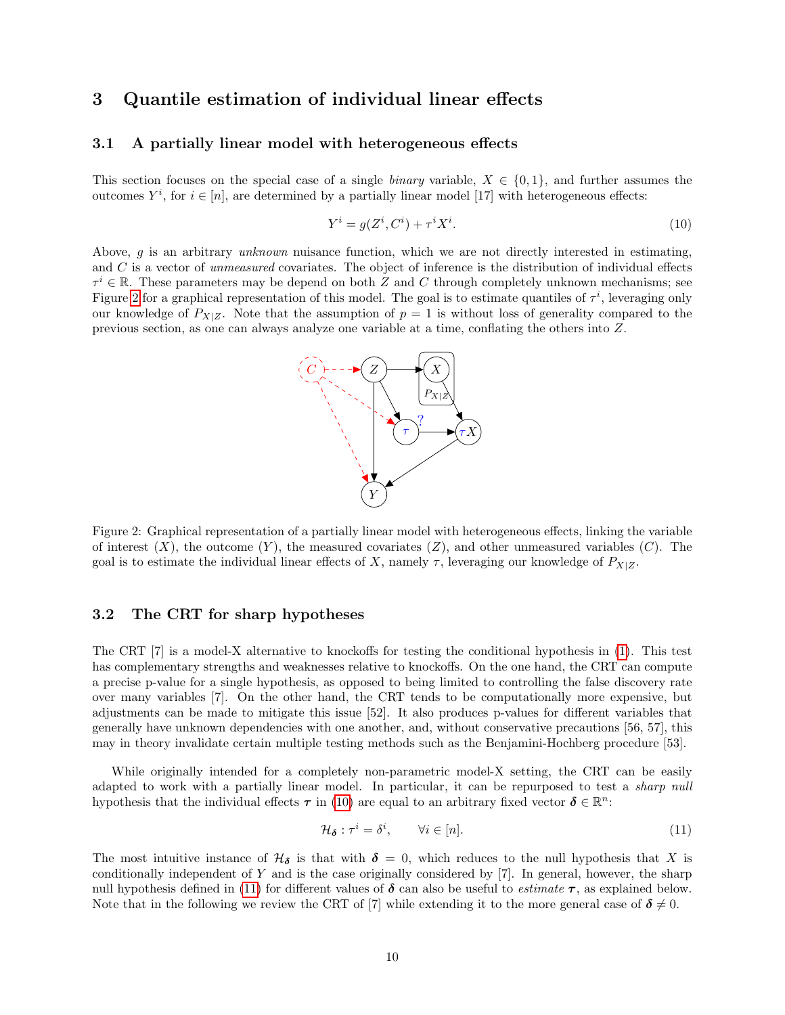# <span id="page-9-4"></span>3 Quantile estimation of individual linear effects

#### 3.1 A partially linear model with heterogeneous effects

This section focuses on the special case of a single *binary* variable,  $X \in \{0,1\}$ , and further assumes the outcomes  $Y^i$ , for  $i \in [n]$ , are determined by a partially linear model [17] with heterogeneous effects:

<span id="page-9-1"></span>
$$
Y^i = g(Z^i, C^i) + \tau^i X^i. \tag{10}
$$

Above, g is an arbitrary unknown nuisance function, which we are not directly interested in estimating, and  $C$  is a vector of *unmeasured* covariates. The object of inference is the distribution of individual effects  $\tau^i \in \mathbb{R}$ . These parameters may be depend on both Z and C through completely unknown mechanisms; see Figure [2](#page-9-0) for a graphical representation of this model. The goal is to estimate quantiles of  $\tau^i$ , leveraging only our knowledge of  $P_{X|Z}$ . Note that the assumption of  $p = 1$  is without loss of generality compared to the previous section, as one can always analyze one variable at a time, conflating the others into Z.

<span id="page-9-0"></span>

Figure 2: Graphical representation of a partially linear model with heterogeneous effects, linking the variable of interest  $(X)$ , the outcome  $(Y)$ , the measured covariates  $(Z)$ , and other unmeasured variables  $(C)$ . The goal is to estimate the individual linear effects of X, namely  $\tau$ , leveraging our knowledge of  $P_{X|Z}$ .

#### <span id="page-9-3"></span>3.2 The CRT for sharp hypotheses

The CRT [7] is a model-X alternative to knockoffs for testing the conditional hypothesis in [\(1\)](#page-3-0). This test has complementary strengths and weaknesses relative to knockoffs. On the one hand, the CRT can compute a precise p-value for a single hypothesis, as opposed to being limited to controlling the false discovery rate over many variables [7]. On the other hand, the CRT tends to be computationally more expensive, but adjustments can be made to mitigate this issue [52]. It also produces p-values for different variables that generally have unknown dependencies with one another, and, without conservative precautions [56, 57], this may in theory invalidate certain multiple testing methods such as the Benjamini-Hochberg procedure [53].

While originally intended for a completely non-parametric model-X setting, the CRT can be easily adapted to work with a partially linear model. In particular, it can be repurposed to test a *sharp null* hypothesis that the individual effects  $\tau$  in [\(10\)](#page-9-1) are equal to an arbitrary fixed vector  $\delta \in \mathbb{R}^n$ :

<span id="page-9-2"></span>
$$
\mathcal{H}_{\delta} : \tau^{i} = \delta^{i}, \qquad \forall i \in [n]. \tag{11}
$$

The most intuitive instance of  $\mathcal{H}_{\delta}$  is that with  $\delta = 0$ , which reduces to the null hypothesis that X is conditionally independent of Y and is the case originally considered by [7]. In general, however, the sharp null hypothesis defined in [\(11\)](#page-9-2) for different values of  $\delta$  can also be useful to *estimate*  $\tau$ , as explained below. Note that in the following we review the CRT of [7] while extending it to the more general case of  $\delta \neq 0$ .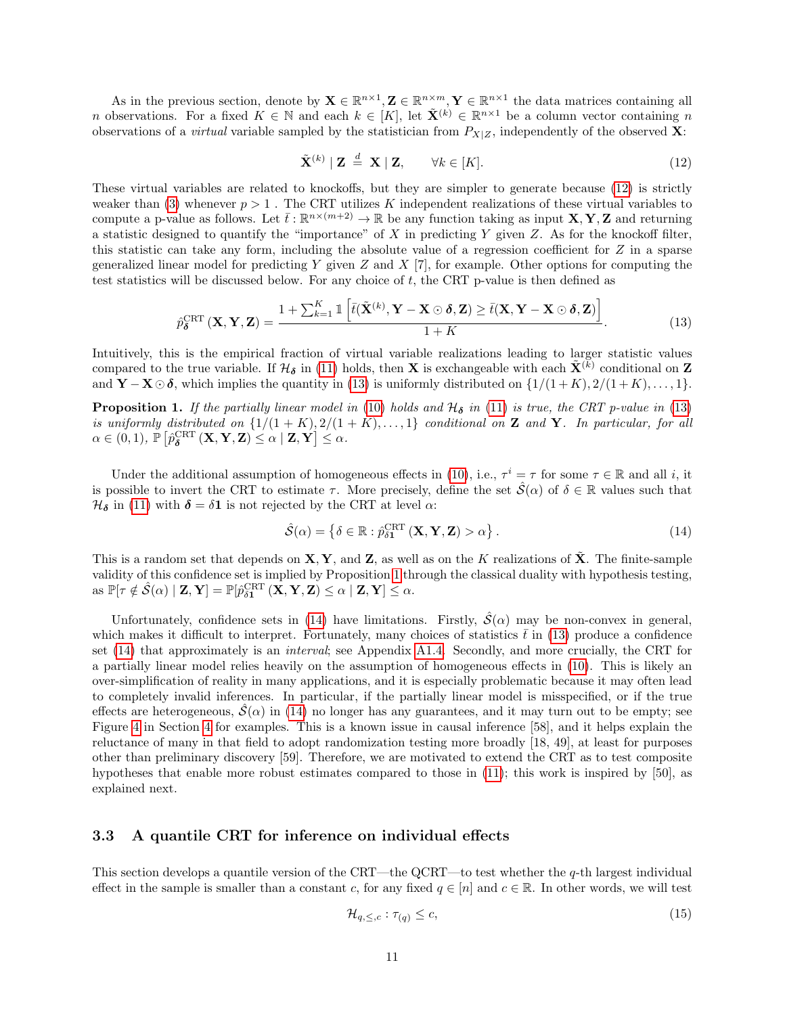As in the previous section, denote by  $\mathbf{X} \in \mathbb{R}^{n \times 1}, \mathbf{Z} \in \mathbb{R}^{n \times m}, \mathbf{Y} \in \mathbb{R}^{n \times 1}$  the data matrices containing all *n* observations. For a fixed  $K \in \mathbb{N}$  and each  $k \in [K]$ , let  $\tilde{\mathbf{X}}^{(k)} \in \mathbb{R}^{n \times 1}$  be a column vector containing n observations of a *virtual* variable sampled by the statistician from  $P_{X|Z}$ , independently of the observed **X**:

<span id="page-10-1"></span><span id="page-10-0"></span>
$$
\tilde{\mathbf{X}}^{(k)} \mid \mathbf{Z} \stackrel{d}{=} \mathbf{X} \mid \mathbf{Z}, \qquad \forall k \in [K]. \tag{12}
$$

These virtual variables are related to knockoffs, but they are simpler to generate because [\(12\)](#page-10-0) is strictly weaker than [\(3\)](#page-3-1) whenever  $p > 1$ . The CRT utilizes K independent realizations of these virtual variables to compute a p-value as follows. Let  $\bar{t} : \mathbb{R}^{n \times (m+2)} \to \mathbb{R}$  be any function taking as input  $X, Y, Z$  and returning a statistic designed to quantify the "importance" of  $X$  in predicting  $Y$  given  $Z$ . As for the knockoff filter, this statistic can take any form, including the absolute value of a regression coefficient for Z in a sparse generalized linear model for predicting Y given  $Z$  and  $X$  [7], for example. Other options for computing the test statistics will be discussed below. For any choice of  $t$ , the CRT p-value is then defined as

$$
\hat{p}_{\boldsymbol{\delta}}^{\text{CRT}}\left(\mathbf{X}, \mathbf{Y}, \mathbf{Z}\right) = \frac{1 + \sum_{k=1}^{K} \mathbb{1}\left[\bar{t}(\tilde{\mathbf{X}}^{(k)}, \mathbf{Y} - \mathbf{X} \odot \boldsymbol{\delta}, \mathbf{Z}) \ge \bar{t}(\mathbf{X}, \mathbf{Y} - \mathbf{X} \odot \boldsymbol{\delta}, \mathbf{Z})\right]}{1 + K}.
$$
\n(13)

Intuitively, this is the empirical fraction of virtual variable realizations leading to larger statistic values compared to the true variable. If  $H_{\delta}$  in [\(11\)](#page-9-2) holds, then **X** is exchangeable with each  $\tilde{\mathbf{X}}^{(k)}$  conditional on **Z** and  $\mathbf{Y} - \mathbf{X} \odot \boldsymbol{\delta}$ , which implies the quantity in [\(13\)](#page-10-1) is uniformly distributed on  $\{1/(1+K), 2/(1+K), \ldots, 1\}$ .

<span id="page-10-2"></span>**Proposition 1.** If the partially linear model in [\(10\)](#page-9-1) holds and  $\mathcal{H}_{\delta}$  in [\(11\)](#page-9-2) is true, the CRT p-value in [\(13\)](#page-10-1) is uniformly distributed on  $\{1/(1 + K), 2/(1 + K), \ldots, 1\}$  conditional on **Z** and **Y**. In particular, for all  $\alpha \in (0,1) , \, \tilde{\mathbb{P}} \left[ \hat{p}^{\text{CRT}}_{\boldsymbol{\delta}} \left( \mathbf{X}, \mathbf{Y}, \mathbf{Z} \right) \leq \alpha \mid \mathbf{Z}, \mathbf{Y} \right] \leq \alpha.$ 

Under the additional assumption of homogeneous effects in [\(10\)](#page-9-1), i.e.,  $\tau^i = \tau$  for some  $\tau \in \mathbb{R}$  and all i, it is possible to invert the CRT to estimate  $\tau$ . More precisely, define the set  $\hat{\mathcal{S}}(\alpha)$  of  $\delta \in \mathbb{R}$  values such that  $\mathcal{H}_{\delta}$  in [\(11\)](#page-9-2) with  $\delta = \delta \mathbf{1}$  is not rejected by the CRT at level  $\alpha$ :

<span id="page-10-3"></span>
$$
\hat{\mathcal{S}}(\alpha) = \left\{ \delta \in \mathbb{R} : \hat{p}_{\delta \mathbf{1}}^{\text{CRT}} \left( \mathbf{X}, \mathbf{Y}, \mathbf{Z} \right) > \alpha \right\}.
$$
\n(14)

This is a random set that depends on  $X, Y$ , and  $Z$ , as well as on the K realizations of  $\hat{X}$ . The finite-sample validity of this confidence set is implied by Proposition [1](#page-10-2) through the classical duality with hypothesis testing,  $\text{as } \mathbb{P}[\tau \notin \hat{\mathcal{S}}(\alpha) \mid \mathbf{Z}, \mathbf{Y}] = \mathbb{P}[\hat{p}_{\delta \mathbf{1}}^{\text{CRT}}(\mathbf{X}, \mathbf{Y}, \mathbf{Z}) \leq \alpha \mid \mathbf{Z}, \mathbf{Y}] \leq \alpha.$ 

Unfortunately, confidence sets in [\(14\)](#page-10-3) have limitations. Firstly,  $\hat{S}(\alpha)$  may be non-convex in general, which makes it difficult to interpret. Fortunately, many choices of statistics  $\bar{t}$  in [\(13\)](#page-10-1) produce a confidence set [\(14\)](#page-10-3) that approximately is an *interval*; see Appendix [A1.4.](#page-31-0) Secondly, and more crucially, the CRT for a partially linear model relies heavily on the assumption of homogeneous effects in [\(10\)](#page-9-1). This is likely an over-simplification of reality in many applications, and it is especially problematic because it may often lead to completely invalid inferences. In particular, if the partially linear model is misspecified, or if the true effects are heterogeneous,  $\hat{S}(\alpha)$  in [\(14\)](#page-10-3) no longer has any guarantees, and it may turn out to be empty; see Figure [4](#page-16-0) in Section [4](#page-14-1) for examples. This is a known issue in causal inference [58], and it helps explain the reluctance of many in that field to adopt randomization testing more broadly [18, 49], at least for purposes other than preliminary discovery [59]. Therefore, we are motivated to extend the CRT as to test composite hypotheses that enable more robust estimates compared to those in [\(11\)](#page-9-2); this work is inspired by [50], as explained next.

#### <span id="page-10-5"></span>3.3 A quantile CRT for inference on individual effects

This section develops a quantile version of the CRT—the QCRT—to test whether the  $q$ -th largest individual effect in the sample is smaller than a constant c, for any fixed  $q \in [n]$  and  $c \in \mathbb{R}$ . In other words, we will test

<span id="page-10-4"></span>
$$
\mathcal{H}_{q,\leq,c}:\tau_{(q)}\leq c,\tag{15}
$$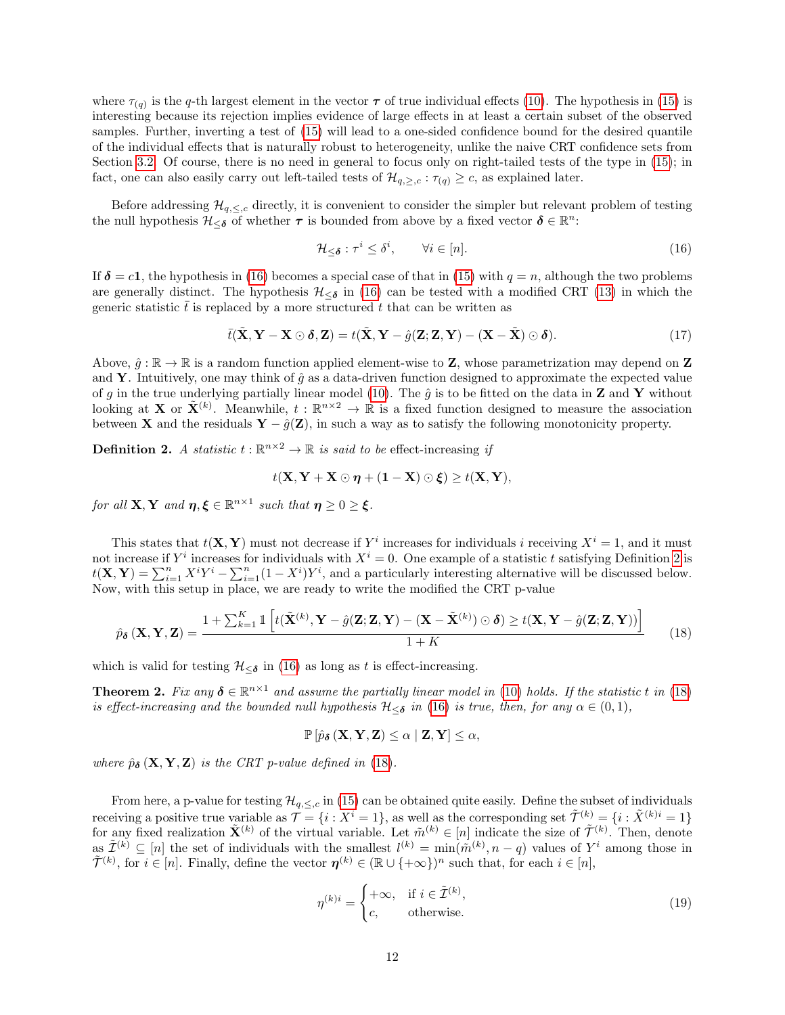where  $\tau_{(q)}$  is the q-th largest element in the vector  $\tau$  of true individual effects [\(10\)](#page-9-1). The hypothesis in [\(15\)](#page-10-4) is interesting because its rejection implies evidence of large effects in at least a certain subset of the observed samples. Further, inverting a test of [\(15\)](#page-10-4) will lead to a one-sided confidence bound for the desired quantile of the individual effects that is naturally robust to heterogeneity, unlike the naive CRT confidence sets from Section [3.2.](#page-9-3) Of course, there is no need in general to focus only on right-tailed tests of the type in  $(15)$ ; in fact, one can also easily carry out left-tailed tests of  $\mathcal{H}_{q,>,c}$ :  $\tau_{(q)} \geq c$ , as explained later.

Before addressing  $\mathcal{H}_{q, directly, it is convenient to consider the simpler but relevant problem of testing$ the null hypothesis  $\mathcal{H}_{\leq \delta}$  of whether  $\tau$  is bounded from above by a fixed vector  $\delta \in \mathbb{R}^n$ :

<span id="page-11-0"></span>
$$
\mathcal{H}_{\leq \delta} : \tau^i \leq \delta^i, \qquad \forall i \in [n]. \tag{16}
$$

If  $\delta = c_1$ , the hypothesis in [\(16\)](#page-11-0) becomes a special case of that in [\(15\)](#page-10-4) with  $q = n$ , although the two problems are generally distinct. The hypothesis  $\mathcal{H}_{\leq \delta}$  in [\(16\)](#page-11-0) can be tested with a modified CRT [\(13\)](#page-10-1) in which the generic statistic  $t$  is replaced by a more structured t that can be written as

$$
\bar{t}(\tilde{\mathbf{X}}, \mathbf{Y} - \mathbf{X} \odot \boldsymbol{\delta}, \mathbf{Z}) = t(\tilde{\mathbf{X}}, \mathbf{Y} - \hat{g}(\mathbf{Z}; \mathbf{Z}, \mathbf{Y}) - (\mathbf{X} - \tilde{\mathbf{X}}) \odot \boldsymbol{\delta}).
$$
\n(17)

Above,  $\hat{g} : \mathbb{R} \to \mathbb{R}$  is a random function applied element-wise to **Z**, whose parametrization may depend on **Z** and Y. Intuitively, one may think of  $\hat{g}$  as a data-driven function designed to approximate the expected value of g in the true underlying partially linear model [\(10\)](#page-9-1). The  $\hat{g}$  is to be fitted on the data in **Z** and **Y** without looking at **X** or  $\tilde{\mathbf{X}}^{(k)}$ . Meanwhile,  $t : \mathbb{R}^{n \times 2} \to \mathbb{R}$  is a fixed function designed to measure the association between **X** and the residuals  $\mathbf{Y} - \hat{g}(\mathbf{Z})$ , in such a way as to satisfy the following monotonicity property.

<span id="page-11-1"></span>**Definition 2.** A statistic  $t : \mathbb{R}^{n \times 2} \to \mathbb{R}$  is said to be effect-increasing if

$$
t(\mathbf{X}, \mathbf{Y} + \mathbf{X} \odot \boldsymbol{\eta} + (\mathbf{1} - \mathbf{X}) \odot \boldsymbol{\xi}) \ge t(\mathbf{X}, \mathbf{Y}),
$$

for all  $X, Y$  and  $\eta, \xi \in \mathbb{R}^{n \times 1}$  such that  $\eta \geq 0 \geq \xi$ .

This states that  $t(\mathbf{X}, \mathbf{Y})$  must not decrease if  $Y^i$  increases for individuals i receiving  $X^i = 1$ , and it must not increase if  $Y^i$  increases for individuals with  $X^i = 0$ . One example of a statistic t satisfying Definition [2](#page-11-1) is  $t(\mathbf{X}, \mathbf{Y}) = \sum_{i=1}^{n} X^i Y^i - \sum_{i=1}^{n} (1 - X^i) Y^i$ , and a particularly interesting alternative will be discussed below. Now, with this setup in place, we are ready to write the modified the CRT p-value

$$
\hat{p}_{\delta}\left(\mathbf{X}, \mathbf{Y}, \mathbf{Z}\right) = \frac{1 + \sum_{k=1}^{K} \mathbb{1}\left[t(\tilde{\mathbf{X}}^{(k)}, \mathbf{Y} - \hat{g}(\mathbf{Z}; \mathbf{Z}, \mathbf{Y}) - (\mathbf{X} - \tilde{\mathbf{X}}^{(k)}) \odot \delta\right) \ge t(\mathbf{X}, \mathbf{Y} - \hat{g}(\mathbf{Z}; \mathbf{Z}, \mathbf{Y}))\right]}{1 + K} \tag{18}
$$

which is valid for testing  $\mathcal{H}_{\leq \delta}$  in [\(16\)](#page-11-0) as long as t is effect-increasing.

<span id="page-11-4"></span>**Theorem 2.** Fix any  $\delta \in \mathbb{R}^{n \times 1}$  and assume the partially linear model in [\(10\)](#page-9-1) holds. If the statistic t in [\(18\)](#page-11-2) is effect-increasing and the bounded null hypothesis  $\mathcal{H}_{\leq \delta}$  in [\(16\)](#page-11-0) is true, then, for any  $\alpha \in (0,1)$ ,

<span id="page-11-2"></span>
$$
\mathbb{P}\left[\hat{p}_{\delta}\left(\mathbf{X}, \mathbf{Y}, \mathbf{Z}\right) \leq \alpha \mid \mathbf{Z}, \mathbf{Y}\right] \leq \alpha,
$$

where  $\hat{p}_{\delta}(\mathbf{X}, \mathbf{Y}, \mathbf{Z})$  is the CRT p-value defined in [\(18\)](#page-11-2).

From here, a p-value for testing  $\mathcal{H}_{q,\leq,c}$  in [\(15\)](#page-10-4) can be obtained quite easily. Define the subset of individuals receiving a positive true variable as  $\mathcal{T} = \{i : X^i = 1\}$ , as well as the corresponding set  $\tilde{\mathcal{T}}^{(k)} = \{i : \tilde{X}^{(k)i} = 1\}$ for any fixed realization  $\tilde{\mathbf{X}}^{(k)}$  of the virtual variable. Let  $\tilde{m}^{(k)} \in [n]$  indicate the size of  $\tilde{\mathcal{T}}^{(k)}$ . Then, denote as  $\tilde{\mathcal{I}}^{(k)} \subseteq [n]$  the set of individuals with the smallest  $l^{(k)} = \min(\tilde{m}^{(k)}, n-q)$  values of  $Y^i$  among those in  $\widetilde{\mathcal{T}}^{(k)}$ , for  $i \in [n]$ . Finally, define the vector  $\boldsymbol{\eta}^{(k)} \in (\mathbb{R} \cup \{+\infty\})^n$  such that, for each  $i \in [n]$ ,

<span id="page-11-3"></span>
$$
\eta^{(k)i} = \begin{cases}\n+\infty, & \text{if } i \in \tilde{\mathcal{I}}^{(k)}, \\
c, & \text{otherwise.} \n\end{cases}
$$
\n(19)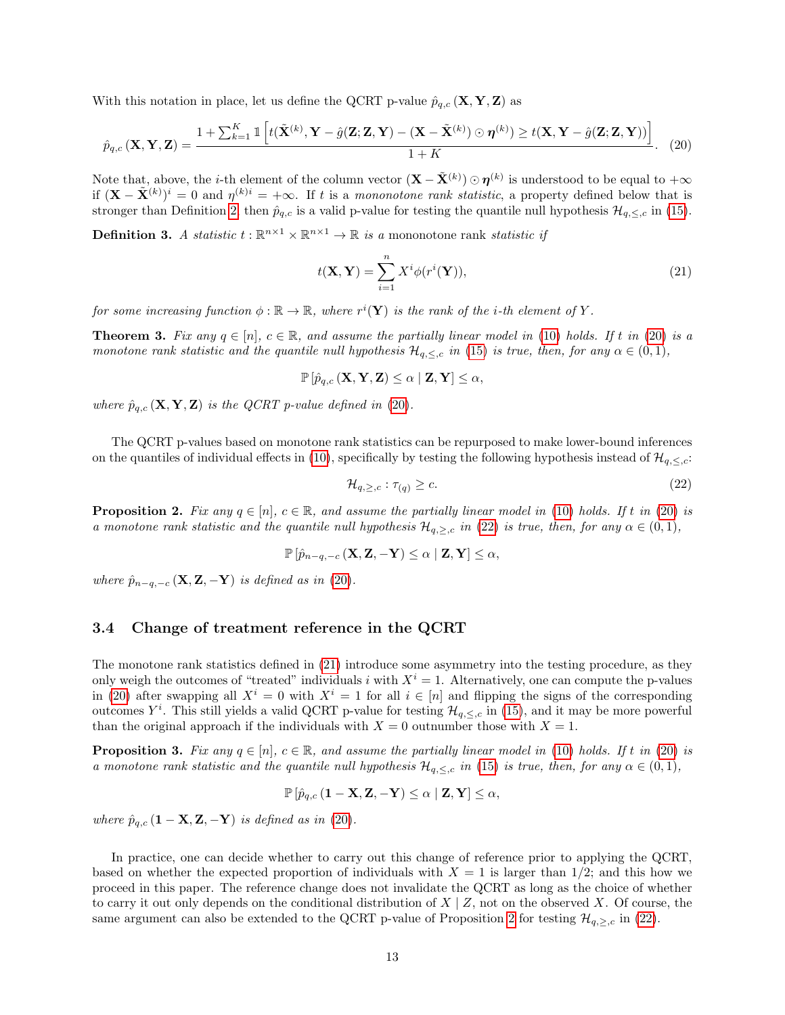With this notation in place, let us define the QCRT p-value  $\hat{p}_{q,c}(\mathbf{X}, \mathbf{Y}, \mathbf{Z})$  as

$$
\hat{p}_{q,c}\left(\mathbf{X},\mathbf{Y},\mathbf{Z}\right) = \frac{1 + \sum_{k=1}^{K} \mathbb{1}\left[t(\tilde{\mathbf{X}}^{(k)},\mathbf{Y} - \hat{g}(\mathbf{Z};\mathbf{Z},\mathbf{Y}) - (\mathbf{X} - \tilde{\mathbf{X}}^{(k)}) \odot \boldsymbol{\eta}^{(k)}\right] \ge t(\mathbf{X},\mathbf{Y} - \hat{g}(\mathbf{Z};\mathbf{Z},\mathbf{Y}))\right]}{1 + K}.
$$
 (20)

Note that, above, the *i*-th element of the column vector  $(\mathbf{X} - \tilde{\mathbf{X}}^{(k)}) \odot \boldsymbol{\eta}^{(k)}$  is understood to be equal to  $+\infty$ if  $(\mathbf{X} - \tilde{\mathbf{X}}^{(k)})^i = 0$  and  $\eta^{(k)i} = +\infty$ . If t is a mononotone rank statistic, a property defined below that is stronger than Definition [2,](#page-11-1) then  $\hat{p}_{q,c}$  is a valid p-value for testing the quantile null hypothesis  $\mathcal{H}_{q,\leq,c}$  in [\(15\)](#page-10-4).

**Definition 3.** A statistic  $t : \mathbb{R}^{n \times 1} \times \mathbb{R}^{n \times 1} \to \mathbb{R}$  is a mononotone rank statistic if

<span id="page-12-2"></span><span id="page-12-0"></span>
$$
t(\mathbf{X}, \mathbf{Y}) = \sum_{i=1}^{n} X^i \phi(r^i(\mathbf{Y})),
$$
\n(21)

for some increasing function  $\phi : \mathbb{R} \to \mathbb{R}$ , where  $r^i(\mathbf{Y})$  is the rank of the *i*-th element of Y.

<span id="page-12-4"></span>**Theorem 3.** Fix any  $q \in [n], c \in \mathbb{R}$ , and assume the partially linear model in [\(10\)](#page-9-1) holds. If t in [\(20\)](#page-12-0) is a monotone rank statistic and the quantile null hypothesis  $\mathcal{H}_{q,\leq,c}$  in [\(15\)](#page-10-4) is true, then, for any  $\alpha \in (0,1)$ ,

$$
\mathbb{P}\left[\hat{p}_{q,c}\left(\mathbf{X},\mathbf{Y},\mathbf{Z}\right)\leq\alpha\mid\mathbf{Z},\mathbf{Y}\right]\leq\alpha,
$$

where  $\hat{p}_{q,c}(\mathbf{X}, \mathbf{Y}, \mathbf{Z})$  is the QCRT p-value defined in [\(20\)](#page-12-0).

The QCRT p-values based on monotone rank statistics can be repurposed to make lower-bound inferences on the quantiles of individual effects in [\(10\)](#page-9-1), specifically by testing the following hypothesis instead of  $\mathcal{H}_{q,\leq,c}$ :

<span id="page-12-1"></span>
$$
\mathcal{H}_{q,\ge,c}:\tau_{(q)}\ge c.\tag{22}
$$

<span id="page-12-3"></span>**Proposition 2.** Fix any  $q \in [n], c \in \mathbb{R}$ , and assume the partially linear model in [\(10\)](#page-9-1) holds. If t in [\(20\)](#page-12-0) is a monotone rank statistic and the quantile null hypothesis  $\mathcal{H}_{q,\geq,c}$  in [\(22\)](#page-12-1) is true, then, for any  $\alpha \in (0,1)$ ,

$$
\mathbb{P}\left[\hat{p}_{n-q,-c}\left(\mathbf{X},\mathbf{Z},-\mathbf{Y}\right)\leq\alpha\mid\mathbf{Z},\mathbf{Y}\right]\leq\alpha,
$$

where  $\hat{p}_{n-q,-c}(\mathbf{X}, \mathbf{Z}, -\mathbf{Y})$  is defined as in [\(20\)](#page-12-0).

#### <span id="page-12-5"></span>3.4 Change of treatment reference in the QCRT

The monotone rank statistics defined in [\(21\)](#page-12-2) introduce some asymmetry into the testing procedure, as they only weigh the outcomes of "treated" individuals i with  $X<sup>i</sup> = 1$ . Alternatively, one can compute the p-values in [\(20\)](#page-12-0) after swapping all  $X^i = 0$  with  $X^i = 1$  for all  $i \in [n]$  and flipping the signs of the corresponding outcomes  $Y^i$ . This still yields a valid QCRT p-value for testing  $\mathcal{H}_{q,\leq,c}$  in [\(15\)](#page-10-4), and it may be more powerful than the original approach if the individuals with  $X = 0$  outnumber those with  $X = 1$ .

<span id="page-12-6"></span>**Proposition 3.** Fix any  $q \in [n]$ ,  $c \in \mathbb{R}$ , and assume the partially linear model in [\(10\)](#page-9-1) holds. If t in [\(20\)](#page-12-0) is a monotone rank statistic and the quantile null hypothesis  $\mathcal{H}_{q,\leq,c}$  in [\(15\)](#page-10-4) is true, then, for any  $\alpha \in (0,1)$ ,

$$
\mathbb{P}\left[\hat{p}_{q,c}\left(\mathbf{1}-\mathbf{X},\mathbf{Z},-\mathbf{Y}\right)\leq\alpha\mid \mathbf{Z},\mathbf{Y}\right]\leq\alpha,
$$

where  $\hat{p}_{q,c}$  (1 – **X**, **Z**, –**Y**) is defined as in [\(20\)](#page-12-0).

In practice, one can decide whether to carry out this change of reference prior to applying the QCRT, based on whether the expected proportion of individuals with  $X = 1$  is larger than 1/2; and this how we proceed in this paper. The reference change does not invalidate the QCRT as long as the choice of whether to carry it out only depends on the conditional distribution of  $X \mid Z$ , not on the observed X. Of course, the same argument can also be extended to the QCRT p-value of Proposition [2](#page-12-3) for testing  $\mathcal{H}_{q,>,c}$  in [\(22\)](#page-12-1).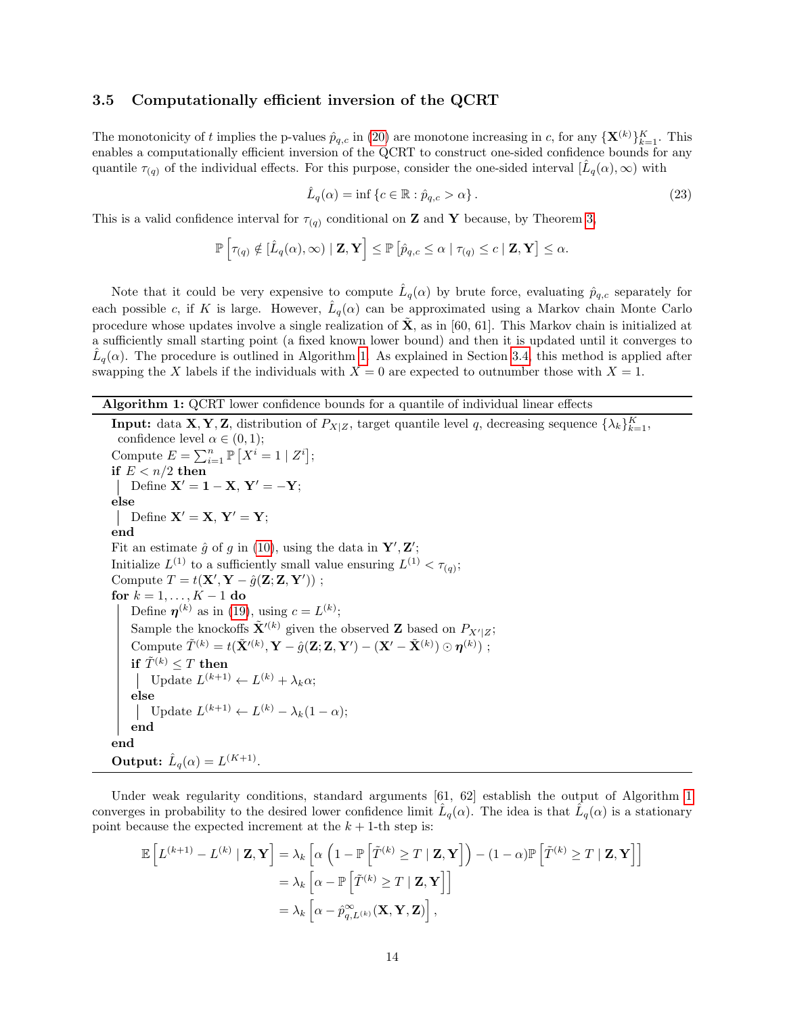#### <span id="page-13-2"></span>3.5 Computationally efficient inversion of the QCRT

The monotonicity of t implies the p-values  $\hat{p}_{q,c}$  in [\(20\)](#page-12-0) are monotone increasing in c, for any  $\{X^{(k)}\}_{k=1}^K$ . This enables a computationally efficient inversion of the QCRT to construct one-sided confidence bounds for any quantile  $\tau_{(q)}$  of the individual effects. For this purpose, consider the one-sided interval  $[\hat{L}_q(\alpha), \infty)$  with

<span id="page-13-1"></span>
$$
\hat{L}_q(\alpha) = \inf \left\{ c \in \mathbb{R} : \hat{p}_{q,c} > \alpha \right\}.
$$
\n(23)

This is a valid confidence interval for  $\tau_{(q)}$  conditional on **Z** and **Y** because, by Theorem [3,](#page-12-4)

$$
\mathbb{P}\left[\tau_{(q)}\notin[\hat{L}_q(\alpha),\infty)\mid \mathbf{Z},\mathbf{Y}\right]\leq \mathbb{P}\left[\hat{p}_{q,c}\leq \alpha\mid \tau_{(q)}\leq c\mid \mathbf{Z},\mathbf{Y}\right]\leq \alpha.
$$

Note that it could be very expensive to compute  $\hat{L}_q(\alpha)$  by brute force, evaluating  $\hat{p}_{q,c}$  separately for each possible c, if K is large. However,  $\hat{L}_q(\alpha)$  can be approximated using a Markov chain Monte Carlo procedure whose updates involve a single realization of  $\tilde{\mathbf{X}}$ , as in [60, 61]. This Markov chain is initialized at a sufficiently small starting point (a fixed known lower bound) and then it is updated until it converges to  $\hat{L}_q(\alpha)$ . The procedure is outlined in Algorithm [1.](#page-13-0) As explained in Section [3.4,](#page-12-5) this method is applied after swapping the X labels if the individuals with  $X = 0$  are expected to outnumber those with  $X = 1$ .

#### Algorithm 1: QCRT lower confidence bounds for a quantile of individual linear effects

**Input:** data **X**, **Y**, **Z**, distribution of  $P_{X|Z}$ , target quantile level q, decreasing sequence  $\{\lambda_k\}_{k=1}^K$ , confidence level  $\alpha \in (0,1);$ Compute  $E = \sum_{i=1}^{n} \mathbb{P}\left[X^{i} = 1 \mid Z^{i}\right];$ if  $E < n/2$  then Define  $X' = 1 - X$ ,  $Y' = -Y$ ; else Define  $X' = X$ ,  $Y' = Y$ ; end Fit an estimate  $\hat{g}$  of g in [\(10\)](#page-9-1), using the data in  $\mathbf{Y}', \mathbf{Z}'$ ; Initialize  $L^{(1)}$  to a sufficiently small value ensuring  $L^{(1)} < \tau_{(q)}$ ; Compute  $T = t(\mathbf{X}', \mathbf{Y} - \hat{g}(\mathbf{Z}; \mathbf{Z}, \mathbf{Y}'))$ ; for  $k = 1, \ldots, K - 1$  do Define  $\boldsymbol{\eta}^{(k)}$  as in [\(19\)](#page-11-3), using  $c = L^{(k)}$ ; Sample the knockoffs  $\tilde{\mathbf{X}}^{\prime(k)}$  given the observed **Z** based on  $P_{X^{\prime}|Z}$ ; Compute  $\tilde{T}^{(k)} = t(\tilde{\mathbf{X}}'^{(k)}, \mathbf{Y} - \hat{g}(\mathbf{Z}; \mathbf{Z}, \mathbf{Y}') - (\mathbf{X}' - \tilde{\mathbf{X}}^{(k)}) \odot \boldsymbol{\eta}^{(k)});$ if  $\tilde T^{(k)} \leq T$  then Update  $L^{(k+1)} \leftarrow L^{(k)} + \lambda_k \alpha;$ else Update  $L^{(k+1)} \leftarrow L^{(k)} - \lambda_k (1 - \alpha);$ end end Output:  $\hat{L}_q(\alpha) = L^{(K+1)}$ .

Under weak regularity conditions, standard arguments [61, 62] establish the output of Algorithm [1](#page-13-0) converges in probability to the desired lower confidence limit  $\hat{L}_q(\alpha)$ . The idea is that  $\hat{L}_q(\alpha)$  is a stationary point because the expected increment at the  $k + 1$ -th step is:

<span id="page-13-0"></span>
$$
\mathbb{E}\left[L^{(k+1)} - L^{(k)} | \mathbf{Z}, \mathbf{Y}\right] = \lambda_k \left[\alpha \left(1 - \mathbb{P}\left[\tilde{T}^{(k)} \ge T | \mathbf{Z}, \mathbf{Y}\right]\right) - (1 - \alpha)\mathbb{P}\left[\tilde{T}^{(k)} \ge T | \mathbf{Z}, \mathbf{Y}\right]\right]
$$

$$
= \lambda_k \left[\alpha - \mathbb{P}\left[\tilde{T}^{(k)} \ge T | \mathbf{Z}, \mathbf{Y}\right]\right]
$$

$$
= \lambda_k \left[\alpha - \hat{p}_{q, L^{(k)}}^{\infty}(\mathbf{X}, \mathbf{Y}, \mathbf{Z})\right],
$$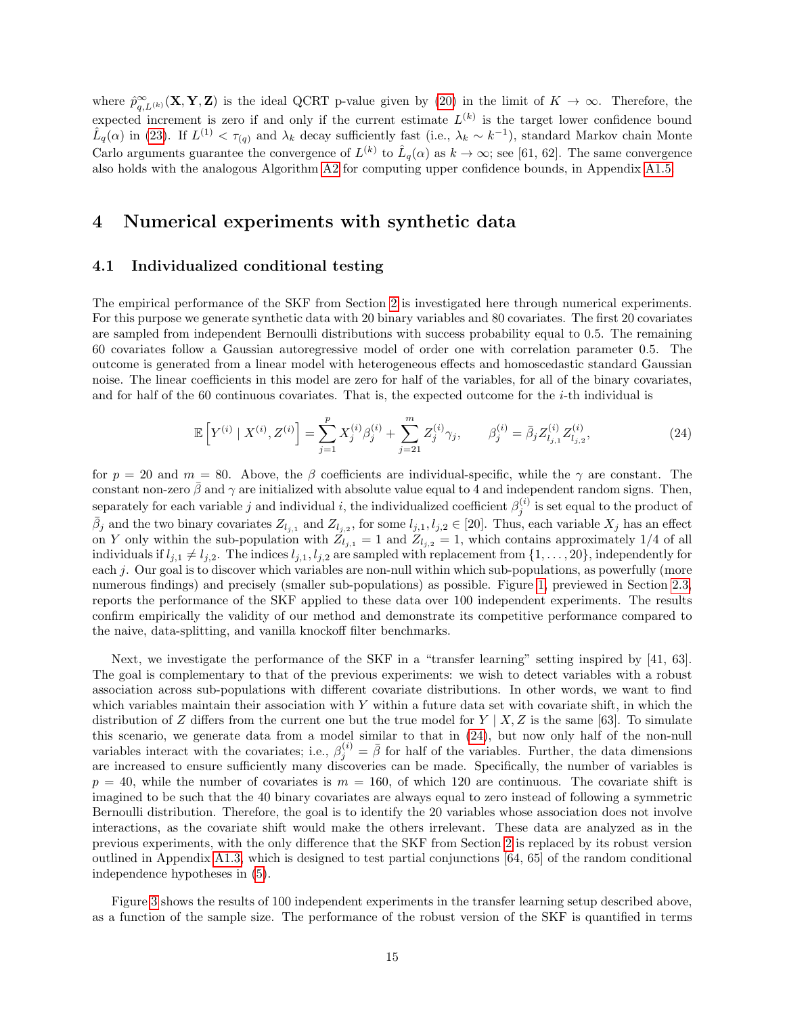where  $\hat{p}_{q,L^{(k)}}^{\infty}(\mathbf{X}, \mathbf{Y}, \mathbf{Z})$  is the ideal QCRT p-value given by [\(20\)](#page-12-0) in the limit of  $K \to \infty$ . Therefore, the expected increment is zero if and only if the current estimate  $L^{(k)}$  is the target lower confidence bound  $\hat{L}_q(\alpha)$  in [\(23\)](#page-13-1). If  $L^{(1)} < \tau_{(q)}$  and  $\lambda_k$  decay sufficiently fast (i.e.,  $\lambda_k \sim k^{-1}$ ), standard Markov chain Monte Carlo arguments guarantee the convergence of  $L^{(k)}$  to  $\hat{L}_q(\alpha)$  as  $k \to \infty$ ; see [61, 62]. The same convergence also holds with the analogous Algorithm [A2](#page-32-0) for computing upper confidence bounds, in Appendix [A1.5.](#page-32-1)

### <span id="page-14-1"></span>4 Numerical experiments with synthetic data

#### <span id="page-14-0"></span>4.1 Individualized conditional testing

The empirical performance of the SKF from Section [2](#page-3-5) is investigated here through numerical experiments. For this purpose we generate synthetic data with 20 binary variables and 80 covariates. The first 20 covariates are sampled from independent Bernoulli distributions with success probability equal to 0.5. The remaining 60 covariates follow a Gaussian autoregressive model of order one with correlation parameter 0.5. The outcome is generated from a linear model with heterogeneous effects and homoscedastic standard Gaussian noise. The linear coefficients in this model are zero for half of the variables, for all of the binary covariates, and for half of the 60 continuous covariates. That is, the expected outcome for the i-th individual is

<span id="page-14-2"></span>
$$
\mathbb{E}\left[Y^{(i)} \mid X^{(i)}, Z^{(i)}\right] = \sum_{j=1}^{p} X_j^{(i)} \beta_j^{(i)} + \sum_{j=21}^{m} Z_j^{(i)} \gamma_j, \qquad \beta_j^{(i)} = \bar{\beta}_j Z_{l_{j,1}}^{(i)} Z_{l_{j,2}}^{(i)},\tag{24}
$$

for  $p = 20$  and  $m = 80$ . Above, the β coefficients are individual-specific, while the  $\gamma$  are constant. The constant non-zero  $\bar{\beta}$  and  $\gamma$  are initialized with absolute value equal to 4 and independent random signs. Then, separately for each variable j and individual i, the individualized coefficient  $\beta_j^{(i)}$  is set equal to the product of  $\bar{\beta}_j$  and the two binary covariates  $Z_{l_{j,1}}$  and  $Z_{l_{j,2}}$ , for some  $l_{j,1}, l_{j,2} \in [20]$ . Thus, each variable  $X_j$  has an effect on Y only within the sub-population with  $Z_{l_{j,1}} = 1$  and  $Z_{l_{j,2}} = 1$ , which contains approximately 1/4 of all individuals if  $l_{j,1} \neq l_{j,2}$ . The indices  $l_{j,1}, l_{j,2}$  are sampled with replacement from  $\{1, \ldots, 20\}$ , independently for each j. Our goal is to discover which variables are non-null within which sub-populations, as powerfully (more numerous findings) and precisely (smaller sub-populations) as possible. Figure [1,](#page-6-0) previewed in Section [2.3,](#page-5-2) reports the performance of the SKF applied to these data over 100 independent experiments. The results confirm empirically the validity of our method and demonstrate its competitive performance compared to the naive, data-splitting, and vanilla knockoff filter benchmarks.

Next, we investigate the performance of the SKF in a "transfer learning" setting inspired by [41, 63]. The goal is complementary to that of the previous experiments: we wish to detect variables with a robust association across sub-populations with different covariate distributions. In other words, we want to find which variables maintain their association with  $Y$  within a future data set with covariate shift, in which the distribution of Z differs from the current one but the true model for  $Y \mid X, Z$  is the same [63]. To simulate this scenario, we generate data from a model similar to that in [\(24\)](#page-14-2), but now only half of the non-null variables interact with the covariates; i.e.,  $\beta_j^{(i)} = \bar{\beta}$  for half of the variables. Further, the data dimensions are increased to ensure sufficiently many discoveries can be made. Specifically, the number of variables is  $p = 40$ , while the number of covariates is  $m = 160$ , of which 120 are continuous. The covariate shift is imagined to be such that the 40 binary covariates are always equal to zero instead of following a symmetric Bernoulli distribution. Therefore, the goal is to identify the 20 variables whose association does not involve interactions, as the covariate shift would make the others irrelevant. These data are analyzed as in the previous experiments, with the only difference that the SKF from Section [2](#page-3-5) is replaced by its robust version outlined in Appendix [A1.3,](#page-30-0) which is designed to test partial conjunctions [64, 65] of the random conditional independence hypotheses in [\(5\)](#page-4-0).

Figure [3](#page-15-0) shows the results of 100 independent experiments in the transfer learning setup described above, as a function of the sample size. The performance of the robust version of the SKF is quantified in terms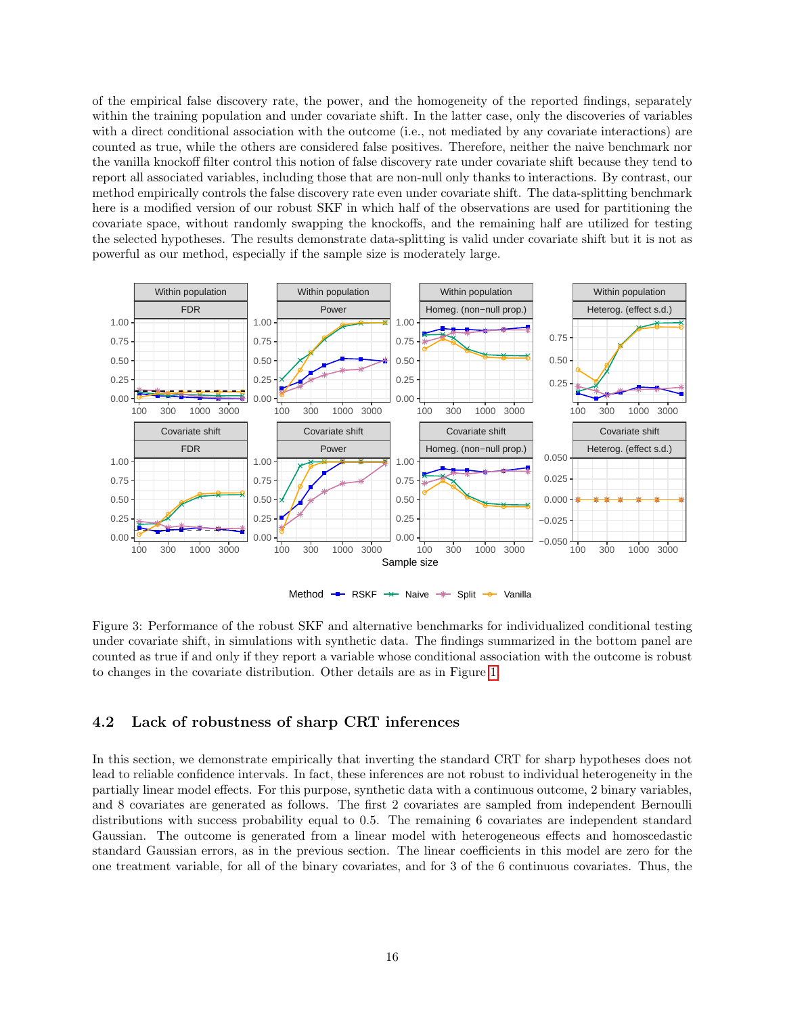of the empirical false discovery rate, the power, and the homogeneity of the reported findings, separately within the training population and under covariate shift. In the latter case, only the discoveries of variables with a direct conditional association with the outcome (i.e., not mediated by any covariate interactions) are counted as true, while the others are considered false positives. Therefore, neither the naive benchmark nor the vanilla knockoff filter control this notion of false discovery rate under covariate shift because they tend to report all associated variables, including those that are non-null only thanks to interactions. By contrast, our method empirically controls the false discovery rate even under covariate shift. The data-splitting benchmark here is a modified version of our robust SKF in which half of the observations are used for partitioning the covariate space, without randomly swapping the knockoffs, and the remaining half are utilized for testing the selected hypotheses. The results demonstrate data-splitting is valid under covariate shift but it is not as powerful as our method, especially if the sample size is moderately large.



<span id="page-15-0"></span>Figure 3: Performance of the robust SKF and alternative benchmarks for individualized conditional testing under covariate shift, in simulations with synthetic data. The findings summarized in the bottom panel are counted as true if and only if they report a variable whose conditional association with the outcome is robust to changes in the covariate distribution. Other details are as in Figure [1.](#page-6-0)

### 4.2 Lack of robustness of sharp CRT inferences

In this section, we demonstrate empirically that inverting the standard CRT for sharp hypotheses does not lead to reliable confidence intervals. In fact, these inferences are not robust to individual heterogeneity in the partially linear model effects. For this purpose, synthetic data with a continuous outcome, 2 binary variables, and 8 covariates are generated as follows. The first 2 covariates are sampled from independent Bernoulli distributions with success probability equal to 0.5. The remaining 6 covariates are independent standard Gaussian. The outcome is generated from a linear model with heterogeneous effects and homoscedastic standard Gaussian errors, as in the previous section. The linear coefficients in this model are zero for the one treatment variable, for all of the binary covariates, and for 3 of the 6 continuous covariates. Thus, the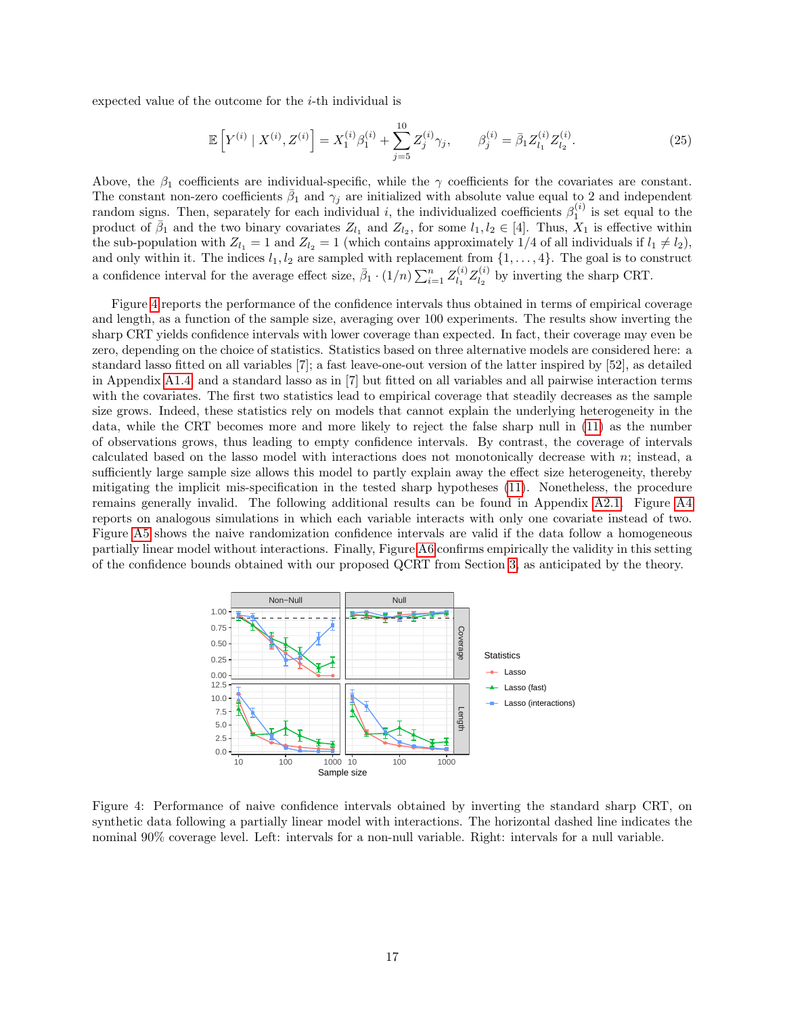expected value of the outcome for the i-th individual is

$$
\mathbb{E}\left[Y^{(i)} \mid X^{(i)}, Z^{(i)}\right] = X_1^{(i)}\beta_1^{(i)} + \sum_{j=5}^{10} Z_j^{(i)}\gamma_j, \qquad \beta_j^{(i)} = \bar{\beta}_1 Z_{l_1}^{(i)} Z_{l_2}^{(i)}.
$$
\n(25)

Above, the  $\beta_1$  coefficients are individual-specific, while the  $\gamma$  coefficients for the covariates are constant. The constant non-zero coefficients  $\bar{\beta}_1$  and  $\gamma_j$  are initialized with absolute value equal to 2 and independent random signs. Then, separately for each individual i, the individualized coefficients  $\beta_1^{(i)}$  is set equal to the product of  $\bar{\beta}_1$  and the two binary covariates  $Z_{l_1}$  and  $Z_{l_2}$ , for some  $l_1, l_2 \in [4]$ . Thus,  $X_1$  is effective within the sub-population with  $Z_{l_1} = 1$  and  $Z_{l_2} = 1$  (which contains approximately 1/4 of all individuals if  $l_1 \neq l_2$ ), and only within it. The indices  $l_1, l_2$  are sampled with replacement from  $\{1, \ldots, 4\}$ . The goal is to construct a confidence interval for the average effect size,  $\bar{\beta}_1 \cdot (1/n) \sum_{i=1}^n Z_{l_1}^{(i)}$  $\frac{d}{l_1}Z_{l_2}^{(i)}$  $\frac{d}{dz}$  by inverting the sharp CRT.

Figure [4](#page-16-0) reports the performance of the confidence intervals thus obtained in terms of empirical coverage and length, as a function of the sample size, averaging over 100 experiments. The results show inverting the sharp CRT yields confidence intervals with lower coverage than expected. In fact, their coverage may even be zero, depending on the choice of statistics. Statistics based on three alternative models are considered here: a standard lasso fitted on all variables [7]; a fast leave-one-out version of the latter inspired by [52], as detailed in Appendix [A1.4;](#page-31-0) and a standard lasso as in [7] but fitted on all variables and all pairwise interaction terms with the covariates. The first two statistics lead to empirical coverage that steadily decreases as the sample size grows. Indeed, these statistics rely on models that cannot explain the underlying heterogeneity in the data, while the CRT becomes more and more likely to reject the false sharp null in [\(11\)](#page-9-2) as the number of observations grows, thus leading to empty confidence intervals. By contrast, the coverage of intervals calculated based on the lasso model with interactions does not monotonically decrease with n; instead, a sufficiently large sample size allows this model to partly explain away the effect size heterogeneity, thereby mitigating the implicit mis-specification in the tested sharp hypotheses [\(11\)](#page-9-2). Nonetheless, the procedure remains generally invalid. The following additional results can be found in Appendix [A2.1.](#page-33-0) Figure [A4](#page-16-0) reports on analogous simulations in which each variable interacts with only one covariate instead of two. Figure [A5](#page-17-0) shows the naive randomization confidence intervals are valid if the data follow a homogeneous partially linear model without interactions. Finally, Figure [A6](#page-18-0) confirms empirically the validity in this setting of the confidence bounds obtained with our proposed QCRT from Section [3,](#page-9-4) as anticipated by the theory.

<span id="page-16-0"></span>

Figure 4: Performance of naive confidence intervals obtained by inverting the standard sharp CRT, on synthetic data following a partially linear model with interactions. The horizontal dashed line indicates the nominal 90% coverage level. Left: intervals for a non-null variable. Right: intervals for a null variable.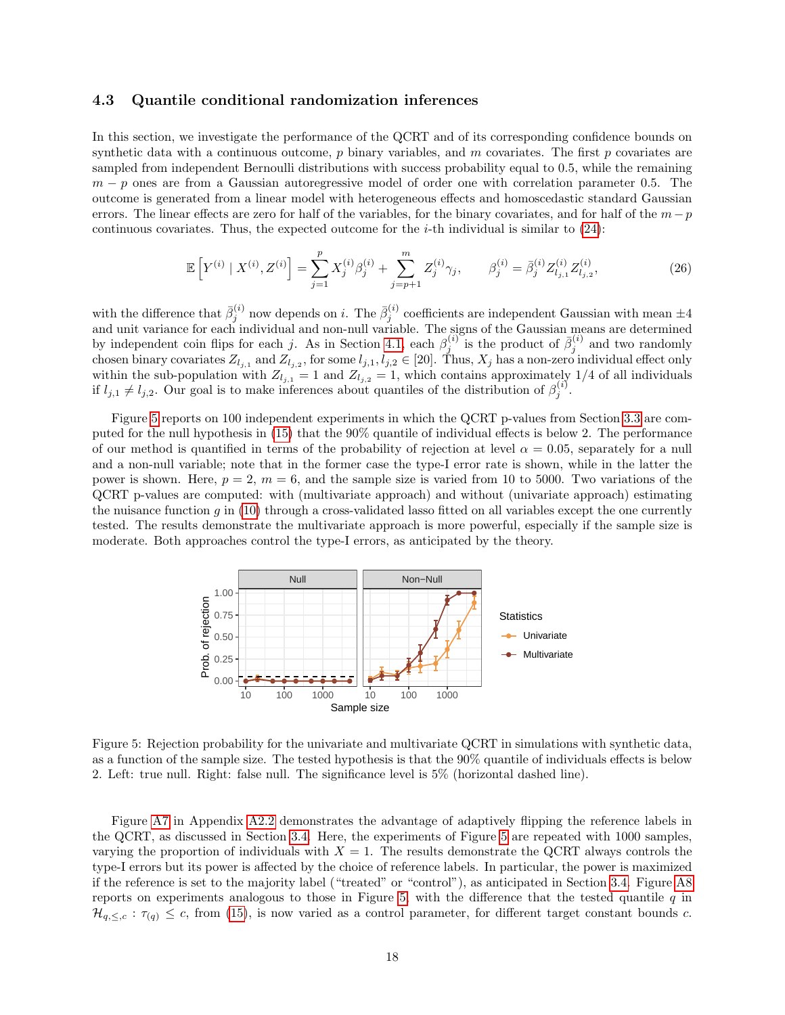#### 4.3 Quantile conditional randomization inferences

In this section, we investigate the performance of the QCRT and of its corresponding confidence bounds on synthetic data with a continuous outcome,  $p$  binary variables, and  $m$  covariates. The first  $p$  covariates are sampled from independent Bernoulli distributions with success probability equal to 0.5, while the remaining  $m - p$  ones are from a Gaussian autoregressive model of order one with correlation parameter 0.5. The outcome is generated from a linear model with heterogeneous effects and homoscedastic standard Gaussian errors. The linear effects are zero for half of the variables, for the binary covariates, and for half of the  $m-p$ continuous covariates. Thus, the expected outcome for the *i*-th individual is similar to  $(24)$ :

<span id="page-17-1"></span>
$$
\mathbb{E}\left[Y^{(i)} \mid X^{(i)}, Z^{(i)}\right] = \sum_{j=1}^{p} X_j^{(i)} \beta_j^{(i)} + \sum_{j=p+1}^{m} Z_j^{(i)} \gamma_j, \qquad \beta_j^{(i)} = \bar{\beta}_j^{(i)} Z_{l_{j,1}}^{(i)} Z_{l_{j,2}}^{(i)},\tag{26}
$$

with the difference that  $\bar{\beta}_j^{(i)}$  now depends on i. The  $\bar{\beta}_j^{(i)}$  coefficients are independent Gaussian with mean  $\pm 4$ and unit variance for each individual and non-null variable. The signs of the Gaussian means are determined by independent coin flips for each j. As in Section [4.1,](#page-14-0) each  $\beta_j^{(i)}$  is the product of  $\bar{\beta}_j^{(i)}$  and two randomly chosen binary covariates  $Z_{l_{j,1}}$  and  $Z_{l_{j,2}}$ , for some  $l_{j,1}, l_{j,2} \in [20]$ . Thus,  $X_j$  has a non-zero individual effect only within the sub-population with  $Z_{l_{j,1}} = 1$  and  $Z_{l_{j,2}} = 1$ , which contains approximately 1/4 of all individuals if  $l_{j,1} \neq l_{j,2}$ . Our goal is to make inferences about quantiles of the distribution of  $\beta_j^{(i)}$ .

Figure [5](#page-17-0) reports on 100 independent experiments in which the QCRT p-values from Section [3.3](#page-10-5) are computed for the null hypothesis in [\(15\)](#page-10-4) that the 90% quantile of individual effects is below 2. The performance of our method is quantified in terms of the probability of rejection at level  $\alpha = 0.05$ , separately for a null and a non-null variable; note that in the former case the type-I error rate is shown, while in the latter the power is shown. Here,  $p = 2$ ,  $m = 6$ , and the sample size is varied from 10 to 5000. Two variations of the QCRT p-values are computed: with (multivariate approach) and without (univariate approach) estimating the nuisance function q in  $(10)$  through a cross-validated lasso fitted on all variables except the one currently tested. The results demonstrate the multivariate approach is more powerful, especially if the sample size is moderate. Both approaches control the type-I errors, as anticipated by the theory.

<span id="page-17-0"></span>

Figure 5: Rejection probability for the univariate and multivariate QCRT in simulations with synthetic data, as a function of the sample size. The tested hypothesis is that the 90% quantile of individuals effects is below 2. Left: true null. Right: false null. The significance level is 5% (horizontal dashed line).

Figure [A7](#page-21-0) in Appendix [A2.2](#page-35-0) demonstrates the advantage of adaptively flipping the reference labels in the QCRT, as discussed in Section [3.4.](#page-12-5) Here, the experiments of Figure [5](#page-17-0) are repeated with 1000 samples, varying the proportion of individuals with  $X = 1$ . The results demonstrate the QCRT always controls the type-I errors but its power is affected by the choice of reference labels. In particular, the power is maximized if the reference is set to the majority label ("treated" or "control"), as anticipated in Section [3.4.](#page-12-5) Figure [A8](#page-22-0) reports on experiments analogous to those in Figure [5,](#page-17-0) with the difference that the tested quantile  $q$  in  $\mathcal{H}_{q,\leq,c} : \tau_{(q)} \leq c$ , from [\(15\)](#page-10-4), is now varied as a control parameter, for different target constant bounds c.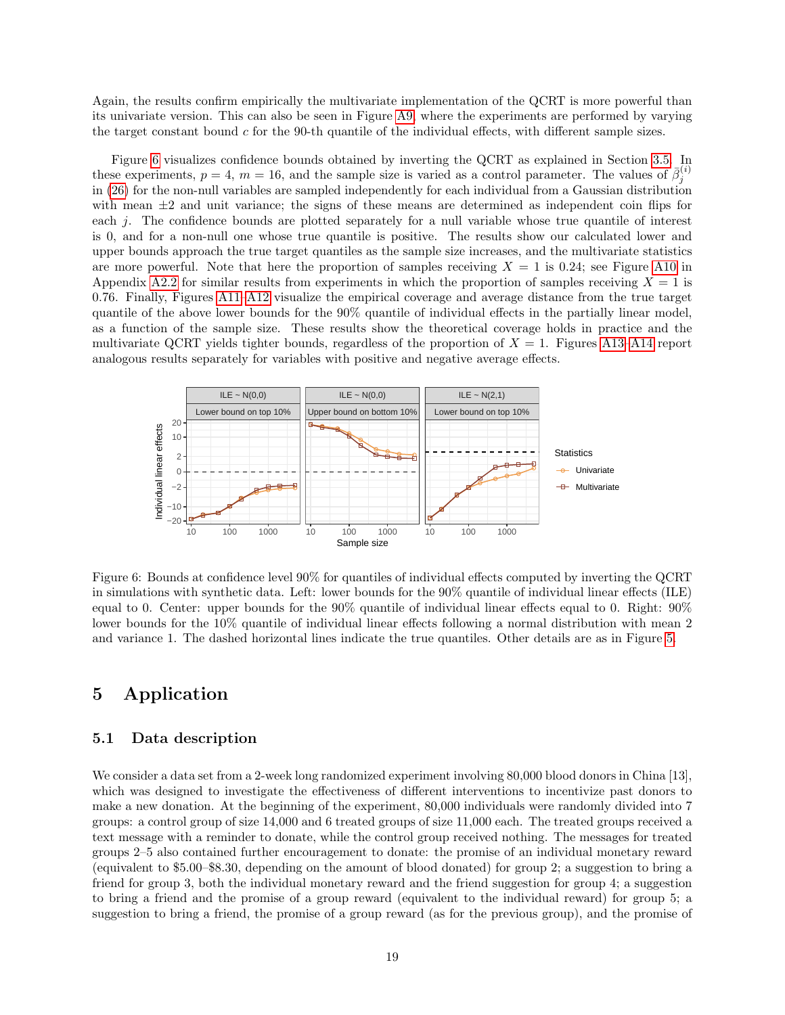Again, the results confirm empirically the multivariate implementation of the QCRT is more powerful than its univariate version. This can also be seen in Figure [A9,](#page-36-0) where the experiments are performed by varying the target constant bound  $c$  for the 90-th quantile of the individual effects, with different sample sizes.

Figure [6](#page-18-0) visualizes confidence bounds obtained by inverting the QCRT as explained in Section [3.5.](#page-13-2) In these experiments,  $p = 4$ ,  $m = 16$ , and the sample size is varied as a control parameter. The values of  $\bar{\beta}_j^{(i)}$ in [\(26\)](#page-17-1) for the non-null variables are sampled independently for each individual from a Gaussian distribution with mean  $\pm 2$  and unit variance; the signs of these means are determined as independent coin flips for each j. The confidence bounds are plotted separately for a null variable whose true quantile of interest is 0, and for a non-null one whose true quantile is positive. The results show our calculated lower and upper bounds approach the true target quantiles as the sample size increases, and the multivariate statistics are more powerful. Note that here the proportion of samples receiving  $X = 1$  is 0.24; see Figure [A10](#page-36-1) in Appendix [A2.2](#page-35-0) for similar results from experiments in which the proportion of samples receiving  $X = 1$  is 0.76. Finally, Figures [A11–](#page-37-0)[A12](#page-38-0) visualize the empirical coverage and average distance from the true target quantile of the above lower bounds for the 90% quantile of individual effects in the partially linear model, as a function of the sample size. These results show the theoretical coverage holds in practice and the multivariate QCRT yields tighter bounds, regardless of the proportion of  $X = 1$ . Figures [A13–](#page-38-1)[A14](#page-39-0) report analogous results separately for variables with positive and negative average effects.

<span id="page-18-0"></span>

Figure 6: Bounds at confidence level 90% for quantiles of individual effects computed by inverting the QCRT in simulations with synthetic data. Left: lower bounds for the 90% quantile of individual linear effects (ILE) equal to 0. Center: upper bounds for the 90% quantile of individual linear effects equal to 0. Right: 90% lower bounds for the 10% quantile of individual linear effects following a normal distribution with mean 2 and variance 1. The dashed horizontal lines indicate the true quantiles. Other details are as in Figure [5.](#page-17-0)

# 5 Application

### 5.1 Data description

We consider a data set from a 2-week long randomized experiment involving 80,000 blood donors in China [13], which was designed to investigate the effectiveness of different interventions to incentivize past donors to make a new donation. At the beginning of the experiment, 80,000 individuals were randomly divided into 7 groups: a control group of size 14,000 and 6 treated groups of size 11,000 each. The treated groups received a text message with a reminder to donate, while the control group received nothing. The messages for treated groups 2–5 also contained further encouragement to donate: the promise of an individual monetary reward (equivalent to \$5.00–\$8.30, depending on the amount of blood donated) for group 2; a suggestion to bring a friend for group 3, both the individual monetary reward and the friend suggestion for group 4; a suggestion to bring a friend and the promise of a group reward (equivalent to the individual reward) for group 5; a suggestion to bring a friend, the promise of a group reward (as for the previous group), and the promise of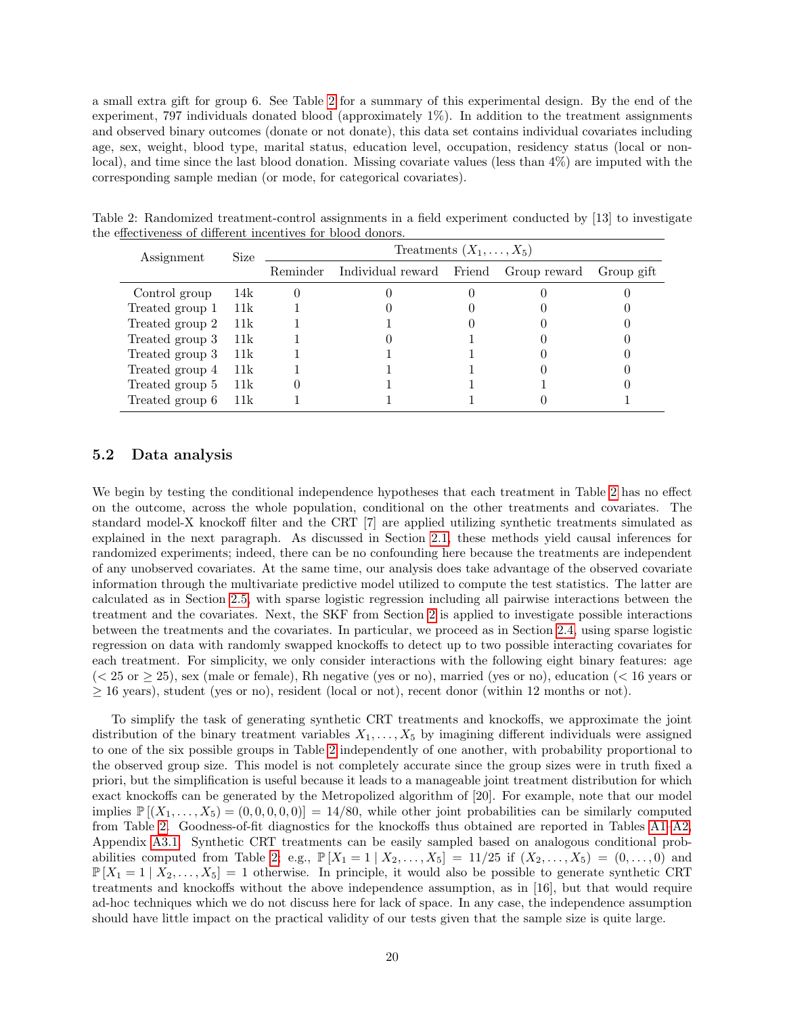a small extra gift for group 6. See Table [2](#page-19-0) for a summary of this experimental design. By the end of the experiment, 797 individuals donated blood (approximately 1%). In addition to the treatment assignments and observed binary outcomes (donate or not donate), this data set contains individual covariates including age, sex, weight, blood type, marital status, education level, occupation, residency status (local or nonlocal), and time since the last blood donation. Missing covariate values (less than 4%) are imputed with the corresponding sample median (or mode, for categorical covariates).

<span id="page-19-0"></span>Table 2: Randomized treatment-control assignments in a field experiment conducted by [13] to investigate the effectiveness of different incentives for blood donors.

| Assignment      | Size   |          | Treatments $(X_1, \ldots, X_5)$       |  |            |
|-----------------|--------|----------|---------------------------------------|--|------------|
|                 |        | Reminder | Individual reward Friend Group reward |  | Group gift |
| Control group   | - 14k  |          |                                       |  |            |
| Treated group 1 | – 11k  |          |                                       |  |            |
| Treated group 2 | 11k    |          |                                       |  |            |
| Treated group 3 | - 11k  |          |                                       |  |            |
| Treated group 3 | - 11k  |          |                                       |  |            |
| Treated group 4 | - 11k  |          |                                       |  |            |
| Treated group 5 | 11k    |          |                                       |  |            |
| Treated group 6 | - 11 k |          |                                       |  |            |

#### 5.2 Data analysis

We begin by testing the conditional independence hypotheses that each treatment in Table [2](#page-19-0) has no effect on the outcome, across the whole population, conditional on the other treatments and covariates. The standard model-X knockoff filter and the CRT [7] are applied utilizing synthetic treatments simulated as explained in the next paragraph. As discussed in Section [2.1,](#page-3-2) these methods yield causal inferences for randomized experiments; indeed, there can be no confounding here because the treatments are independent of any unobserved covariates. At the same time, our analysis does take advantage of the observed covariate information through the multivariate predictive model utilized to compute the test statistics. The latter are calculated as in Section [2.5,](#page-8-0) with sparse logistic regression including all pairwise interactions between the treatment and the covariates. Next, the SKF from Section [2](#page-3-5) is applied to investigate possible interactions between the treatments and the covariates. In particular, we proceed as in Section [2.4,](#page-7-0) using sparse logistic regression on data with randomly swapped knockoffs to detect up to two possible interacting covariates for each treatment. For simplicity, we only consider interactions with the following eight binary features: age  $(< 25 \text{ or } \ge 25)$ , sex (male or female), Rh negative (yes or no), married (yes or no), education ( $< 16$  years or  $\geq$  16 years), student (yes or no), resident (local or not), recent donor (within 12 months or not).

To simplify the task of generating synthetic CRT treatments and knockoffs, we approximate the joint distribution of the binary treatment variables  $X_1, \ldots, X_5$  by imagining different individuals were assigned to one of the six possible groups in Table [2](#page-19-0) independently of one another, with probability proportional to the observed group size. This model is not completely accurate since the group sizes were in truth fixed a priori, but the simplification is useful because it leads to a manageable joint treatment distribution for which exact knockoffs can be generated by the Metropolized algorithm of [20]. For example, note that our model implies  $\mathbb{P}[(X_1,\ldots,X_5)=(0,0,0,0,0)] = 14/80$ , while other joint probabilities can be similarly computed from Table [2.](#page-19-0) Goodness-of-fit diagnostics for the knockoffs thus obtained are reported in Tables [A1–](#page-7-1)[A2,](#page-19-0) Appendix [A3.1.](#page-39-1) Synthetic CRT treatments can be easily sampled based on analogous conditional prob-abilities computed from Table [2;](#page-19-0) e.g.,  $\mathbb{P}[X_1 = 1 | X_2, \ldots, X_5] = 11/25$  if  $(X_2, \ldots, X_5) = (0, \ldots, 0)$  and  $\mathbb{P}[X_1 = 1 | X_2, \ldots, X_5] = 1$  otherwise. In principle, it would also be possible to generate synthetic CRT treatments and knockoffs without the above independence assumption, as in [16], but that would require ad-hoc techniques which we do not discuss here for lack of space. In any case, the independence assumption should have little impact on the practical validity of our tests given that the sample size is quite large.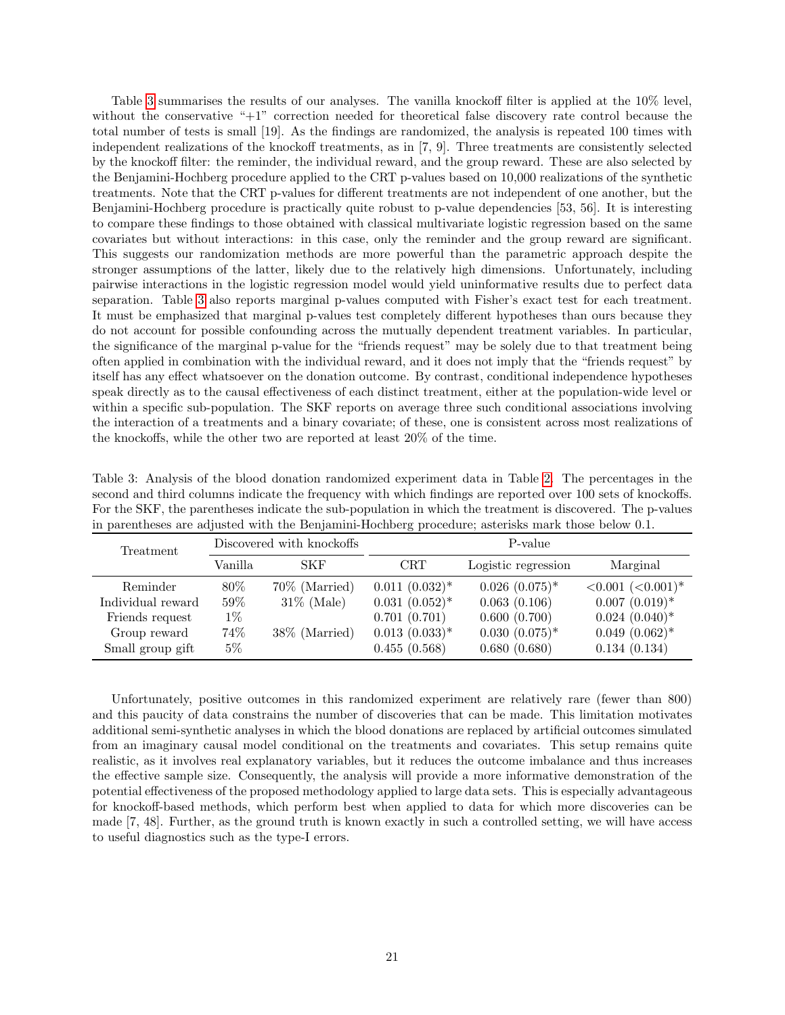Table [3](#page-20-0) summarises the results of our analyses. The vanilla knockoff filter is applied at the 10% level, without the conservative "+1" correction needed for theoretical false discovery rate control because the total number of tests is small [19]. As the findings are randomized, the analysis is repeated 100 times with independent realizations of the knockoff treatments, as in [7, 9]. Three treatments are consistently selected by the knockoff filter: the reminder, the individual reward, and the group reward. These are also selected by the Benjamini-Hochberg procedure applied to the CRT p-values based on 10,000 realizations of the synthetic treatments. Note that the CRT p-values for different treatments are not independent of one another, but the Benjamini-Hochberg procedure is practically quite robust to p-value dependencies [53, 56]. It is interesting to compare these findings to those obtained with classical multivariate logistic regression based on the same covariates but without interactions: in this case, only the reminder and the group reward are significant. This suggests our randomization methods are more powerful than the parametric approach despite the stronger assumptions of the latter, likely due to the relatively high dimensions. Unfortunately, including pairwise interactions in the logistic regression model would yield uninformative results due to perfect data separation. Table [3](#page-20-0) also reports marginal p-values computed with Fisher's exact test for each treatment. It must be emphasized that marginal p-values test completely different hypotheses than ours because they do not account for possible confounding across the mutually dependent treatment variables. In particular, the significance of the marginal p-value for the "friends request" may be solely due to that treatment being often applied in combination with the individual reward, and it does not imply that the "friends request" by itself has any effect whatsoever on the donation outcome. By contrast, conditional independence hypotheses speak directly as to the causal effectiveness of each distinct treatment, either at the population-wide level or within a specific sub-population. The SKF reports on average three such conditional associations involving the interaction of a treatments and a binary covariate; of these, one is consistent across most realizations of the knockoffs, while the other two are reported at least 20% of the time.

| Treatment                                        |                           | Discovered with knockoffs         |                                                      | P-value                                          |                                                                           |
|--------------------------------------------------|---------------------------|-----------------------------------|------------------------------------------------------|--------------------------------------------------|---------------------------------------------------------------------------|
|                                                  | Vanilla                   | <b>SKF</b>                        | $\operatorname{CRT}$                                 | Logistic regression                              | Marginal                                                                  |
| Reminder<br>Individual reward<br>Friends request | $80\%$<br>$59\%$<br>$1\%$ | $70\%$ (Married)<br>$31\%$ (Male) | $0.011~(0.032)*$<br>$0.031~(0.052)*$<br>0.701(0.701) | $0.026~(0.075)*$<br>0.063(0.106)<br>0.600(0.700) | $< 0.001$ $(< 0.001$ <sup>*</sup><br>$0.007~(0.019)*$<br>$0.024~(0.040)*$ |
| Group reward<br>Small group gift                 | 74%<br>$5\%$              | 38\% (Married)                    | $0.013~(0.033)*$<br>0.455(0.568)                     | $0.030~(0.075)*$<br>0.680(0.680)                 | $0.049~(0.062)*$<br>0.134(0.134)                                          |

<span id="page-20-0"></span>Table 3: Analysis of the blood donation randomized experiment data in Table [2.](#page-19-0) The percentages in the second and third columns indicate the frequency with which findings are reported over 100 sets of knockoffs. For the SKF, the parentheses indicate the sub-population in which the treatment is discovered. The p-values in parentheses are adjusted with the Benjamini-Hochberg procedure; asterisks mark those below 0.1.

Unfortunately, positive outcomes in this randomized experiment are relatively rare (fewer than 800) and this paucity of data constrains the number of discoveries that can be made. This limitation motivates additional semi-synthetic analyses in which the blood donations are replaced by artificial outcomes simulated from an imaginary causal model conditional on the treatments and covariates. This setup remains quite realistic, as it involves real explanatory variables, but it reduces the outcome imbalance and thus increases the effective sample size. Consequently, the analysis will provide a more informative demonstration of the potential effectiveness of the proposed methodology applied to large data sets. This is especially advantageous for knockoff-based methods, which perform best when applied to data for which more discoveries can be made [7, 48]. Further, as the ground truth is known exactly in such a controlled setting, we will have access to useful diagnostics such as the type-I errors.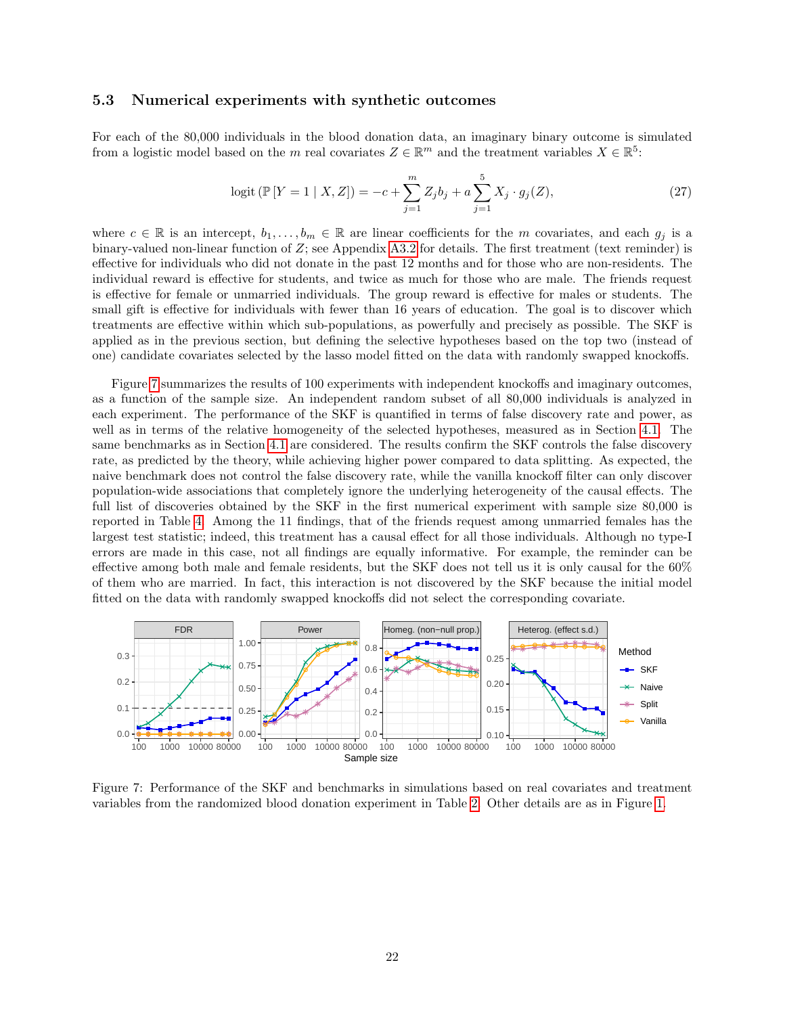#### <span id="page-21-2"></span>5.3 Numerical experiments with synthetic outcomes

For each of the 80,000 individuals in the blood donation data, an imaginary binary outcome is simulated from a logistic model based on the m real covariates  $Z \in \mathbb{R}^m$  and the treatment variables  $X \in \mathbb{R}^5$ :

<span id="page-21-1"></span>
$$
logit (\mathbb{P}[Y=1 | X, Z]) = -c + \sum_{j=1}^{m} Z_j b_j + a \sum_{j=1}^{5} X_j \cdot g_j(Z), \qquad (27)
$$

where  $c \in \mathbb{R}$  is an intercept,  $b_1, \ldots, b_m \in \mathbb{R}$  are linear coefficients for the m covariates, and each  $g_j$  is a binary-valued non-linear function of  $Z$ ; see Appendix [A3.2](#page-40-0) for details. The first treatment (text reminder) is effective for individuals who did not donate in the past 12 months and for those who are non-residents. The individual reward is effective for students, and twice as much for those who are male. The friends request is effective for female or unmarried individuals. The group reward is effective for males or students. The small gift is effective for individuals with fewer than 16 years of education. The goal is to discover which treatments are effective within which sub-populations, as powerfully and precisely as possible. The SKF is applied as in the previous section, but defining the selective hypotheses based on the top two (instead of one) candidate covariates selected by the lasso model fitted on the data with randomly swapped knockoffs.

Figure [7](#page-21-0) summarizes the results of 100 experiments with independent knockoffs and imaginary outcomes, as a function of the sample size. An independent random subset of all 80,000 individuals is analyzed in each experiment. The performance of the SKF is quantified in terms of false discovery rate and power, as well as in terms of the relative homogeneity of the selected hypotheses, measured as in Section [4.1.](#page-14-0) The same benchmarks as in Section [4.1](#page-14-0) are considered. The results confirm the SKF controls the false discovery rate, as predicted by the theory, while achieving higher power compared to data splitting. As expected, the naive benchmark does not control the false discovery rate, while the vanilla knockoff filter can only discover population-wide associations that completely ignore the underlying heterogeneity of the causal effects. The full list of discoveries obtained by the SKF in the first numerical experiment with sample size 80,000 is reported in Table [4.](#page-22-1) Among the 11 findings, that of the friends request among unmarried females has the largest test statistic; indeed, this treatment has a causal effect for all those individuals. Although no type-I errors are made in this case, not all findings are equally informative. For example, the reminder can be effective among both male and female residents, but the SKF does not tell us it is only causal for the 60% of them who are married. In fact, this interaction is not discovered by the SKF because the initial model fitted on the data with randomly swapped knockoffs did not select the corresponding covariate.



<span id="page-21-0"></span>Figure 7: Performance of the SKF and benchmarks in simulations based on real covariates and treatment variables from the randomized blood donation experiment in Table [2.](#page-19-0) Other details are as in Figure [1.](#page-6-0)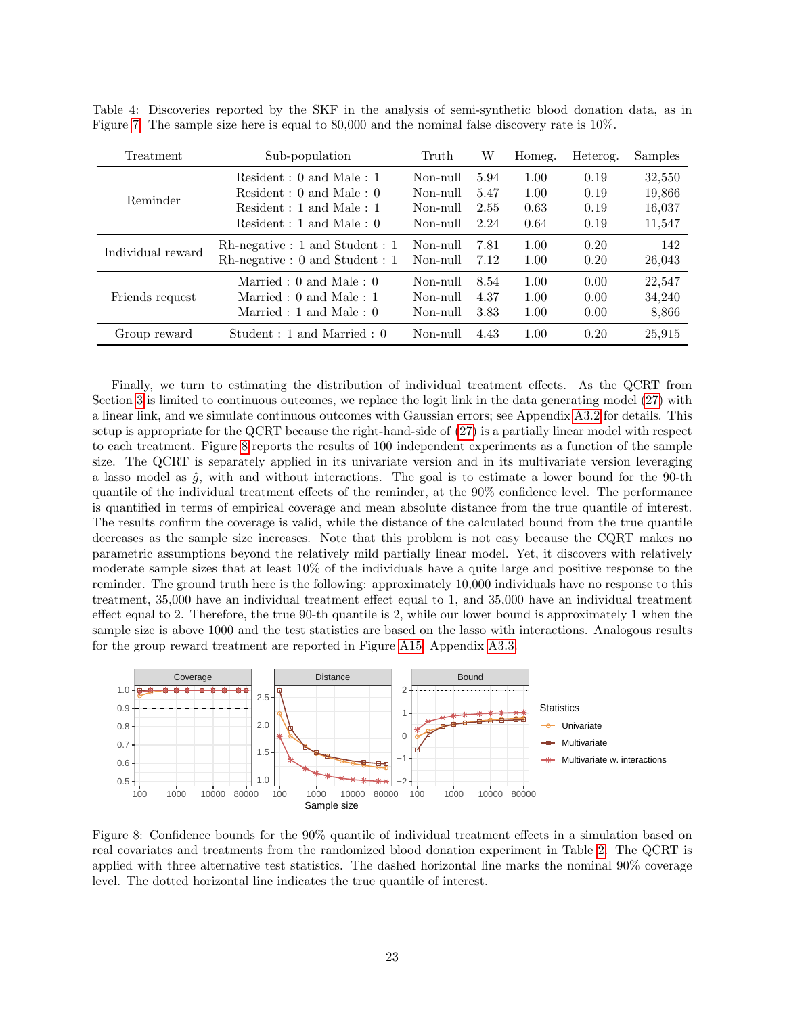| Treatment         | Sub-population                     | Truth    | W    | Homeg. | Heterog. | Samples |
|-------------------|------------------------------------|----------|------|--------|----------|---------|
|                   | Resident: 0 and Male: 1            | Non-null | 5.94 | 1.00   | 0.19     | 32,550  |
| Reminder          | Resident : $0$ and Male : $0$      | Non-mill | 5.47 | 1.00   | 0.19     | 19,866  |
|                   | Resident : 1 and Male : 1          | Non-null | 2.55 | 0.63   | 0.19     | 16,037  |
|                   | Resident: 1 and Male: 0            | Non-null | 2.24 | 0.64   | 0.19     | 11,547  |
| Individual reward | $Rh$ -negative : 1 and Student : 1 | Non-null | 7.81 | 1.00   | 0.20     | 142     |
|                   | $Rh$ -negative : 0 and Student : 1 | Non-null | 7.12 | 1.00   | 0.20     | 26,043  |
|                   | Married : $0$ and Male : $0$       | Non-mill | 8.54 | 1.00   | 0.00     | 22.547  |
| Friends request   | Married : $0$ and Male : 1         | Non-null | 4.37 | 1.00   | 0.00     | 34,240  |
|                   | Married : 1 and Male : $0$         | Non-mill | 3.83 | 1.00   | 0.00     | 8,866   |
| Group reward      | Student : 1 and Married : 0        | Non-mill | 4.43 | 1.00   | 0.20     | 25,915  |

<span id="page-22-1"></span>Table 4: Discoveries reported by the SKF in the analysis of semi-synthetic blood donation data, as in Figure [7.](#page-21-0) The sample size here is equal to 80,000 and the nominal false discovery rate is 10%.

Finally, we turn to estimating the distribution of individual treatment effects. As the QCRT from Section [3](#page-9-4) is limited to continuous outcomes, we replace the logit link in the data generating model [\(27\)](#page-21-1) with a linear link, and we simulate continuous outcomes with Gaussian errors; see Appendix [A3.2](#page-40-0) for details. This setup is appropriate for the QCRT because the right-hand-side of [\(27\)](#page-21-1) is a partially linear model with respect to each treatment. Figure [8](#page-22-0) reports the results of 100 independent experiments as a function of the sample size. The QCRT is separately applied in its univariate version and in its multivariate version leveraging a lasso model as  $\hat{g}$ , with and without interactions. The goal is to estimate a lower bound for the 90-th quantile of the individual treatment effects of the reminder, at the 90% confidence level. The performance is quantified in terms of empirical coverage and mean absolute distance from the true quantile of interest. The results confirm the coverage is valid, while the distance of the calculated bound from the true quantile decreases as the sample size increases. Note that this problem is not easy because the CQRT makes no parametric assumptions beyond the relatively mild partially linear model. Yet, it discovers with relatively moderate sample sizes that at least 10% of the individuals have a quite large and positive response to the reminder. The ground truth here is the following: approximately 10,000 individuals have no response to this treatment, 35,000 have an individual treatment effect equal to 1, and 35,000 have an individual treatment effect equal to 2. Therefore, the true 90-th quantile is 2, while our lower bound is approximately 1 when the sample size is above 1000 and the test statistics are based on the lasso with interactions. Analogous results for the group reward treatment are reported in Figure [A15,](#page-41-1) Appendix [A3.3.](#page-41-2)



<span id="page-22-0"></span>Figure 8: Confidence bounds for the 90% quantile of individual treatment effects in a simulation based on real covariates and treatments from the randomized blood donation experiment in Table [2.](#page-19-0) The QCRT is applied with three alternative test statistics. The dashed horizontal line marks the nominal 90% coverage level. The dotted horizontal line indicates the true quantile of interest.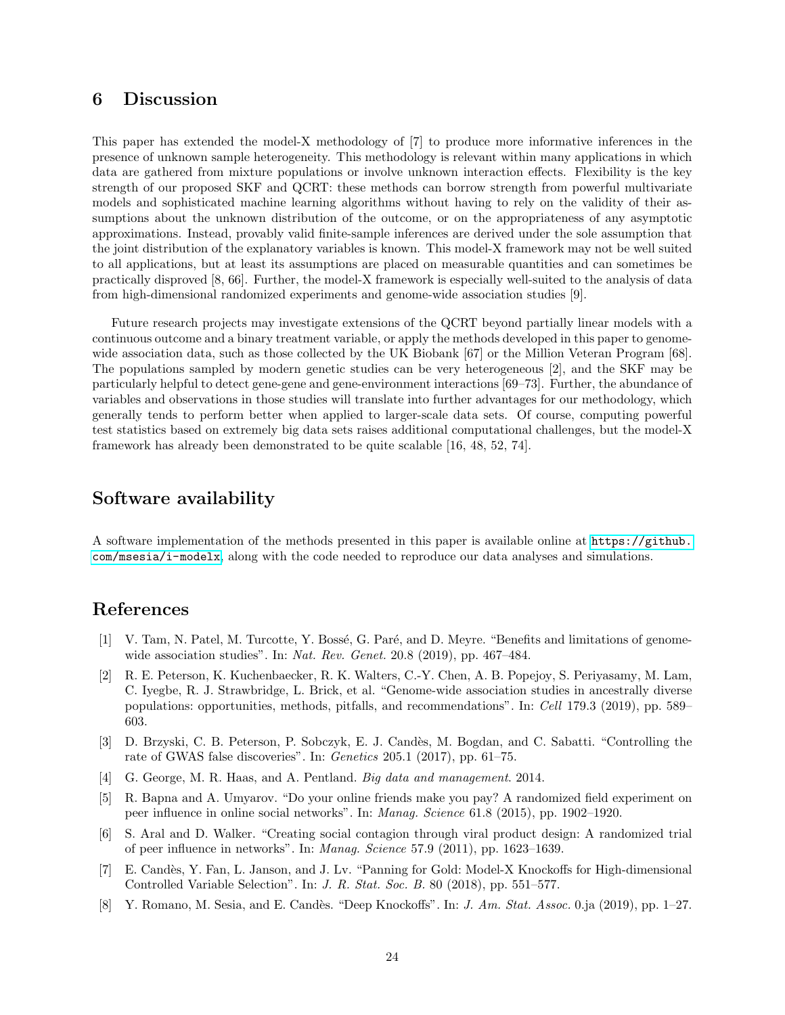# 6 Discussion

This paper has extended the model-X methodology of [7] to produce more informative inferences in the presence of unknown sample heterogeneity. This methodology is relevant within many applications in which data are gathered from mixture populations or involve unknown interaction effects. Flexibility is the key strength of our proposed SKF and QCRT: these methods can borrow strength from powerful multivariate models and sophisticated machine learning algorithms without having to rely on the validity of their assumptions about the unknown distribution of the outcome, or on the appropriateness of any asymptotic approximations. Instead, provably valid finite-sample inferences are derived under the sole assumption that the joint distribution of the explanatory variables is known. This model-X framework may not be well suited to all applications, but at least its assumptions are placed on measurable quantities and can sometimes be practically disproved [8, 66]. Further, the model-X framework is especially well-suited to the analysis of data from high-dimensional randomized experiments and genome-wide association studies [9].

Future research projects may investigate extensions of the QCRT beyond partially linear models with a continuous outcome and a binary treatment variable, or apply the methods developed in this paper to genomewide association data, such as those collected by the UK Biobank [67] or the Million Veteran Program [68]. The populations sampled by modern genetic studies can be very heterogeneous [2], and the SKF may be particularly helpful to detect gene-gene and gene-environment interactions [69–73]. Further, the abundance of variables and observations in those studies will translate into further advantages for our methodology, which generally tends to perform better when applied to larger-scale data sets. Of course, computing powerful test statistics based on extremely big data sets raises additional computational challenges, but the model-X framework has already been demonstrated to be quite scalable [16, 48, 52, 74].

## Software availability

A software implementation of the methods presented in this paper is available online at [https://github.](https://github.com/msesia/i-modelx) [com/msesia/i-modelx](https://github.com/msesia/i-modelx), along with the code needed to reproduce our data analyses and simulations.

# References

- [1] V. Tam, N. Patel, M. Turcotte, Y. Bossé, G. Paré, and D. Meyre. "Benefits and limitations of genomewide association studies". In: *Nat. Rev. Genet.* 20.8 (2019), pp. 467–484.
- [2] R. E. Peterson, K. Kuchenbaecker, R. K. Walters, C.-Y. Chen, A. B. Popejoy, S. Periyasamy, M. Lam, C. Iyegbe, R. J. Strawbridge, L. Brick, et al. "Genome-wide association studies in ancestrally diverse populations: opportunities, methods, pitfalls, and recommendations". In: Cell 179.3 (2019), pp. 589– 603.
- [3] D. Brzyski, C. B. Peterson, P. Sobczyk, E. J. Cand`es, M. Bogdan, and C. Sabatti. "Controlling the rate of GWAS false discoveries". In: Genetics 205.1 (2017), pp. 61–75.
- [4] G. George, M. R. Haas, and A. Pentland. Big data and management. 2014.
- [5] R. Bapna and A. Umyarov. "Do your online friends make you pay? A randomized field experiment on peer influence in online social networks". In: Manag. Science 61.8 (2015), pp. 1902–1920.
- [6] S. Aral and D. Walker. "Creating social contagion through viral product design: A randomized trial of peer influence in networks". In: Manag. Science 57.9 (2011), pp. 1623–1639.
- [7] E. Candès, Y. Fan, L. Janson, and J. Lv. "Panning for Gold: Model-X Knockoffs for High-dimensional Controlled Variable Selection". In: J. R. Stat. Soc. B. 80 (2018), pp. 551–577.
- [8] Y. Romano, M. Sesia, and E. Candès. "Deep Knockoffs". In: J. Am. Stat. Assoc. 0.ja (2019), pp. 1–27.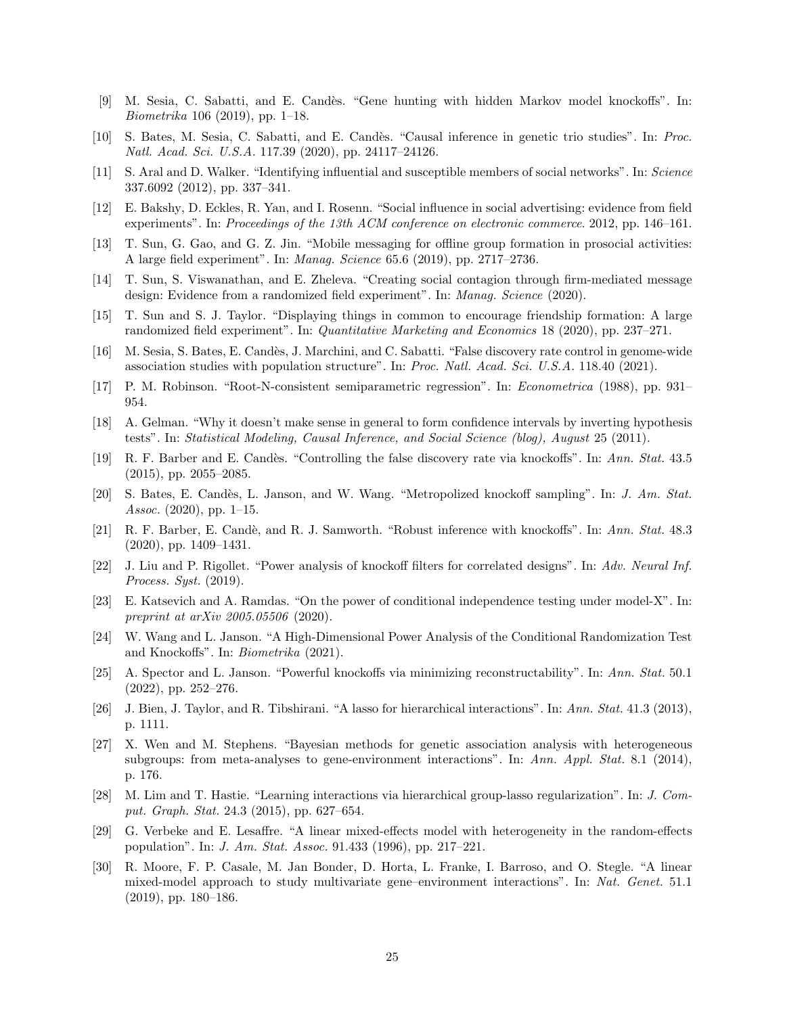- [9] M. Sesia, C. Sabatti, and E. Cand`es. "Gene hunting with hidden Markov model knockoffs". In: Biometrika 106 (2019), pp. 1–18.
- [10] S. Bates, M. Sesia, C. Sabatti, and E. Candès. "Causal inference in genetic trio studies". In: Proc. Natl. Acad. Sci. U.S.A. 117.39 (2020), pp. 24117–24126.
- [11] S. Aral and D. Walker. "Identifying influential and susceptible members of social networks". In: Science 337.6092 (2012), pp. 337–341.
- [12] E. Bakshy, D. Eckles, R. Yan, and I. Rosenn. "Social influence in social advertising: evidence from field experiments". In: Proceedings of the 13th ACM conference on electronic commerce. 2012, pp. 146–161.
- [13] T. Sun, G. Gao, and G. Z. Jin. "Mobile messaging for offline group formation in prosocial activities: A large field experiment". In: Manag. Science 65.6 (2019), pp. 2717–2736.
- [14] T. Sun, S. Viswanathan, and E. Zheleva. "Creating social contagion through firm-mediated message design: Evidence from a randomized field experiment". In: Manag. Science (2020).
- [15] T. Sun and S. J. Taylor. "Displaying things in common to encourage friendship formation: A large randomized field experiment". In: Quantitative Marketing and Economics 18 (2020), pp. 237–271.
- [16] M. Sesia, S. Bates, E. Candès, J. Marchini, and C. Sabatti. "False discovery rate control in genome-wide association studies with population structure". In: Proc. Natl. Acad. Sci. U.S.A. 118.40 (2021).
- [17] P. M. Robinson. "Root-N-consistent semiparametric regression". In: Econometrica (1988), pp. 931– 954.
- [18] A. Gelman. "Why it doesn't make sense in general to form confidence intervals by inverting hypothesis tests". In: Statistical Modeling, Causal Inference, and Social Science (blog), August 25 (2011).
- [19] R. F. Barber and E. Cand`es. "Controlling the false discovery rate via knockoffs". In: Ann. Stat. 43.5 (2015), pp. 2055–2085.
- [20] S. Bates, E. Candès, L. Janson, and W. Wang. "Metropolized knockoff sampling". In: J. Am. Stat. Assoc. (2020), pp. 1-15.
- [21] R. F. Barber, E. Candè, and R. J. Samworth. "Robust inference with knockoffs". In: Ann. Stat. 48.3 (2020), pp. 1409–1431.
- [22] J. Liu and P. Rigollet. "Power analysis of knockoff filters for correlated designs". In: Adv. Neural Inf. Process. Syst. (2019).
- [23] E. Katsevich and A. Ramdas. "On the power of conditional independence testing under model-X". In: preprint at arXiv 2005.05506 (2020).
- [24] W. Wang and L. Janson. "A High-Dimensional Power Analysis of the Conditional Randomization Test and Knockoffs". In: Biometrika (2021).
- [25] A. Spector and L. Janson. "Powerful knockoffs via minimizing reconstructability". In: Ann. Stat. 50.1 (2022), pp. 252–276.
- [26] J. Bien, J. Taylor, and R. Tibshirani. "A lasso for hierarchical interactions". In: Ann. Stat. 41.3 (2013), p. 1111.
- [27] X. Wen and M. Stephens. "Bayesian methods for genetic association analysis with heterogeneous subgroups: from meta-analyses to gene-environment interactions". In: Ann. Appl. Stat. 8.1 (2014), p. 176.
- [28] M. Lim and T. Hastie. "Learning interactions via hierarchical group-lasso regularization". In: J. Comput. Graph. Stat. 24.3 (2015), pp. 627–654.
- [29] G. Verbeke and E. Lesaffre. "A linear mixed-effects model with heterogeneity in the random-effects population". In: J. Am. Stat. Assoc. 91.433 (1996), pp. 217–221.
- [30] R. Moore, F. P. Casale, M. Jan Bonder, D. Horta, L. Franke, I. Barroso, and O. Stegle. "A linear mixed-model approach to study multivariate gene–environment interactions". In: Nat. Genet. 51.1 (2019), pp. 180–186.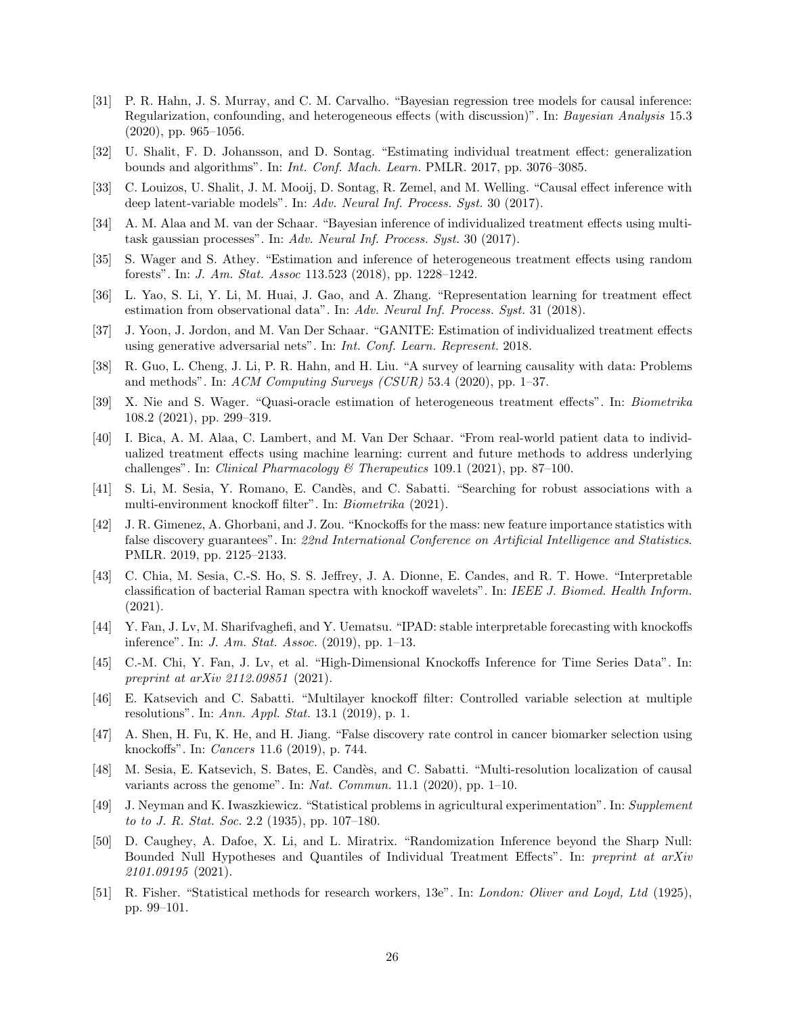- [31] P. R. Hahn, J. S. Murray, and C. M. Carvalho. "Bayesian regression tree models for causal inference: Regularization, confounding, and heterogeneous effects (with discussion)". In: Bayesian Analysis 15.3  $(2020)$ , pp. 965–1056.
- [32] U. Shalit, F. D. Johansson, and D. Sontag. "Estimating individual treatment effect: generalization bounds and algorithms". In: Int. Conf. Mach. Learn. PMLR. 2017, pp. 3076–3085.
- [33] C. Louizos, U. Shalit, J. M. Mooij, D. Sontag, R. Zemel, and M. Welling. "Causal effect inference with deep latent-variable models". In: Adv. Neural Inf. Process. Syst. 30 (2017).
- [34] A. M. Alaa and M. van der Schaar. "Bayesian inference of individualized treatment effects using multitask gaussian processes". In: Adv. Neural Inf. Process. Syst. 30 (2017).
- [35] S. Wager and S. Athey. "Estimation and inference of heterogeneous treatment effects using random forests". In: J. Am. Stat. Assoc 113.523 (2018), pp. 1228–1242.
- [36] L. Yao, S. Li, Y. Li, M. Huai, J. Gao, and A. Zhang. "Representation learning for treatment effect estimation from observational data". In: Adv. Neural Inf. Process. Syst. 31 (2018).
- [37] J. Yoon, J. Jordon, and M. Van Der Schaar. "GANITE: Estimation of individualized treatment effects using generative adversarial nets". In: Int. Conf. Learn. Represent. 2018.
- [38] R. Guo, L. Cheng, J. Li, P. R. Hahn, and H. Liu. "A survey of learning causality with data: Problems and methods". In:  $ACM$  Computing Surveys (CSUR) 53.4 (2020), pp. 1–37.
- [39] X. Nie and S. Wager. "Quasi-oracle estimation of heterogeneous treatment effects". In: Biometrika 108.2 (2021), pp. 299–319.
- [40] I. Bica, A. M. Alaa, C. Lambert, and M. Van Der Schaar. "From real-world patient data to individualized treatment effects using machine learning: current and future methods to address underlying challenges". In: *Clinical Pharmacology & Therapeutics* 109.1 (2021), pp. 87–100.
- [41] S. Li, M. Sesia, Y. Romano, E. Candès, and C. Sabatti. "Searching for robust associations with a multi-environment knockoff filter". In: Biometrika (2021).
- [42] J. R. Gimenez, A. Ghorbani, and J. Zou. "Knockoffs for the mass: new feature importance statistics with false discovery guarantees". In: 22nd International Conference on Artificial Intelligence and Statistics. PMLR. 2019, pp. 2125–2133.
- [43] C. Chia, M. Sesia, C.-S. Ho, S. S. Jeffrey, J. A. Dionne, E. Candes, and R. T. Howe. "Interpretable classification of bacterial Raman spectra with knockoff wavelets". In: IEEE J. Biomed. Health Inform. (2021).
- [44] Y. Fan, J. Lv, M. Sharifvaghefi, and Y. Uematsu. "IPAD: stable interpretable forecasting with knockoffs inference". In: J. Am. Stat. Assoc. (2019), pp. 1–13.
- [45] C.-M. Chi, Y. Fan, J. Lv, et al. "High-Dimensional Knockoffs Inference for Time Series Data". In: preprint at arXiv 2112.09851 (2021).
- [46] E. Katsevich and C. Sabatti. "Multilayer knockoff filter: Controlled variable selection at multiple resolutions". In: Ann. Appl. Stat. 13.1 (2019), p. 1.
- [47] A. Shen, H. Fu, K. He, and H. Jiang. "False discovery rate control in cancer biomarker selection using knockoffs". In: Cancers 11.6 (2019), p. 744.
- [48] M. Sesia, E. Katsevich, S. Bates, E. Candès, and C. Sabatti. "Multi-resolution localization of causal variants across the genome". In: Nat. Commun. 11.1 (2020), pp. 1–10.
- [49] J. Neyman and K. Iwaszkiewicz. "Statistical problems in agricultural experimentation". In: Supplement to to J. R. Stat. Soc. 2.2 (1935), pp. 107–180.
- [50] D. Caughey, A. Dafoe, X. Li, and L. Miratrix. "Randomization Inference beyond the Sharp Null: Bounded Null Hypotheses and Quantiles of Individual Treatment Effects". In: preprint at arXiv 2101.09195 (2021).
- [51] R. Fisher. "Statistical methods for research workers, 13e". In: London: Oliver and Loyd, Ltd (1925), pp. 99–101.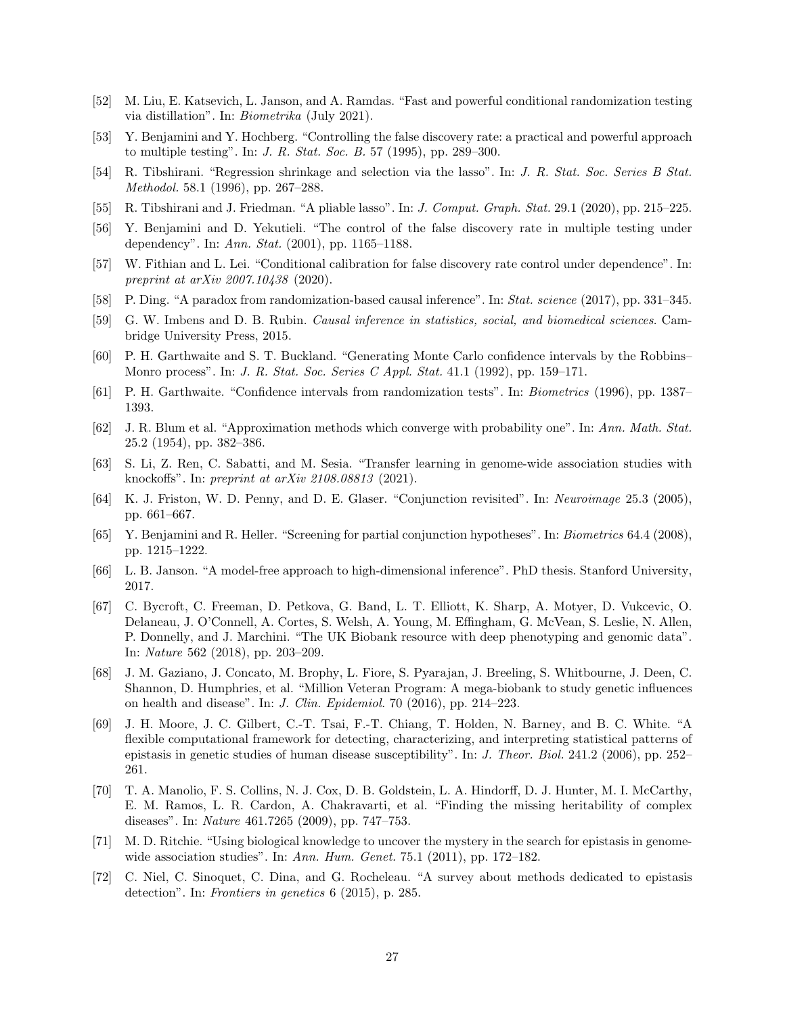- [52] M. Liu, E. Katsevich, L. Janson, and A. Ramdas. "Fast and powerful conditional randomization testing via distillation". In: Biometrika (July 2021).
- [53] Y. Benjamini and Y. Hochberg. "Controlling the false discovery rate: a practical and powerful approach to multiple testing". In: J. R. Stat. Soc. B. 57 (1995), pp. 289–300.
- [54] R. Tibshirani. "Regression shrinkage and selection via the lasso". In: J. R. Stat. Soc. Series B Stat. Methodol. 58.1 (1996), pp. 267–288.
- [55] R. Tibshirani and J. Friedman. "A pliable lasso". In: J. Comput. Graph. Stat. 29.1 (2020), pp. 215–225.
- [56] Y. Benjamini and D. Yekutieli. "The control of the false discovery rate in multiple testing under dependency". In: Ann. Stat. (2001), pp. 1165–1188.
- [57] W. Fithian and L. Lei. "Conditional calibration for false discovery rate control under dependence". In: preprint at arXiv 2007.10438 (2020).
- [58] P. Ding. "A paradox from randomization-based causal inference". In: Stat. science (2017), pp. 331–345.
- [59] G. W. Imbens and D. B. Rubin. Causal inference in statistics, social, and biomedical sciences. Cambridge University Press, 2015.
- [60] P. H. Garthwaite and S. T. Buckland. "Generating Monte Carlo confidence intervals by the Robbins– Monro process". In: J. R. Stat. Soc. Series C Appl. Stat. 41.1 (1992), pp. 159–171.
- [61] P. H. Garthwaite. "Confidence intervals from randomization tests". In: Biometrics (1996), pp. 1387– 1393.
- [62] J. R. Blum et al. "Approximation methods which converge with probability one". In: Ann. Math. Stat. 25.2 (1954), pp. 382–386.
- [63] S. Li, Z. Ren, C. Sabatti, and M. Sesia. "Transfer learning in genome-wide association studies with knockoffs". In: preprint at arXiv 2108.08813 (2021).
- [64] K. J. Friston, W. D. Penny, and D. E. Glaser. "Conjunction revisited". In: Neuroimage 25.3 (2005), pp. 661–667.
- [65] Y. Benjamini and R. Heller. "Screening for partial conjunction hypotheses". In: Biometrics 64.4 (2008), pp. 1215–1222.
- [66] L. B. Janson. "A model-free approach to high-dimensional inference". PhD thesis. Stanford University, 2017.
- [67] C. Bycroft, C. Freeman, D. Petkova, G. Band, L. T. Elliott, K. Sharp, A. Motyer, D. Vukcevic, O. Delaneau, J. O'Connell, A. Cortes, S. Welsh, A. Young, M. Effingham, G. McVean, S. Leslie, N. Allen, P. Donnelly, and J. Marchini. "The UK Biobank resource with deep phenotyping and genomic data". In: Nature 562 (2018), pp. 203–209.
- [68] J. M. Gaziano, J. Concato, M. Brophy, L. Fiore, S. Pyarajan, J. Breeling, S. Whitbourne, J. Deen, C. Shannon, D. Humphries, et al. "Million Veteran Program: A mega-biobank to study genetic influences on health and disease". In: J. Clin. Epidemiol. 70 (2016), pp. 214–223.
- [69] J. H. Moore, J. C. Gilbert, C.-T. Tsai, F.-T. Chiang, T. Holden, N. Barney, and B. C. White. "A flexible computational framework for detecting, characterizing, and interpreting statistical patterns of epistasis in genetic studies of human disease susceptibility". In: J. Theor. Biol. 241.2 (2006), pp. 252– 261.
- [70] T. A. Manolio, F. S. Collins, N. J. Cox, D. B. Goldstein, L. A. Hindorff, D. J. Hunter, M. I. McCarthy, E. M. Ramos, L. R. Cardon, A. Chakravarti, et al. "Finding the missing heritability of complex diseases". In: Nature 461.7265 (2009), pp. 747–753.
- [71] M. D. Ritchie. "Using biological knowledge to uncover the mystery in the search for epistasis in genomewide association studies". In: Ann. Hum. Genet. 75.1 (2011), pp. 172–182.
- [72] C. Niel, C. Sinoquet, C. Dina, and G. Rocheleau. "A survey about methods dedicated to epistasis detection". In: Frontiers in genetics 6 (2015), p. 285.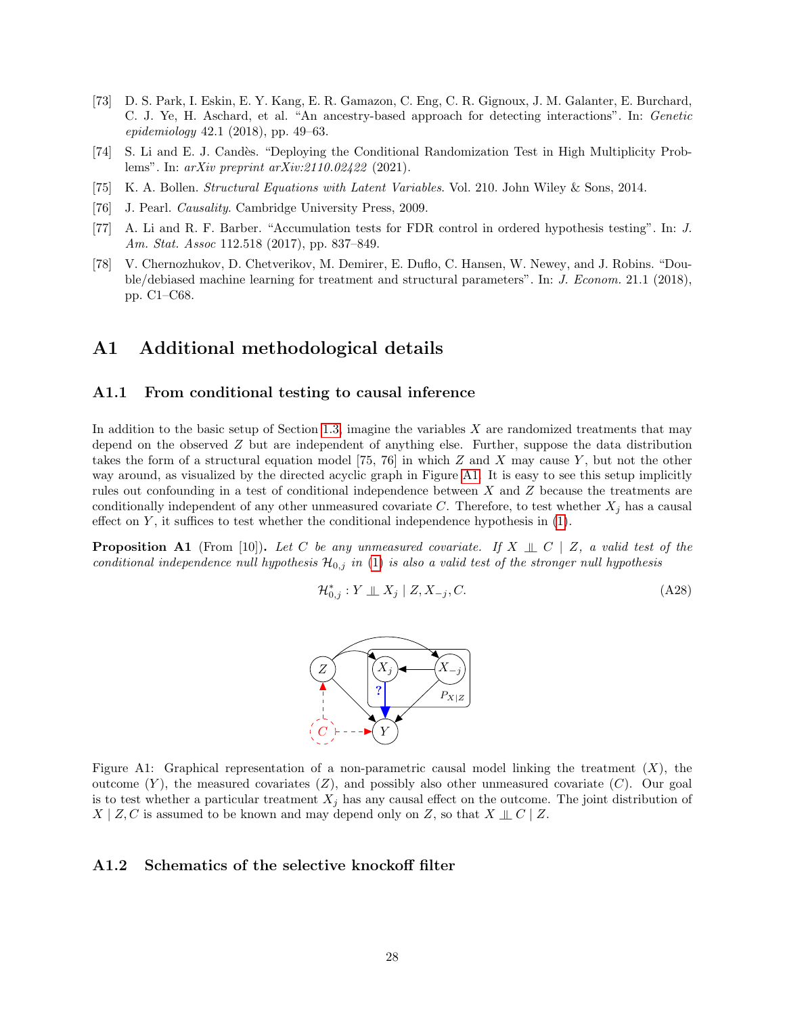- [73] D. S. Park, I. Eskin, E. Y. Kang, E. R. Gamazon, C. Eng, C. R. Gignoux, J. M. Galanter, E. Burchard, C. J. Ye, H. Aschard, et al. "An ancestry-based approach for detecting interactions". In: Genetic epidemiology 42.1 (2018), pp. 49–63.
- [74] S. Li and E. J. Candès. "Deploying the Conditional Randomization Test in High Multiplicity Problems". In: arXiv preprint arXiv:2110.02422 (2021).
- [75] K. A. Bollen. Structural Equations with Latent Variables. Vol. 210. John Wiley & Sons, 2014.
- [76] J. Pearl. *Causality*. Cambridge University Press, 2009.
- [77] A. Li and R. F. Barber. "Accumulation tests for FDR control in ordered hypothesis testing". In: J. Am. Stat. Assoc 112.518 (2017), pp. 837–849.
- [78] V. Chernozhukov, D. Chetverikov, M. Demirer, E. Duflo, C. Hansen, W. Newey, and J. Robins. "Double/debiased machine learning for treatment and structural parameters". In: J. Econom. 21.1 (2018), pp. C1–C68.

# A1 Additional methodological details

#### <span id="page-27-0"></span>A1.1 From conditional testing to causal inference

In addition to the basic setup of Section [1.3,](#page-2-0) imagine the variables  $X$  are randomized treatments that may depend on the observed Z but are independent of anything else. Further, suppose the data distribution takes the form of a structural equation model [75, 76] in which  $Z$  and  $X$  may cause  $Y$ , but not the other way around, as visualized by the directed acyclic graph in Figure [A1.](#page-6-0) It is easy to see this setup implicitly rules out confounding in a test of conditional independence between X and Z because the treatments are conditionally independent of any other unmeasured covariate C. Therefore, to test whether  $X_j$  has a causal effect on  $Y$ , it suffices to test whether the conditional independence hypothesis in  $(1)$ .

**Proposition A1** (From [10]). Let C be any unmeasured covariate. If  $X \perp\!\!\!\perp C \mid Z$ , a valid test of the conditional independence null hypothesis  $\mathcal{H}_{0,j}$  in [\(1\)](#page-3-0) is also a valid test of the stronger null hypothesis

$$
\mathcal{H}_{0,j}^* : Y \perp \!\!\!\perp X_j \mid Z, X_{-j}, C. \tag{A28}
$$



Figure A1: Graphical representation of a non-parametric causal model linking the treatment  $(X)$ , the outcome  $(Y)$ , the measured covariates  $(Z)$ , and possibly also other unmeasured covariate  $(C)$ . Our goal is to test whether a particular treatment  $X_j$  has any causal effect on the outcome. The joint distribution of  $X \mid Z, C$  is assumed to be known and may depend only on Z, so that  $X \perp\!\!\!\perp C \mid Z$ .

#### <span id="page-27-1"></span>A1.2 Schematics of the selective knockoff filter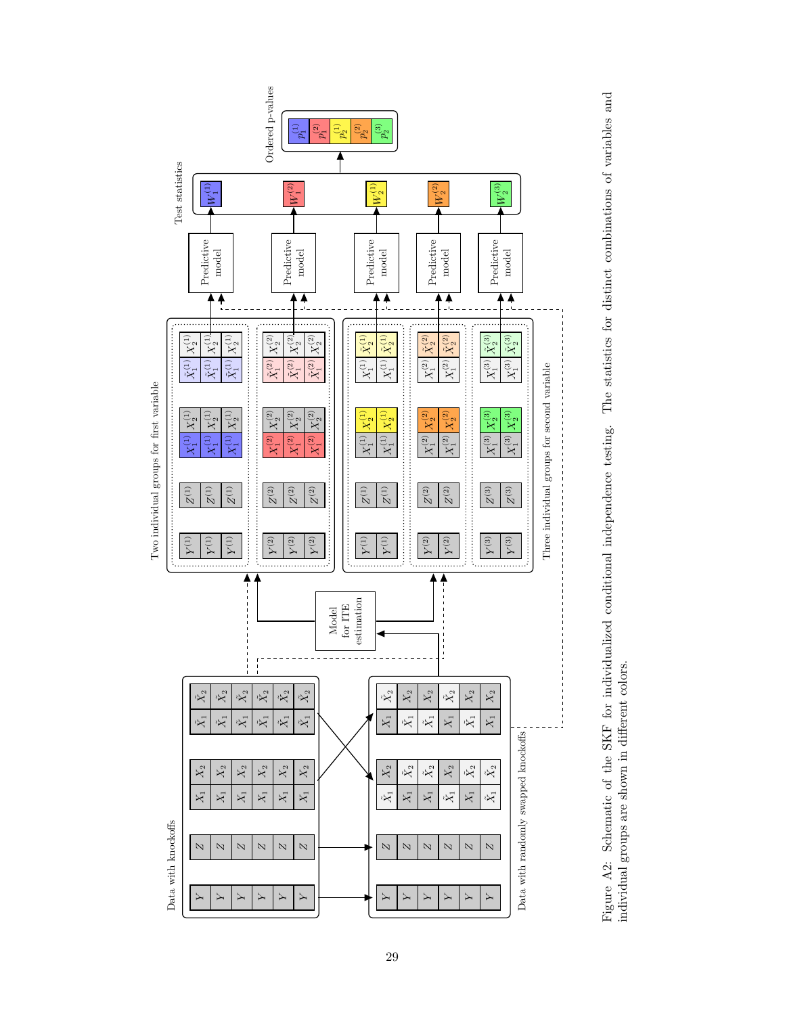

Figure A2: Schematic of the SKF for individualized conditional independence testing. The statistics for distinct combinations of variables and Figure A2: Schematic of the SKF for individualized conditional independence testing. The statistics for distinct combinations of variables and individual groups are shown in different colors. individual groups are shown in different colors.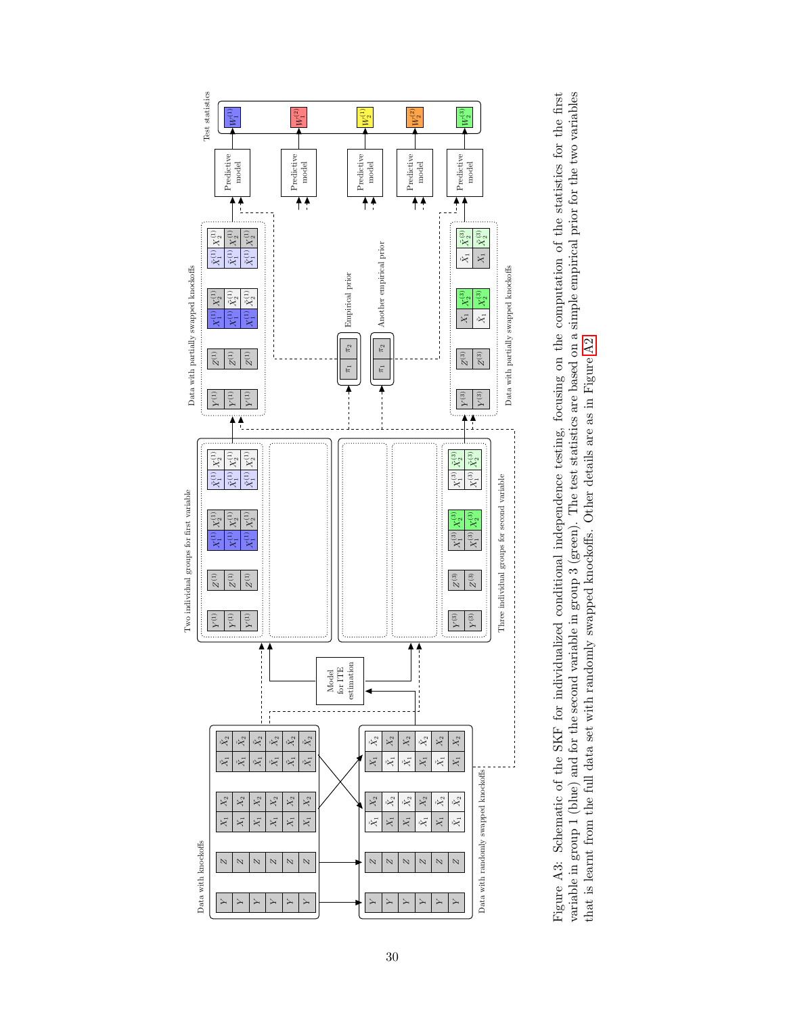

variable in group 1 (blue) and for the second variable in group 3 (green). The test statistics are based on a simple empirical prior for the two variables Figure A3: Schematic of the SKF for individualized conditional independence testing, focusing on the computation of the statistics for the first variable in group 1 (blue) and for the second variable in group 3 (green). The test statistics are based on a simple empirical prior for the two variables Figure A3: Schematic of the SKF for individualized conditional independence testing, focusing on the computation of the statistics for the first that is learnt from the full data set with randomly swapped knockoffs. Other details are as in Figure A2. that is learnt from the full data set with randomly swapped knockoffs. Other details are as in Figure [A2.](#page-9-0)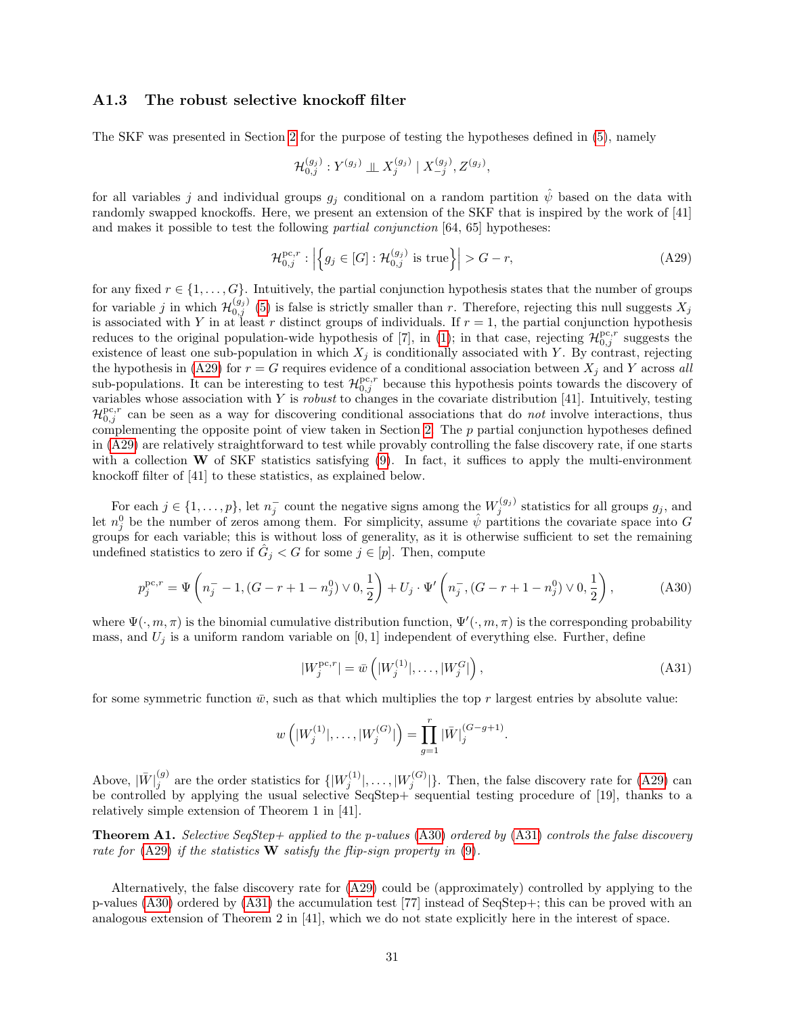#### <span id="page-30-0"></span>A1.3 The robust selective knockoff filter

The SKF was presented in Section [2](#page-3-5) for the purpose of testing the hypotheses defined in [\(5\)](#page-4-0), namely

<span id="page-30-1"></span>
$$
\mathcal{H}_{0,j}^{(g_j)}: Y^{(g_j)} \perp \!\!\! \perp X_j^{(g_j)} | X_{-j}^{(g_j)}, Z^{(g_j)},
$$

for all variables j and individual groups  $g_i$  conditional on a random partition  $\hat{\psi}$  based on the data with randomly swapped knockoffs. Here, we present an extension of the SKF that is inspired by the work of [41] and makes it possible to test the following partial conjunction [64, 65] hypotheses:

$$
\mathcal{H}_{0,j}^{\text{pc},r}: \left| \left\{ g_j \in [G] : \mathcal{H}_{0,j}^{(g_j)} \text{ is true} \right\} \right| > G - r,\tag{A29}
$$

for any fixed  $r \in \{1, \ldots, G\}$ . Intuitively, the partial conjunction hypothesis states that the number of groups for variable j in which  $\mathcal{H}_{0,j}^{(g_j)}$  [\(5\)](#page-4-0) is false is strictly smaller than r. Therefore, rejecting this null suggests  $X_j$ is associated with Y in at least r distinct groups of individuals. If  $r = 1$ , the partial conjunction hypothesis reduces to the original population-wide hypothesis of [7], in [\(1\)](#page-3-0); in that case, rejecting  $\mathcal{H}_{0,j}^{\text{pc},r}$  suggests the existence of least one sub-population in which  $X_j$  is conditionally associated with Y. By contrast, rejecting the hypothesis in [\(A29\)](#page-30-1) for  $r = G$  requires evidence of a conditional association between  $X_j$  and Y across all sub-populations. It can be interesting to test  $\mathcal{H}_{0,j}^{\text{pc},r}$  because this hypothesis points towards the discovery of variables whose association with  $Y$  is *robust* to changes in the covariate distribution [41]. Intuitively, testing  $\mathcal{H}_{0,j}^{\text{pc},r}$  can be seen as a way for discovering conditional associations that do not involve interactions, thus complementing the opposite point of view taken in Section [2.](#page-3-5) The  $p$  partial conjunction hypotheses defined in [\(A29\)](#page-30-1) are relatively straightforward to test while provably controlling the false discovery rate, if one starts with a collection  $W$  of SKF statistics satisfying [\(9\)](#page-6-2). In fact, it suffices to apply the multi-environment knockoff filter of [41] to these statistics, as explained below.

For each  $j \in \{1, \ldots, p\}$ , let  $n_j^-$  count the negative signs among the  $W_j^{(g_j)}$  statistics for all groups  $g_j$ , and let  $n_j^0$  be the number of zeros among them. For simplicity, assume  $\hat{\psi}$  partitions the covariate space into G groups for each variable; this is without loss of generality, as it is otherwise sufficient to set the remaining undefined statistics to zero if  $\hat{G}_j < G$  for some  $j \in [p]$ . Then, compute

$$
p_j^{\text{pc},r} = \Psi\left(n_j^- - 1, (G - r + 1 - n_j^0) \vee 0, \frac{1}{2}\right) + U_j \cdot \Psi'\left(n_j^-, (G - r + 1 - n_j^0) \vee 0, \frac{1}{2}\right),\tag{A30}
$$

where  $\Psi(\cdot,m,\pi)$  is the binomial cumulative distribution function,  $\Psi'(\cdot,m,\pi)$  is the corresponding probability mass, and  $U_i$  is a uniform random variable on [0, 1] independent of everything else. Further, define

<span id="page-30-3"></span><span id="page-30-2"></span>
$$
|W_j^{\text{pc},r}| = \bar{w}\left(|W_j^{(1)}|, \dots, |W_j^{G}|\right),\tag{A31}
$$

for some symmetric function  $\bar{w}$ , such as that which multiplies the top r largest entries by absolute value:

$$
w\left(|W_j^{(1)}|, \ldots, |W_j^{(G)}|\right) = \prod_{g=1}^r |\bar{W}|_j^{(G-g+1)}.
$$

Above,  $|\bar{W}|_i^{(g)}$  $j_j^{(g)}$  are the order statistics for  $\{ |W_j^{(1)}|, \ldots, |W_j^{(G)}|\}$ . Then, the false discovery rate for [\(A29\)](#page-30-1) can be controlled by applying the usual selective SeqStep+ sequential testing procedure of [19], thanks to a relatively simple extension of Theorem 1 in [41].

**Theorem A1.** Selective SeqStep+ applied to the p-values [\(A30\)](#page-30-2) ordered by [\(A31\)](#page-30-3) controls the false discovery rate for  $(A29)$  if the statistics W satisfy the flip-sign property in  $(9)$ .

Alternatively, the false discovery rate for [\(A29\)](#page-30-1) could be (approximately) controlled by applying to the p-values [\(A30\)](#page-30-2) ordered by [\(A31\)](#page-30-3) the accumulation test [77] instead of SeqStep+; this can be proved with an analogous extension of Theorem 2 in [41], which we do not state explicitly here in the interest of space.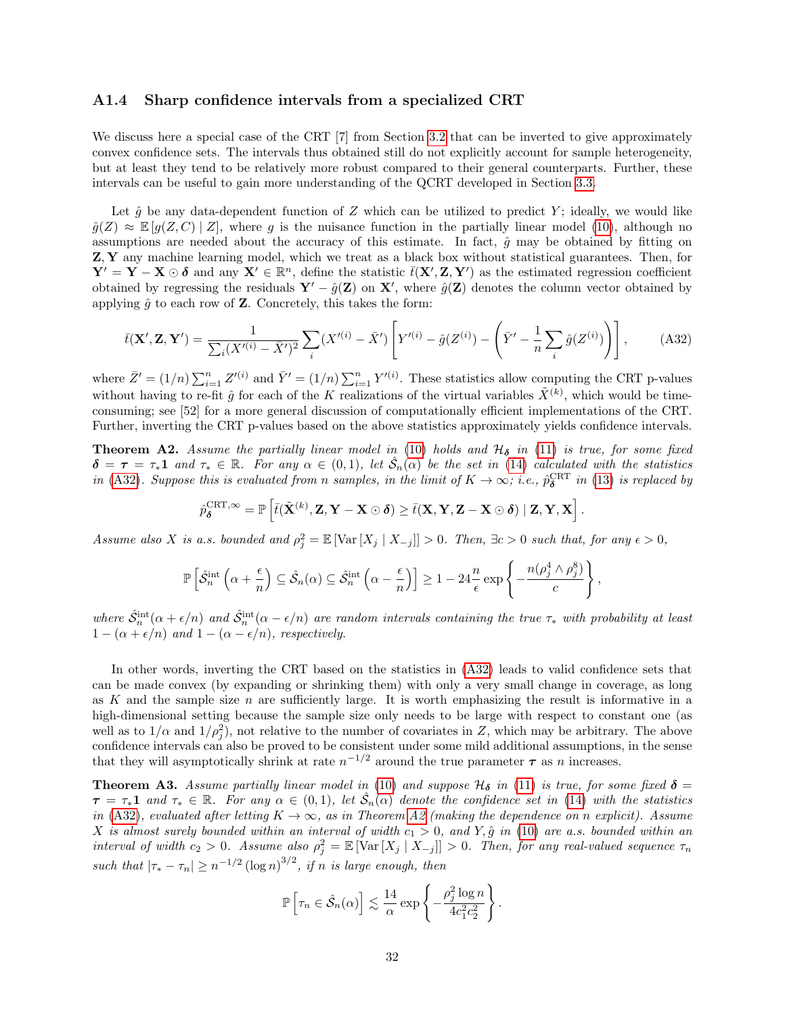#### <span id="page-31-0"></span>A1.4 Sharp confidence intervals from a specialized CRT

We discuss here a special case of the CRT [7] from Section [3.2](#page-9-3) that can be inverted to give approximately convex confidence sets. The intervals thus obtained still do not explicitly account for sample heterogeneity, but at least they tend to be relatively more robust compared to their general counterparts. Further, these intervals can be useful to gain more understanding of the QCRT developed in Section [3.3.](#page-10-5)

Let  $\hat{g}$  be any data-dependent function of Z which can be utilized to predict Y; ideally, we would like  $\hat{g}(Z) \approx \mathbb{E}[g(Z, C) | Z]$ , where g is the nuisance function in the partially linear model [\(10\)](#page-9-1), although no assumptions are needed about the accuracy of this estimate. In fact,  $\hat{q}$  may be obtained by fitting on Z, Y any machine learning model, which we treat as a black box without statistical guarantees. Then, for  $Y' = \overline{Y} - \overline{X} \odot \delta$  and any  $X' \in \mathbb{R}^n$ , define the statistic  $\bar{t}(X', Z, Y')$  as the estimated regression coefficient obtained by regressing the residuals  $\mathbf{Y}' - \hat{g}(\mathbf{Z})$  on  $\mathbf{X}'$ , where  $\hat{g}(\mathbf{Z})$  denotes the column vector obtained by applying  $\hat{g}$  to each row of **Z**. Concretely, this takes the form:

$$
\bar{t}(\mathbf{X}', \mathbf{Z}, \mathbf{Y}') = \frac{1}{\sum_{i} (X'^{(i)} - \bar{X}')^2} \sum_{i} (X'^{(i)} - \bar{X}') \left[ Y'^{(i)} - \hat{g}(Z^{(i)}) - \left( \bar{Y}' - \frac{1}{n} \sum_{i} \hat{g}(Z^{(i)}) \right) \right],\tag{A32}
$$

where  $\bar{Z}' = (1/n) \sum_{i=1}^n Z'^{(i)}$  and  $\bar{Y}' = (1/n) \sum_{i=1}^n Y'^{(i)}$ . These statistics allow computing the CRT p-values without having to re-fit  $\hat{g}$  for each of the K realizations of the virtual variables  $\tilde{X}^{(k)}$ , which would be timeconsuming; see [52] for a more general discussion of computationally efficient implementations of the CRT. Further, inverting the CRT p-values based on the above statistics approximately yields confidence intervals.

**Theorem A2.** Assume the partially linear model in [\(10\)](#page-9-1) holds and  $H_{\delta}$  in [\(11\)](#page-9-2) is true, for some fixed  $\delta = \tau = \tau_* \mathbf{1}$  and  $\tau_* \in \mathbb{R}$ . For any  $\alpha \in (0,1)$ , let  $\hat{S}_n(\alpha)$  be the set in [\(14\)](#page-10-3) calculated with the statistics in [\(A32\)](#page-31-1). Suppose this is evaluated from n samples, in the limit of  $K \to \infty$ ; i.e.,  $\hat{p}_{\delta}^{\text{CRT}}$  in [\(13\)](#page-10-1) is replaced by

$$
\hat{p}_{\delta}^{\mathrm{CRT},\infty} = \mathbb{P}\left[\bar{t}(\tilde{\mathbf{X}}^{(k)}, \mathbf{Z}, \mathbf{Y} - \mathbf{X} \odot \boldsymbol{\delta}) \ge \bar{t}(\mathbf{X}, \mathbf{Y}, \mathbf{Z} - \mathbf{X} \odot \boldsymbol{\delta}) \mid \mathbf{Z}, \mathbf{Y}, \mathbf{X}\right]
$$

<span id="page-31-1"></span>.

Assume also X is a.s. bounded and  $\rho_j^2 = \mathbb{E} [\text{Var}[X_j | X_{-j}]] > 0$ . Then,  $\exists c > 0$  such that, for any  $\epsilon > 0$ ,

$$
\mathbb{P}\left[\hat{S}_n^{\text{int}}\left(\alpha + \frac{\epsilon}{n}\right) \subseteq \hat{S}_n(\alpha) \subseteq \hat{S}_n^{\text{int}}\left(\alpha - \frac{\epsilon}{n}\right)\right] \ge 1 - 24\frac{n}{\epsilon}\exp\left\{-\frac{n(\rho_j^4 \wedge \rho_j^8)}{c}\right\},\
$$

where  $\hat{S}_n^{\text{int}}(\alpha + \epsilon/n)$  and  $\hat{S}_n^{\text{int}}(\alpha - \epsilon/n)$  are random intervals containing the true  $\tau_*$  with probability at least  $1 - (\alpha + \epsilon/n)$  and  $1 - (\alpha - \epsilon/n)$ , respectively.

In other words, inverting the CRT based on the statistics in [\(A32\)](#page-31-1) leads to valid confidence sets that can be made convex (by expanding or shrinking them) with only a very small change in coverage, as long as K and the sample size  $n$  are sufficiently large. It is worth emphasizing the result is informative in a high-dimensional setting because the sample size only needs to be large with respect to constant one (as well as to  $1/\alpha$  and  $1/\rho_j^2$ ), not relative to the number of covariates in Z, which may be arbitrary. The above confidence intervals can also be proved to be consistent under some mild additional assumptions, in the sense that they will asymptotically shrink at rate  $n^{-1/2}$  around the true parameter  $\tau$  as n increases.

**Theorem A3.** Assume partially linear model in [\(10\)](#page-9-1) and suppose  $\mathcal{H}_{\delta}$  in [\(11\)](#page-9-2) is true, for some fixed  $\delta$  =  $\tau = \tau_* 1$  and  $\tau_* \in \mathbb{R}$ . For any  $\alpha \in (0,1)$ , let  $\hat{S}_n(\alpha)$  denote the confidence set in [\(14\)](#page-10-3) with the statistics in [\(A32\)](#page-31-1), evaluated after letting  $K \to \infty$ , as in Theorem [A2](#page-11-4) (making the dependence on n explicit). Assume X is almost surely bounded within an interval of width  $c_1 > 0$ , and Y,  $\hat{g}$  in [\(10\)](#page-9-1) are a.s. bounded within an interval of width  $c_2 > 0$ . Assume also  $\rho_j^2 = \mathbb{E} \left[ \text{Var} \left[ X_j \mid X_{-j} \right] \right] > 0$ . Then, for any real-valued sequence  $\tau_n$ such that  $|\tau_* - \tau_n| \geq n^{-1/2} (\log n)^{3/2}$ , if n is large enough, then

$$
\mathbb{P}\left[\tau_n \in \hat{\mathcal{S}}_n(\alpha)\right] \lesssim \frac{14}{\alpha} \exp\left\{-\frac{\rho_j^2 \log n}{4c_1^2 c_2^2}\right\}.
$$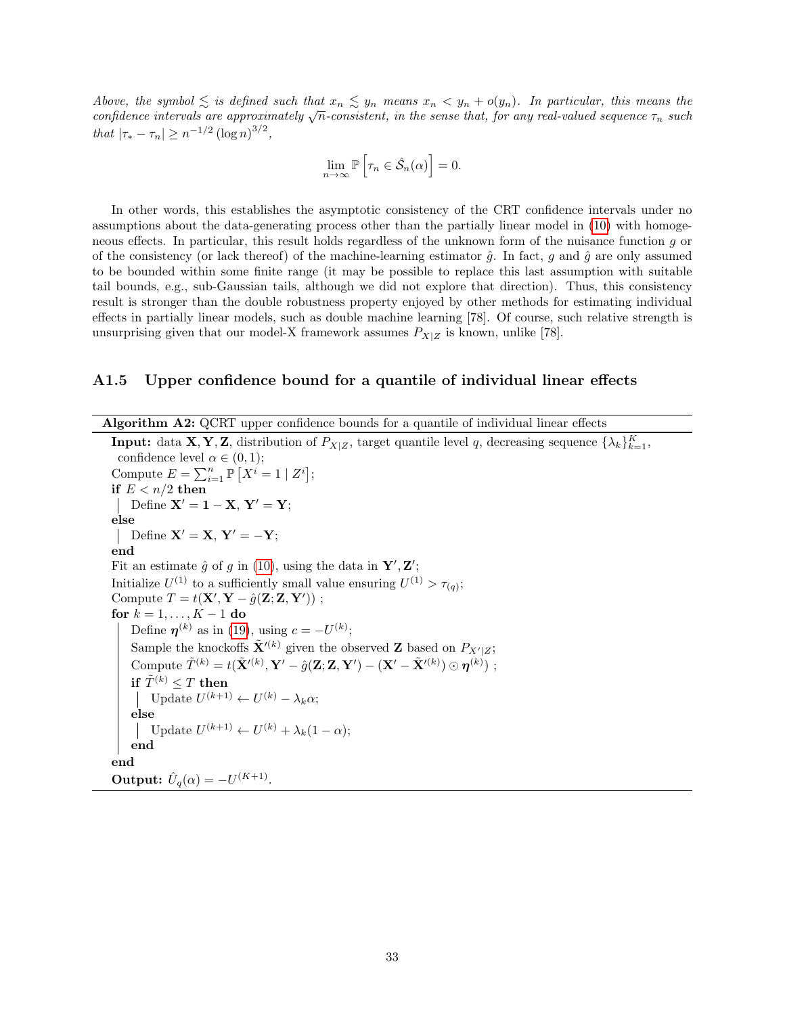Above, the symbol  $\leq$  is defined such that  $x_n \leq y_n$  means  $x_n < y_n + o(y_n)$ . In particular, this means the Above, the symbol  $\lesssim$  is defined such that  $x_n \lesssim y_n$  means  $x_n \leq y_n + o(y_n)$ . In particular, this means the confidence intervals are approximately  $\sqrt{n}$ -consistent, in the sense that, for any real-valued sequence  $\tau_n$  that  $|\tau_* - \tau_n| \geq n^{-1/2} (\log n)^{3/2}$ ,

$$
\lim_{n \to \infty} \mathbb{P}\left[\tau_n \in \hat{\mathcal{S}}_n(\alpha)\right] = 0.
$$

In other words, this establishes the asymptotic consistency of the CRT confidence intervals under no assumptions about the data-generating process other than the partially linear model in [\(10\)](#page-9-1) with homogeneous effects. In particular, this result holds regardless of the unknown form of the nuisance function g or of the consistency (or lack thereof) of the machine-learning estimator  $\hat{q}$ . In fact, q and  $\hat{q}$  are only assumed to be bounded within some finite range (it may be possible to replace this last assumption with suitable tail bounds, e.g., sub-Gaussian tails, although we did not explore that direction). Thus, this consistency result is stronger than the double robustness property enjoyed by other methods for estimating individual effects in partially linear models, such as double machine learning [78]. Of course, such relative strength is unsurprising given that our model-X framework assumes  $P_{X|Z}$  is known, unlike [78].

#### <span id="page-32-1"></span>A1.5 Upper confidence bound for a quantile of individual linear effects

Algorithm A2: QCRT upper confidence bounds for a quantile of individual linear effects

<span id="page-32-0"></span>**Input:** data **X**, **Y**, **Z**, distribution of  $P_{X|Z}$ , target quantile level q, decreasing sequence  $\{\lambda_k\}_{k=1}^K$ , confidence level  $\alpha \in (0,1);$ Compute  $E = \sum_{i=1}^{n} \mathbb{P}\left[X^{i} = 1 \mid Z^{i}\right];$ if  $E < n/2$  then | Define  $X' = 1 - X$ ,  $Y' = Y$ ; else | Define  $X' = X$ ,  $Y' = -Y$ ; end Fit an estimate  $\hat{g}$  of g in [\(10\)](#page-9-1), using the data in  $\mathbf{Y}', \mathbf{Z}'$ ; Initialize  $U^{(1)}$  to a sufficiently small value ensuring  $U^{(1)} > \tau_{(q)}$ ; Compute  $T = t(\mathbf{X}', \mathbf{Y} - \hat{g}(\mathbf{Z}; \mathbf{Z}, \mathbf{Y}'))$ ; for  $k = 1, ..., K - 1$  do Define  $\boldsymbol{\eta}^{(k)}$  as in [\(19\)](#page-11-3), using  $c = -U^{(k)}$ ; Sample the knockoffs  $\tilde{\mathbf{X}}^{\prime(k)}$  given the observed **Z** based on  $P_{X^{\prime}|Z}$ ; Compute  $\tilde{T}^{(k)} = t(\tilde{\mathbf{X}}^{\prime (k)}, \mathbf{Y}^{\prime} - \hat{g}(\mathbf{Z}; \mathbf{Z}, \mathbf{Y}^{\prime}) - (\mathbf{X}^{\prime} - \tilde{\mathbf{X}}^{\prime (k)}) \odot \boldsymbol{\eta}^{(k)})$ ; if  $\tilde{T}^{(k)} \leq T$  then Update  $U^{(k+1)} \leftarrow U^{(k)} - \lambda_k \alpha;$ else Update  $U^{(k+1)} \leftarrow U^{(k)} + \lambda_k (1-\alpha);$ end end Output:  $\hat{U}_q(\alpha) = -U^{(K+1)}$ .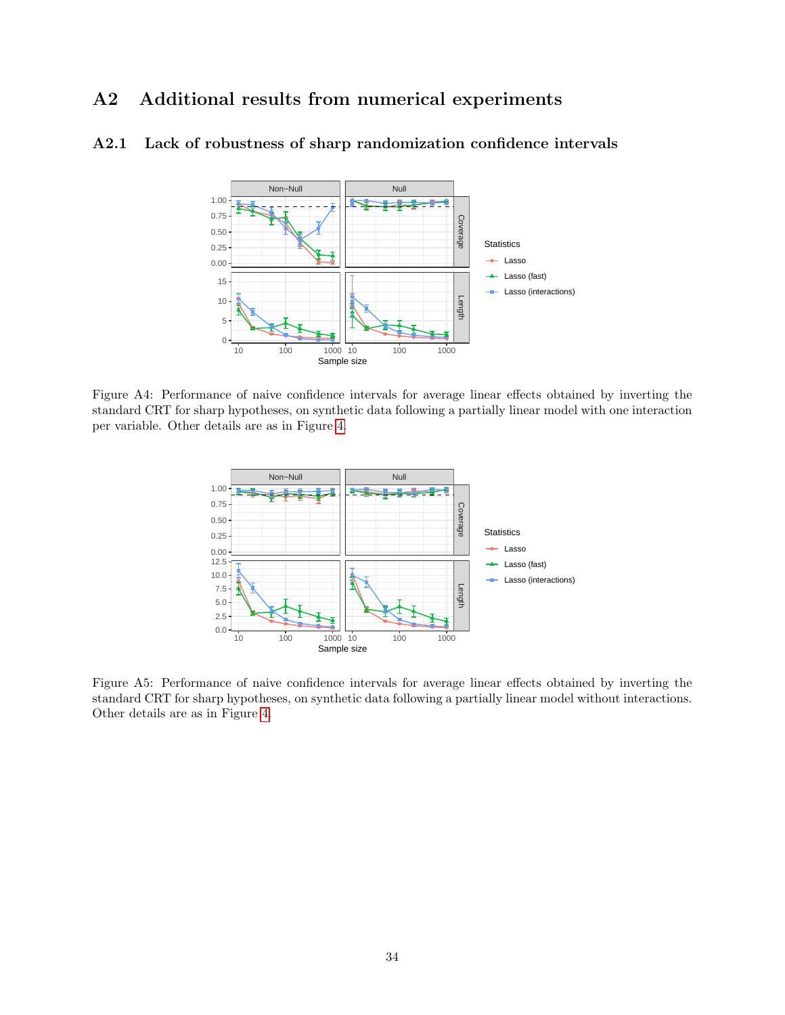# A2 Additional results from numerical experiments

### <span id="page-33-0"></span>A2.1 Lack of robustness of sharp randomization confidence intervals



Figure A4: Performance of naive confidence intervals for average linear effects obtained by inverting the standard CRT for sharp hypotheses, on synthetic data following a partially linear model with one interaction per variable. Other details are as in Figure [4.](#page-16-0)



Figure A5: Performance of naive confidence intervals for average linear effects obtained by inverting the standard CRT for sharp hypotheses, on synthetic data following a partially linear model without interactions. Other details are as in Figure [4.](#page-16-0)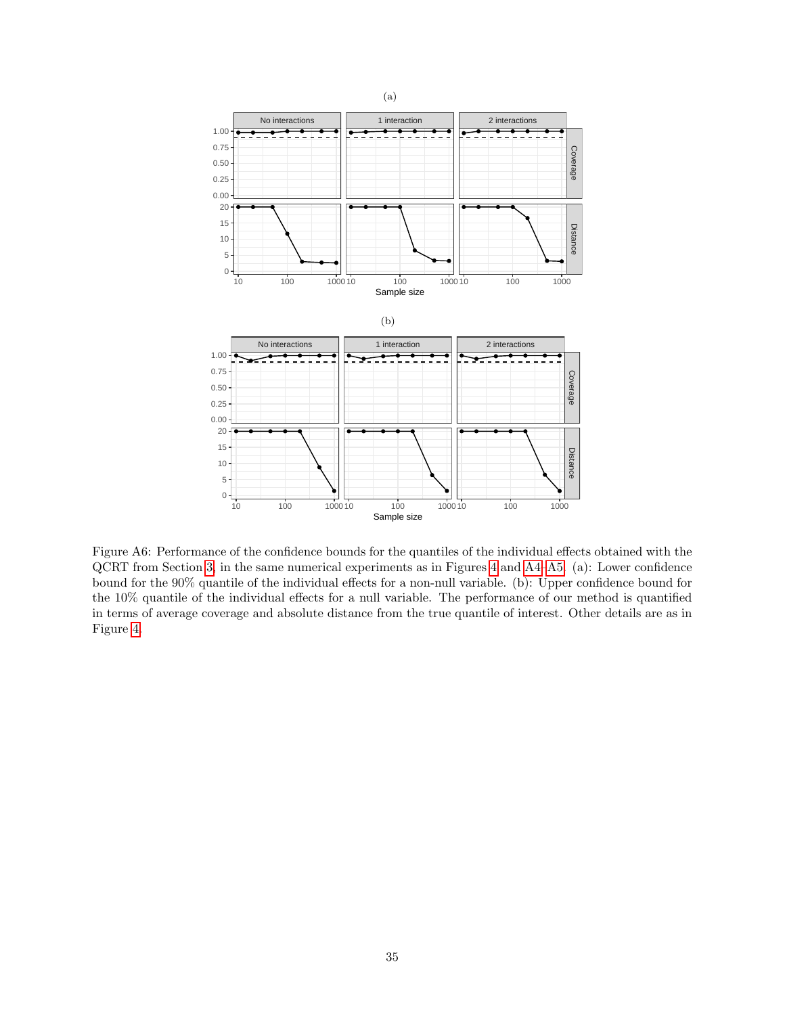

Figure A6: Performance of the confidence bounds for the quantiles of the individual effects obtained with the QCRT from Section [3,](#page-9-4) in the same numerical experiments as in Figures [4](#page-16-0) and [A4–](#page-16-0)[A5.](#page-17-0) (a): Lower confidence bound for the 90% quantile of the individual effects for a non-null variable. (b): Upper confidence bound for the 10% quantile of the individual effects for a null variable. The performance of our method is quantified in terms of average coverage and absolute distance from the true quantile of interest. Other details are as in Figure [4.](#page-16-0)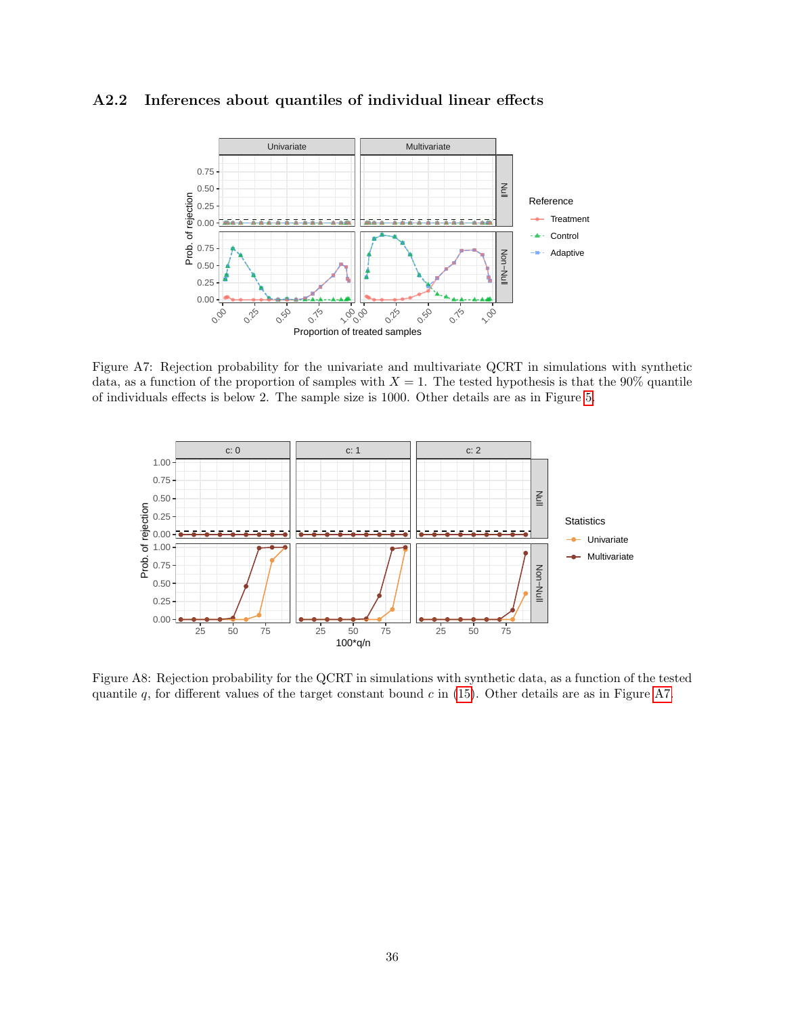### <span id="page-35-0"></span>A2.2 Inferences about quantiles of individual linear effects



Figure A7: Rejection probability for the univariate and multivariate QCRT in simulations with synthetic data, as a function of the proportion of samples with  $X = 1$ . The tested hypothesis is that the 90% quantile of individuals effects is below 2. The sample size is 1000. Other details are as in Figure [5.](#page-17-0)



Figure A8: Rejection probability for the QCRT in simulations with synthetic data, as a function of the tested quantile  $q$ , for different values of the target constant bound  $c$  in [\(15\)](#page-10-4). Other details are as in Figure [A7.](#page-21-0)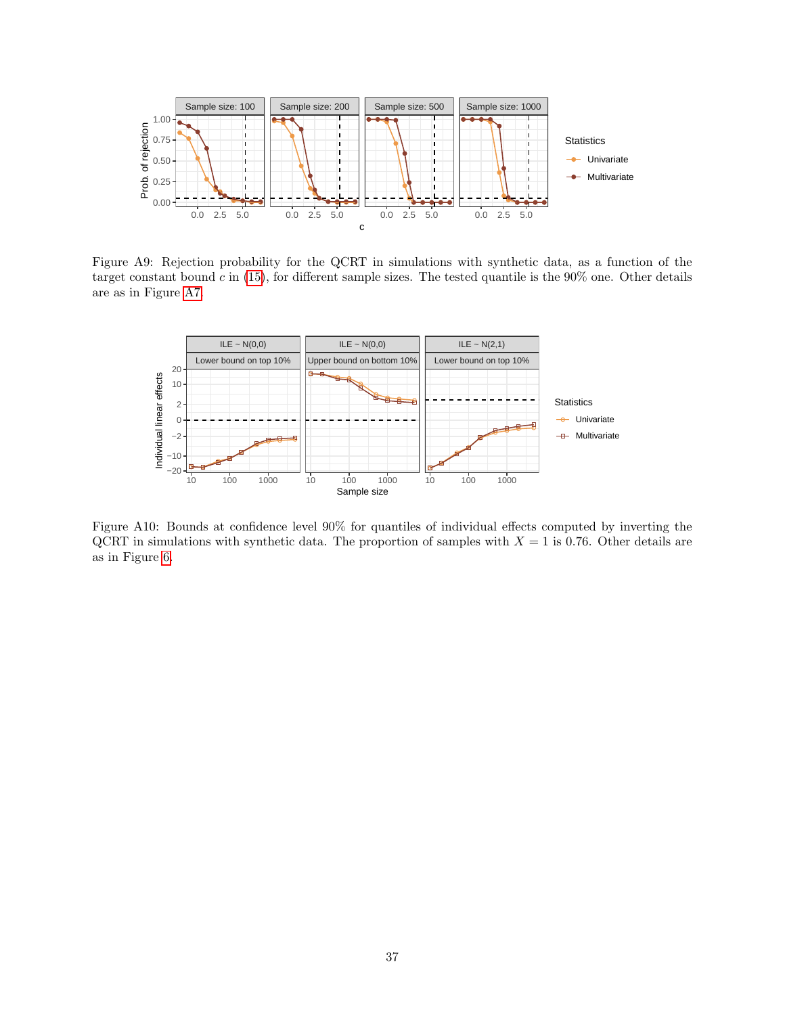

Figure A9: Rejection probability for the QCRT in simulations with synthetic data, as a function of the target constant bound  $c$  in [\(15\)](#page-10-4), for different sample sizes. The tested quantile is the  $90\%$  one. Other details are as in Figure [A7.](#page-21-0)

<span id="page-36-1"></span><span id="page-36-0"></span>

Figure A10: Bounds at confidence level 90% for quantiles of individual effects computed by inverting the QCRT in simulations with synthetic data. The proportion of samples with  $X = 1$  is 0.76. Other details are as in Figure [6.](#page-18-0)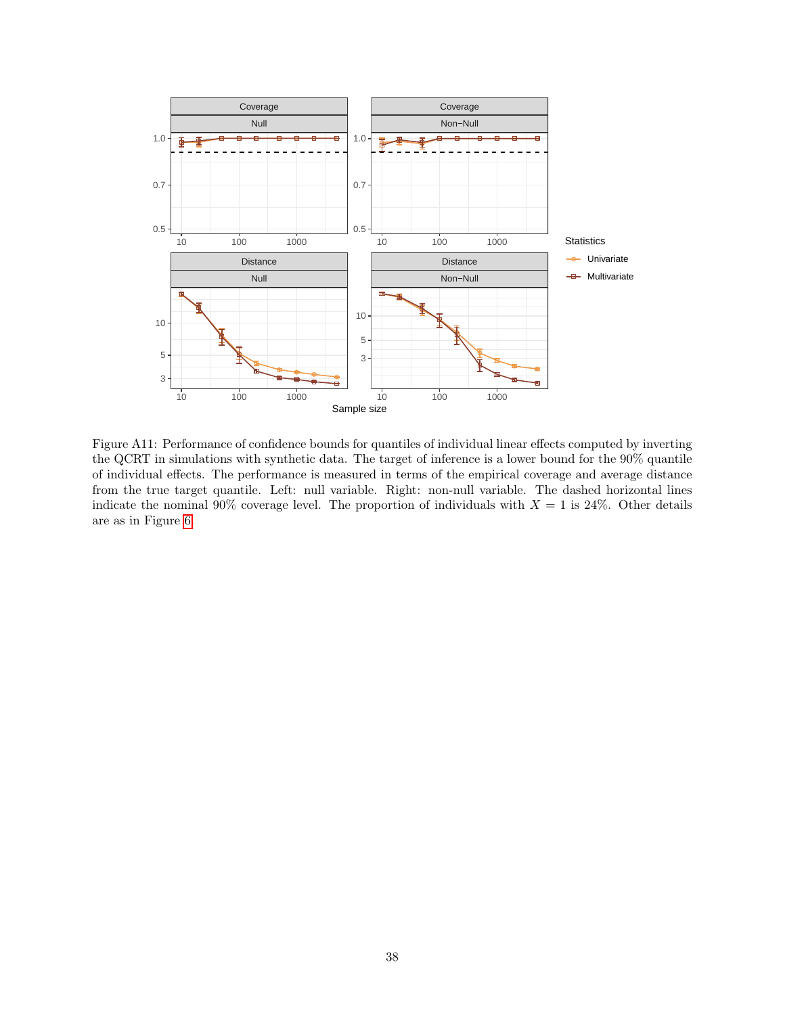

<span id="page-37-0"></span>Figure A11: Performance of confidence bounds for quantiles of individual linear effects computed by inverting the QCRT in simulations with synthetic data. The target of inference is a lower bound for the 90% quantile of individual effects. The performance is measured in terms of the empirical coverage and average distance from the true target quantile. Left: null variable. Right: non-null variable. The dashed horizontal lines indicate the nominal 90% coverage level. The proportion of individuals with  $X = 1$  is 24%. Other details are as in Figure [6.](#page-18-0)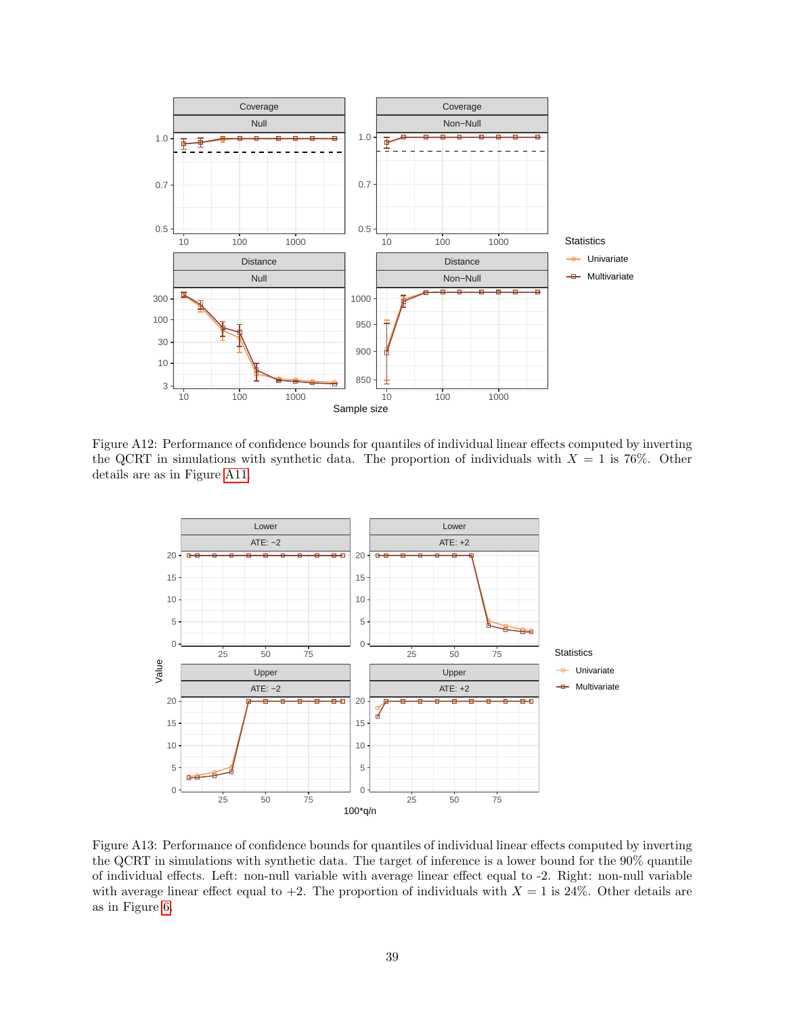

Figure A12: Performance of confidence bounds for quantiles of individual linear effects computed by inverting the QCRT in simulations with synthetic data. The proportion of individuals with  $X = 1$  is 76%. Other details are as in Figure [A11.](#page-37-0)

<span id="page-38-0"></span>

<span id="page-38-1"></span>Figure A13: Performance of confidence bounds for quantiles of individual linear effects computed by inverting the QCRT in simulations with synthetic data. The target of inference is a lower bound for the 90% quantile of individual effects. Left: non-null variable with average linear effect equal to -2. Right: non-null variable with average linear effect equal to  $+2$ . The proportion of individuals with  $X = 1$  is 24%. Other details are as in Figure [6.](#page-18-0)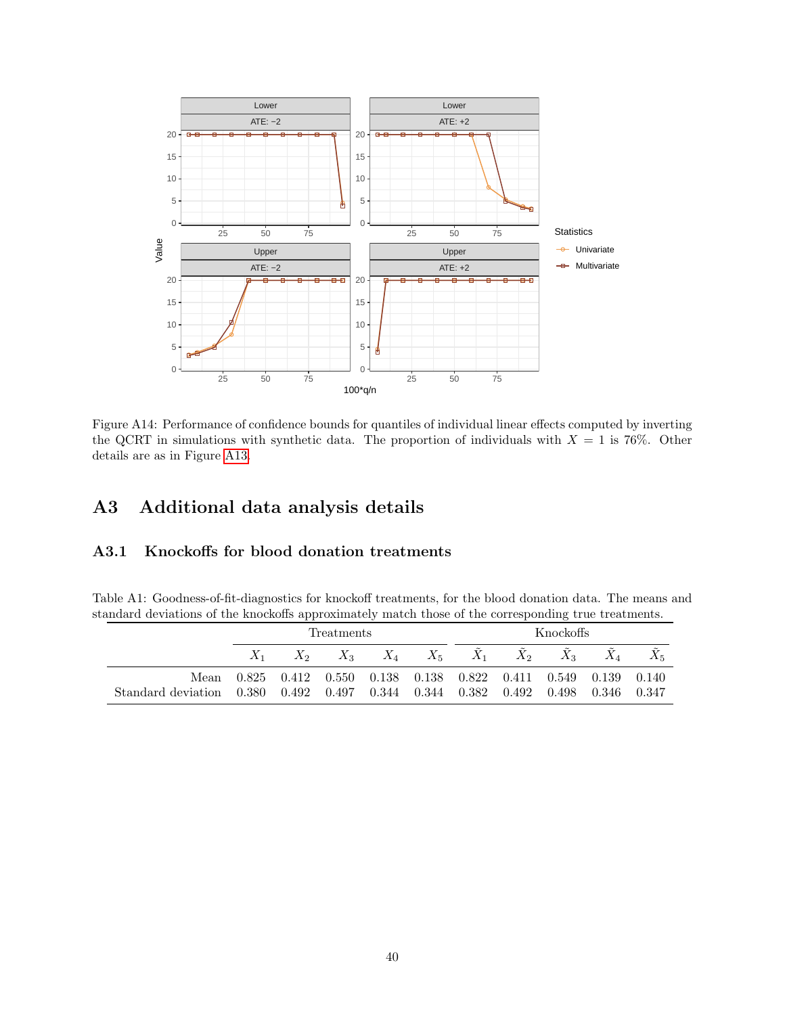

<span id="page-39-0"></span>Figure A14: Performance of confidence bounds for quantiles of individual linear effects computed by inverting the QCRT in simulations with synthetic data. The proportion of individuals with  $X = 1$  is 76%. Other details are as in Figure [A13.](#page-38-1)

# A3 Additional data analysis details

## <span id="page-39-1"></span>A3.1 Knockoffs for blood donation treatments

Table A1: Goodness-of-fit-diagnostics for knockoff treatments, for the blood donation data. The means and standard deviations of the knockoffs approximately match those of the corresponding true treatments.

|                                                                                | <b>Treatments</b> |  |  |  | Knockoffs |                                                                  |       |
|--------------------------------------------------------------------------------|-------------------|--|--|--|-----------|------------------------------------------------------------------|-------|
|                                                                                |                   |  |  |  |           | $X_2$ $X_3$ $X_4$ $X_5$ $X_1$ $X_2$ $X_3$ $X_4$                  | $X_5$ |
|                                                                                |                   |  |  |  |           | Mean 0.825 0.412 0.550 0.138 0.138 0.822 0.411 0.549 0.139 0.140 |       |
| Standard deviation 0.380 0.492 0.497 0.344 0.344 0.382 0.492 0.498 0.346 0.347 |                   |  |  |  |           |                                                                  |       |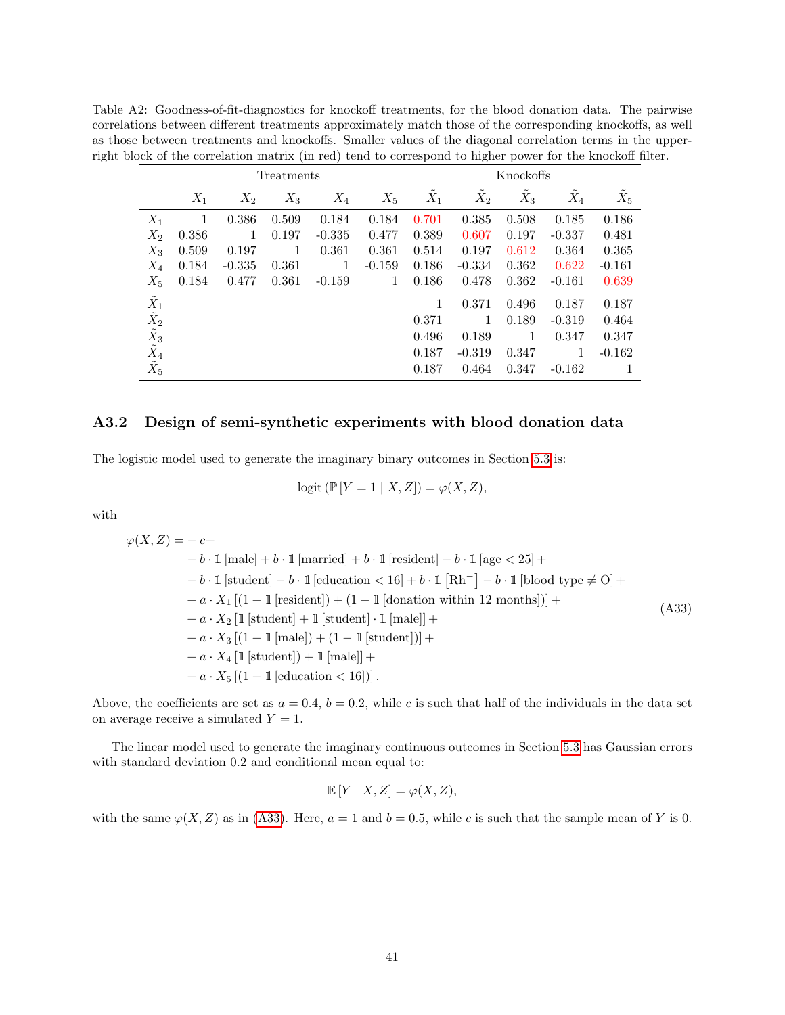Table A2: Goodness-of-fit-diagnostics for knockoff treatments, for the blood donation data. The pairwise correlations between different treatments approximately match those of the corresponding knockoffs, as well as those between treatments and knockoffs. Smaller values of the diagonal correlation terms in the upperright block of the correlation matrix (in red) tend to correspond to higher power for the knockoff filter.

|                                             |       |          | Treatments |          |          |       |          | Knockoffs |          |          |
|---------------------------------------------|-------|----------|------------|----------|----------|-------|----------|-----------|----------|----------|
|                                             | $X_1$ | $X_2$    | $X_3$      | $X_4$    | $X_5$    | $X_1$ | $X_2$    | $X_3$     | $X_4$    | $X_5$    |
| $X_1$                                       | 1     | 0.386    | 0.509      | 0.184    | 0.184    | 0.701 | 0.385    | 0.508     | 0.185    | 0.186    |
| $X_2$                                       | 0.386 | 1        | 0.197      | $-0.335$ | 0.477    | 0.389 | 0.607    | 0.197     | $-0.337$ | 0.481    |
| $X_3$                                       | 0.509 | 0.197    | 1          | 0.361    | 0.361    | 0.514 | 0.197    | 0.612     | 0.364    | 0.365    |
| $X_4$                                       | 0.184 | $-0.335$ | 0.361      | 1        | $-0.159$ | 0.186 | $-0.334$ | 0.362     | 0.622    | $-0.161$ |
| $X_5$                                       | 0.184 | 0.477    | 0.361      | $-0.159$ | 1        | 0.186 | 0.478    | 0.362     | $-0.161$ | 0.639    |
| $\tilde{X}_1$                               |       |          |            |          |          | 1     | 0.371    | 0.496     | 0.187    | 0.187    |
| $\tilde{X_2}$                               |       |          |            |          |          | 0.371 | 1        | 0.189     | $-0.319$ | 0.464    |
| $\tilde{\tilde{X}_3} \ \tilde{\tilde{X}_4}$ |       |          |            |          |          | 0.496 | 0.189    | 1         | 0.347    | 0.347    |
|                                             |       |          |            |          |          | 0.187 | $-0.319$ | 0.347     | 1        | $-0.162$ |
| $\tilde{X_5}$                               |       |          |            |          |          | 0.187 | 0.464    | 0.347     | $-0.162$ | 1        |

### <span id="page-40-0"></span>A3.2 Design of semi-synthetic experiments with blood donation data

The logistic model used to generate the imaginary binary outcomes in Section [5.3](#page-21-2) is:

<span id="page-40-1"></span>
$$
logit (\mathbb{P}[Y=1 | X,Z]) = \varphi(X,Z),
$$

with

 $\varphi(X,Z) = -c +$  $- b \cdot 1$  [male]  $+ b \cdot 1$  [married]  $+ b \cdot 1$  [resident]  $- b \cdot 1$  [age  $< 25$ ]  $+$  $- b \cdot 1$  [student]  $- b \cdot 1$  [education  $< 16$ ] +  $b \cdot 1$  [Rh<sup>-</sup>]  $- b \cdot 1$  [blood type  $\neq$  O] +  $+a \cdot X_1 \left[ (1 - 1 \left[ \text{resident} \right]) + (1 - 1 \left[ \text{donation within 12 months} \right]) \right] +$  $+a \cdot X_2$  [1 [student] + 1 [student]  $\cdot$  1 [male]] +  $+a \cdot X_3 [(1-1 \text{[male]}) + (1-1 \text{[student]})] +$  $+a \cdot X_4$  [1 [student]) + 1 [male]] + +  $a \cdot X_5 [(1 - 1]$  [education < 16])]. (A33)

Above, the coefficients are set as  $a = 0.4$ ,  $b = 0.2$ , while c is such that half of the individuals in the data set on average receive a simulated  $Y = 1$ .

The linear model used to generate the imaginary continuous outcomes in Section [5.3](#page-21-2) has Gaussian errors with standard deviation 0.2 and conditional mean equal to:

$$
\mathbb{E}[Y \mid X, Z] = \varphi(X, Z),
$$

with the same  $\varphi(X, Z)$  as in [\(A33\)](#page-40-1). Here,  $a = 1$  and  $b = 0.5$ , while c is such that the sample mean of Y is 0.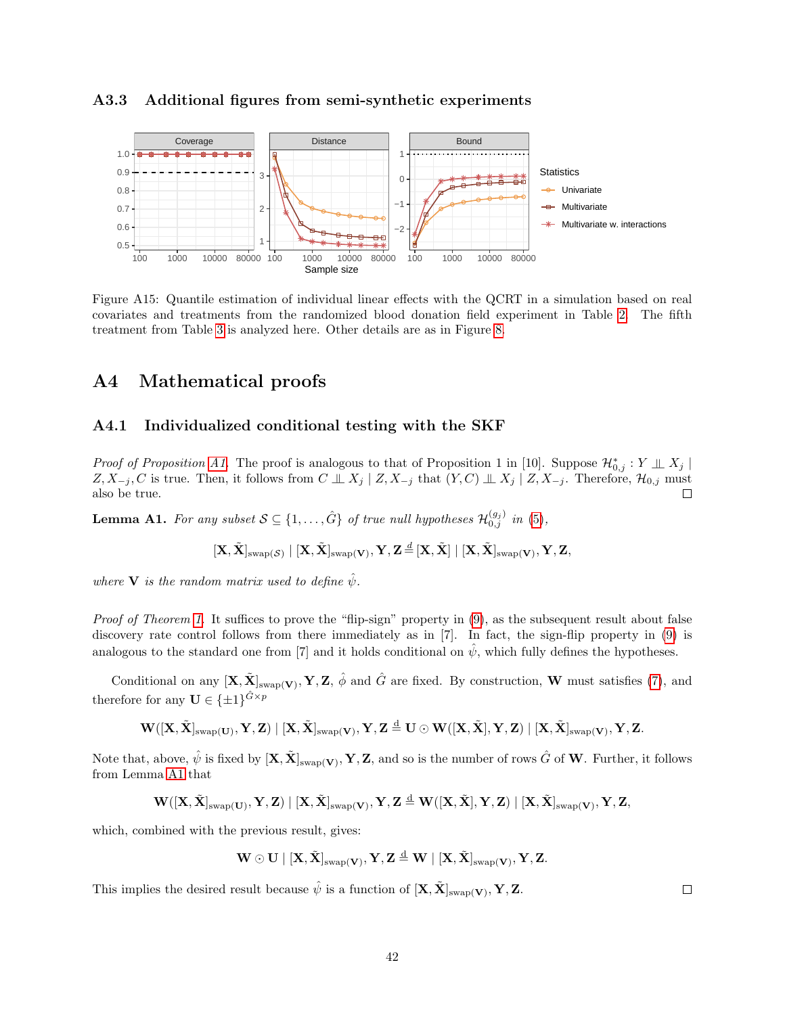#### <span id="page-41-2"></span>A3.3 Additional figures from semi-synthetic experiments



Figure A15: Quantile estimation of individual linear effects with the QCRT in a simulation based on real covariates and treatments from the randomized blood donation field experiment in Table [2.](#page-19-0) The fifth treatment from Table [3](#page-20-0) is analyzed here. Other details are as in Figure [8.](#page-22-0)

# <span id="page-41-0"></span>A4 Mathematical proofs

#### A4.1 Individualized conditional testing with the SKF

*Proof of Proposition A1*. The proof is analogous to that of Proposition 1 in [10]. Suppose  $\mathcal{H}_{0,j}^* : Y \perp \!\!\!\! \perp X_j$  $Z, X_{-j}, C$  is true. Then, it follows from  $C \perp\!\!\!\perp X_j \mid Z, X_{-j}$  that  $(Y, C) \perp\!\!\!\perp X_j \mid Z, X_{-j}$ . Therefore,  $\mathcal{H}_{0,j}$  must also be true.

<span id="page-41-3"></span>**Lemma A1.** For any subset  $S \subseteq \{1, ..., \hat{G}\}$  of true null hypotheses  $\mathcal{H}_{0,j}^{(g_j)}$  in [\(5\)](#page-4-0),

<span id="page-41-1"></span>
$$
[\mathbf{X}, \tilde{\mathbf{X}}]_{\text{swap}(\mathcal{S})} \mid [\mathbf{X}, \tilde{\mathbf{X}}]_{\text{swap}(\mathbf{V})}, \mathbf{Y}, \mathbf{Z} \stackrel{d}{=} [\mathbf{X}, \tilde{\mathbf{X}}] \mid [\mathbf{X}, \tilde{\mathbf{X}}]_{\text{swap}(\mathbf{V})}, \mathbf{Y}, \mathbf{Z},
$$

where **V** is the random matrix used to define  $\hat{\psi}$ .

Proof of Theorem [1.](#page-6-3) It suffices to prove the "flip-sign" property in [\(9\)](#page-6-2), as the subsequent result about false discovery rate control follows from there immediately as in [7]. In fact, the sign-flip property in [\(9\)](#page-6-2) is analogous to the standard one from [7] and it holds conditional on  $\hat{\psi}$ , which fully defines the hypotheses.

Conditional on any  $[\mathbf{X}, \tilde{\mathbf{X}}]_{\text{swap}(\mathbf{V})}, \mathbf{Y}, \mathbf{Z}, \hat{\phi}$  and  $\hat{G}$  are fixed. By construction, **W** must satisfies [\(7\)](#page-5-1), and therefore for any  $\mathbf{U} \in {\{\pm 1\}}^{\hat{G} \times p}$ 

$$
\mathbf{W}([X,\tilde{X}]_{\text{swap}(U)},\mathbf{Y},\mathbf{Z})\mid [X,\tilde{X}]_{\text{swap}(V)},\mathbf{Y},\mathbf{Z}\overset{d}{=}U\odot\mathbf{W}([X,\tilde{X}],\mathbf{Y},\mathbf{Z})\mid [X,\tilde{X}]_{\text{swap}(V)},\mathbf{Y},\mathbf{Z}.
$$

Note that, above,  $\hat{\psi}$  is fixed by  $[\mathbf{X}, \tilde{\mathbf{X}}]_{\text{swap}(\mathbf{V})}, \mathbf{Y}, \mathbf{Z}$ , and so is the number of rows  $\hat{G}$  of  $\mathbf{W}$ . Further, it follows from Lemma [A1](#page-41-3) that

$$
\mathbf{W}([\mathbf{X}, \tilde{\mathbf{X}}]_{\text{swap}(\mathbf{U})}, \mathbf{Y}, \mathbf{Z}) \mid [\mathbf{X}, \tilde{\mathbf{X}}]_{\text{swap}(\mathbf{V})}, \mathbf{Y}, \mathbf{Z} \stackrel{\mathrm{d}}{=} \mathbf{W}([\mathbf{X}, \tilde{\mathbf{X}}], \mathbf{Y}, \mathbf{Z}) \mid [\mathbf{X}, \tilde{\mathbf{X}}]_{\text{swap}(\mathbf{V})}, \mathbf{Y}, \mathbf{Z},
$$

which, combined with the previous result, gives:

$$
\mathbf{W}\odot\mathbf{U}\mid[\mathbf{X},\tilde{\mathbf{X}}]_{\text{swap}(\mathbf{V})},\mathbf{Y},\mathbf{Z}\overset{d}{=}\mathbf{W}\mid[\mathbf{X},\tilde{\mathbf{X}}]_{\text{swap}(\mathbf{V})},\mathbf{Y},\mathbf{Z}.
$$

This implies the desired result because  $\hat{\psi}$  is a function of  $[\mathbf{X}, \tilde{\mathbf{X}}]_{\text{swap}(\mathbf{V})}, \mathbf{Y}, \mathbf{Z}$ .

 $\Box$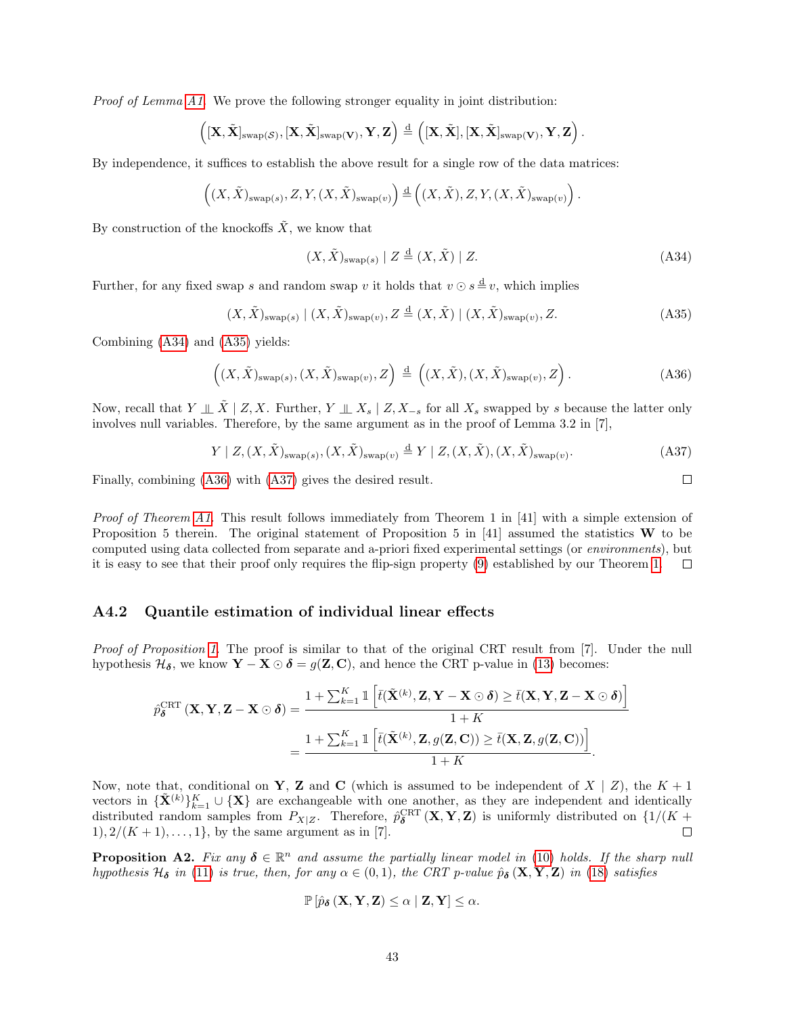Proof of Lemma [A1.](#page-41-3) We prove the following stronger equality in joint distribution:

$$
\left([X,\tilde{X}]_{\mathrm{swap}(\mathcal{S})},[X,\tilde{X}]_{\mathrm{swap}(V)},Y,Z\right)\overset{d}=\left([X,\tilde{X}],[X,\tilde{X}]_{\mathrm{swap}(V)},Y,Z\right).
$$

By independence, it suffices to establish the above result for a single row of the data matrices:

$$
\left( (X, \tilde{X})_{\text{swap}(s)}, Z, Y, (X, \tilde{X})_{\text{swap}(v)} \right) \stackrel{\text{d}}{=} \left( (X, \tilde{X}), Z, Y, (X, \tilde{X})_{\text{swap}(v)} \right).
$$

By construction of the knockoffs  $\tilde{X}$ , we know that

$$
(X, \tilde{X})_{\text{swap}(s)} \mid Z \stackrel{\text{d}}{=} (X, \tilde{X}) \mid Z. \tag{A34}
$$

Further, for any fixed swap s and random swap v it holds that  $v \odot s \stackrel{d}{=} v$ , which implies

$$
(X, \tilde{X})_{\text{swap}(s)} \mid (X, \tilde{X})_{\text{swap}(v)}, Z \stackrel{\text{d}}{=} (X, \tilde{X}) \mid (X, \tilde{X})_{\text{swap}(v)}, Z. \tag{A35}
$$

Combining [\(A34\)](#page-42-0) and [\(A35\)](#page-42-1) yields:

$$
\left( (X, \tilde{X})_{\text{swap}(s)}, (X, \tilde{X})_{\text{swap}(v)}, Z \right) \stackrel{\text{d}}{=} \left( (X, \tilde{X}), (X, \tilde{X})_{\text{swap}(v)}, Z \right). \tag{A36}
$$

Now, recall that  $Y \perp \tilde{X} \mid Z, X$ . Further,  $Y \perp \!\!\! \perp X_s \mid Z, X_{-s}$  for all  $X_s$  swapped by s because the latter only involves null variables. Therefore, by the same argument as in the proof of Lemma 3.2 in [7],

$$
Y \mid Z, (X, \tilde{X})_{\text{swap}(s)}, (X, \tilde{X})_{\text{swap}(v)} \stackrel{\text{d}}{=} Y \mid Z, (X, \tilde{X}), (X, \tilde{X})_{\text{swap}(v)}.
$$
 (A37)

Finally, combining [\(A36\)](#page-42-2) with [\(A37\)](#page-42-3) gives the desired result.

Proof of Theorem [A1.](#page-6-3) This result follows immediately from Theorem 1 in [41] with a simple extension of Proposition 5 therein. The original statement of Proposition 5 in [41] assumed the statistics  $W$  to be computed using data collected from separate and a-priori fixed experimental settings (or environments), but it is easy to see that their proof only requires the flip-sign property [\(9\)](#page-6-2) established by our Theorem [1.](#page-6-3)  $\Box$ 

#### A4.2 Quantile estimation of individual linear effects

Proof of Proposition [1.](#page-10-2) The proof is similar to that of the original CRT result from [7]. Under the null hypothesis  $\mathcal{H}_{\delta}$ , we know  $\mathbf{Y} - \mathbf{X} \odot \delta = g(\mathbf{Z}, \mathbf{C})$ , and hence the CRT p-value in [\(13\)](#page-10-1) becomes:

$$
\hat{p}_{\delta}^{\text{CRT}}(\mathbf{X}, \mathbf{Y}, \mathbf{Z} - \mathbf{X} \odot \delta) = \frac{1 + \sum_{k=1}^{K} \mathbb{1} \left[ \bar{t}(\tilde{\mathbf{X}}^{(k)}, \mathbf{Z}, \mathbf{Y} - \mathbf{X} \odot \delta) \ge \bar{t}(\mathbf{X}, \mathbf{Y}, \mathbf{Z} - \mathbf{X} \odot \delta) \right]}{1 + K}
$$

$$
= \frac{1 + \sum_{k=1}^{K} \mathbb{1} \left[ \bar{t}(\tilde{\mathbf{X}}^{(k)}, \mathbf{Z}, g(\mathbf{Z}, \mathbf{C})) \ge \bar{t}(\mathbf{X}, \mathbf{Z}, g(\mathbf{Z}, \mathbf{C})) \right]}{1 + K}.
$$

Now, note that, conditional on Y, Z and C (which is assumed to be independent of  $X \mid Z$ ), the  $K + 1$ vectors in  ${\{\tilde{\mathbf{X}}^{(k)}\}}_{k=1}^K \cup {\{\mathbf{X}\}}$  are exchangeable with one another, as they are independent and identically distributed random samples from  $P_{X|Z}$ . Therefore,  $\hat{p}_{\delta}^{\text{CRT}}(\mathbf{X}, \mathbf{Y}, \mathbf{Z})$  is uniformly distributed on  $\{1/(K +$ 1),  $2/(K + 1), \ldots, 1$ , by the same argument as in [7].  $\Box$ 

**Proposition A2.** Fix any  $\delta \in \mathbb{R}^n$  and assume the partially linear model in [\(10\)](#page-9-1) holds. If the sharp null hypothesis  $\mathcal{H}_{\delta}$  in [\(11\)](#page-9-2) is true, then, for any  $\alpha \in (0,1)$ , the CRT p-value  $\hat{p}_{\delta}$  (**X**, **Y**, **Z**) in [\(18\)](#page-11-2) satisfies

$$
\mathbb{P}\left[\hat{p}_{\delta}\left(\mathbf{X}, \mathbf{Y}, \mathbf{Z}\right) \leq \alpha \mid \mathbf{Z}, \mathbf{Y}\right] \leq \alpha.
$$

<span id="page-42-3"></span><span id="page-42-2"></span><span id="page-42-1"></span><span id="page-42-0"></span> $\Box$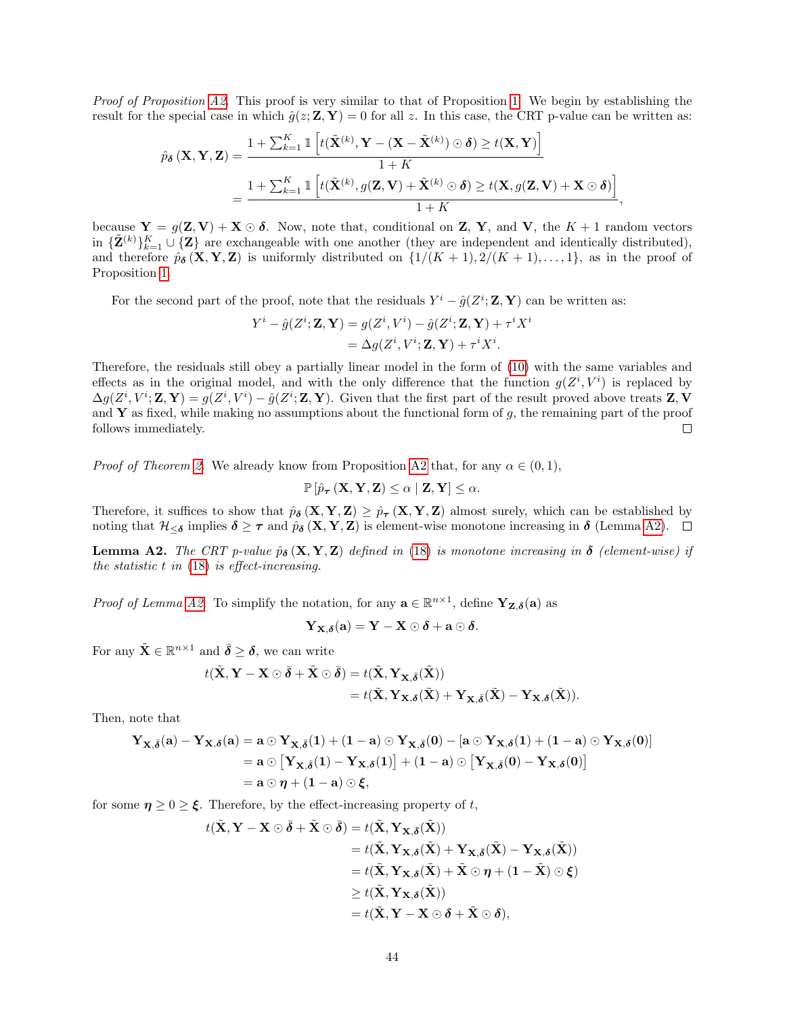*Proof of Proposition [A2.](#page-12-3)* This proof is very similar to that of Proposition [1.](#page-10-2) We begin by establishing the result for the special case in which  $\hat{g}(z; \mathbf{Z}, \mathbf{Y}) = 0$  for all z. In this case, the CRT p-value can be written as:

$$
\hat{p}_{\delta}\left(\mathbf{X}, \mathbf{Y}, \mathbf{Z}\right) = \frac{1 + \sum_{k=1}^{K} \mathbb{1}\left[t(\tilde{\mathbf{X}}^{(k)}, \mathbf{Y} - (\mathbf{X} - \tilde{\mathbf{X}}^{(k)}) \odot \delta) \ge t(\mathbf{X}, \mathbf{Y})\right]}{1 + K} \n= \frac{1 + \sum_{k=1}^{K} \mathbb{1}\left[t(\tilde{\mathbf{X}}^{(k)}, g(\mathbf{Z}, \mathbf{V}) + \tilde{\mathbf{X}}^{(k)} \odot \delta) \ge t(\mathbf{X}, g(\mathbf{Z}, \mathbf{V}) + \mathbf{X} \odot \delta)\right]}{1 + K},
$$

because  $Y = g(Z, V) + X \odot \delta$ . Now, note that, conditional on Z, Y, and V, the  $K + 1$  random vectors in  ${\{\tilde{\mathbf{Z}}^{(k)}\}}_{k=1}^K \cup {\{\mathbf{Z}\}}$  are exchangeable with one another (they are independent and identically distributed), and therefore  $\hat{p}_{\delta}(\mathbf{X}, \mathbf{Y}, \mathbf{Z})$  is uniformly distributed on  $\{1/(K+1), 2/(K+1), \ldots, 1\}$ , as in the proof of Proposition [1.](#page-10-2)

For the second part of the proof, note that the residuals  $Y^i - \hat{g}(Z^i; \mathbf{Z}, \mathbf{Y})$  can be written as:

$$
Y^{i} - \hat{g}(Z^{i}; \mathbf{Z}, \mathbf{Y}) = g(Z^{i}, V^{i}) - \hat{g}(Z^{i}; \mathbf{Z}, \mathbf{Y}) + \tau^{i} X^{i}
$$
  
=  $\Delta g(Z^{i}, V^{i}; \mathbf{Z}, \mathbf{Y}) + \tau^{i} X^{i}$ .

Therefore, the residuals still obey a partially linear model in the form of [\(10\)](#page-9-1) with the same variables and effects as in the original model, and with the only difference that the function  $g(Z^i, V^i)$  is replaced by  $\Delta g(Z^i, V^i; \mathbf{Z}, \mathbf{Y}) = g(Z^i, V^i) - \hat{g}(Z^i; \mathbf{Z}, \mathbf{Y})$ . Given that the first part of the result proved above treats  $\mathbf{Z}, \mathbf{V}$ and Y as fixed, while making no assumptions about the functional form of  $g$ , the remaining part of the proof follows immediately.  $\Box$ 

*Proof of Theorem [2.](#page-11-4)* We already know from Proposition [A2](#page-12-3) that, for any  $\alpha \in (0,1)$ ,

 $\mathbb{P}\left[\hat{p}_{\boldsymbol{\tau}}\left(\mathbf{X}, \mathbf{Y}, \mathbf{Z}\right) \leq \alpha \mid \mathbf{Z}, \mathbf{Y}\right] \leq \alpha.$ 

Therefore, it suffices to show that  $\hat{p}_{\delta}(\mathbf{X}, \mathbf{Y}, \mathbf{Z}) \geq \hat{p}_{\tau}(\mathbf{X}, \mathbf{Y}, \mathbf{Z})$  almost surely, which can be established by noting that  $\mathcal{H}_{\leq \delta}$  implies  $\delta \geq \tau$  and  $\hat{p}_{\delta}(\mathbf{X}, \mathbf{Y}, \mathbf{Z})$  is element-wise monotone increasing in  $\delta$  (Lemma [A2\)](#page-43-0).

<span id="page-43-0"></span>**Lemma A2.** The CRT p-value  $\hat{p}_{\delta}$  (**X**, **Y**, **Z**) defined in [\(18\)](#page-11-2) is monotone increasing in  $\delta$  (element-wise) if the statistic  $t$  in  $(18)$  is effect-increasing.

*Proof of Lemma [A2.](#page-43-0)* To simplify the notation, for any  $\mathbf{a} \in \mathbb{R}^{n \times 1}$ , define  $\mathbf{Y}_{\mathbf{Z},\delta}(\mathbf{a})$  as

$$
\mathbf{Y}_{\mathbf{X},\boldsymbol{\delta}}(\mathbf{a})=\mathbf{Y}-\mathbf{X}\odot\boldsymbol{\delta}+\mathbf{a}\odot\boldsymbol{\delta}.
$$

For any  $\tilde{\mathbf{X}} \in \mathbb{R}^{n \times 1}$  and  $\bar{\boldsymbol{\delta}} \geq \boldsymbol{\delta}$ , we can write

$$
t(\tilde{\mathbf{X}}, \mathbf{Y} - \mathbf{X} \odot \bar{\boldsymbol{\delta}} + \tilde{\mathbf{X}} \odot \bar{\boldsymbol{\delta}}) = t(\tilde{\mathbf{X}}, \mathbf{Y}_{\mathbf{X}, \bar{\boldsymbol{\delta}}}(\tilde{\mathbf{X}}))
$$
  
=  $t(\tilde{\mathbf{X}}, \mathbf{Y}_{\mathbf{X}, \boldsymbol{\delta}}(\tilde{\mathbf{X}}) + \mathbf{Y}_{\mathbf{X}, \bar{\boldsymbol{\delta}}}(\tilde{\mathbf{X}}) - \mathbf{Y}_{\mathbf{X}, \boldsymbol{\delta}}(\tilde{\mathbf{X}})).$ 

Then, note that

$$
\begin{aligned} \mathbf{Y}_{\mathbf{X},\bar{\boldsymbol{\delta}}}(\mathbf{a})-\mathbf{Y}_{\mathbf{X},\boldsymbol{\delta}}(\mathbf{a})&=\mathbf{a}\odot\mathbf{Y}_{\mathbf{X},\bar{\boldsymbol{\delta}}}(1)+(1-\mathbf{a})\odot\mathbf{Y}_{\mathbf{X},\bar{\boldsymbol{\delta}}}(0)-[\mathbf{a}\odot\mathbf{Y}_{\mathbf{X},\boldsymbol{\delta}}(1)+(1-\mathbf{a})\odot\mathbf{Y}_{\mathbf{X},\boldsymbol{\delta}}(0)]\\ &=\mathbf{a}\odot\left[\mathbf{Y}_{\mathbf{X},\bar{\boldsymbol{\delta}}}(1)-\mathbf{Y}_{\mathbf{X},\boldsymbol{\delta}}(1)\right]+(1-\mathbf{a})\odot\left[\mathbf{Y}_{\mathbf{X},\bar{\boldsymbol{\delta}}}(0)-\mathbf{Y}_{\mathbf{X},\boldsymbol{\delta}}(0)\right]\\ &=\mathbf{a}\odot\boldsymbol{\eta}+(1-\mathbf{a})\odot\boldsymbol{\xi}, \end{aligned}
$$

for some  $\eta \geq 0 \geq \xi$ . Therefore, by the effect-increasing property of t,

$$
t(\tilde{\mathbf{X}}, \mathbf{Y} - \mathbf{X} \odot \bar{\boldsymbol{\delta}} + \tilde{\mathbf{X}} \odot \bar{\boldsymbol{\delta}}) = t(\tilde{\mathbf{X}}, \mathbf{Y}_{\mathbf{X}, \bar{\boldsymbol{\delta}}}(\tilde{\mathbf{X}}))
$$
  
\n
$$
= t(\tilde{\mathbf{X}}, \mathbf{Y}_{\mathbf{X}, \delta}(\tilde{\mathbf{X}}) + \mathbf{Y}_{\mathbf{X}, \bar{\boldsymbol{\delta}}}(\tilde{\mathbf{X}}) - \mathbf{Y}_{\mathbf{X}, \delta}(\tilde{\mathbf{X}}))
$$
  
\n
$$
= t(\tilde{\mathbf{X}}, \mathbf{Y}_{\mathbf{X}, \delta}(\tilde{\mathbf{X}}) + \tilde{\mathbf{X}} \odot \boldsymbol{\eta} + (1 - \tilde{\mathbf{X}}) \odot \boldsymbol{\xi})
$$
  
\n
$$
\geq t(\tilde{\mathbf{X}}, \mathbf{Y}_{\mathbf{X}, \delta}(\tilde{\mathbf{X}}))
$$
  
\n
$$
= t(\tilde{\mathbf{X}}, \mathbf{Y} - \mathbf{X} \odot \boldsymbol{\delta} + \tilde{\mathbf{X}} \odot \boldsymbol{\delta}),
$$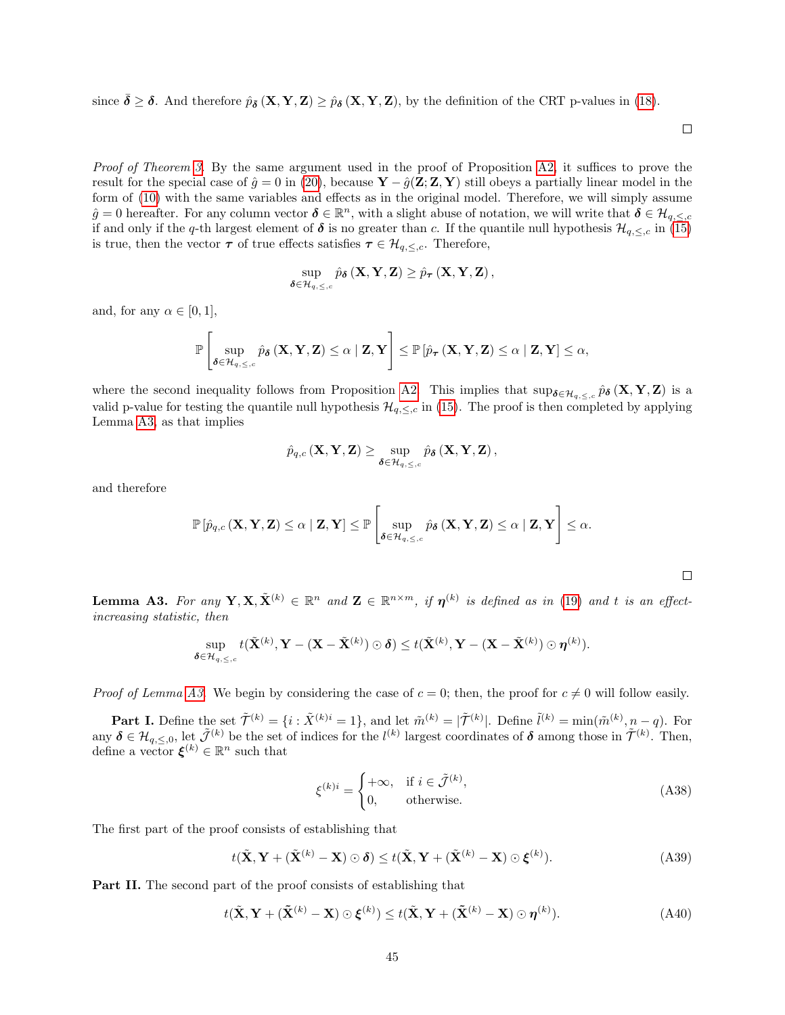since  $\delta \geq \delta$ . And therefore  $\hat{p}_{\bar{\delta}}(\mathbf{X}, \mathbf{Y}, \mathbf{Z}) \geq \hat{p}_{\delta}(\mathbf{X}, \mathbf{Y}, \mathbf{Z})$ , by the definition of the CRT p-values in [\(18\)](#page-11-2).

 $\Box$ 

<span id="page-44-3"></span><span id="page-44-2"></span><span id="page-44-1"></span> $\Box$ 

Proof of Theorem [3.](#page-12-4) By the same argument used in the proof of Proposition [A2,](#page-12-3) it suffices to prove the result for the special case of  $\hat{g} = 0$  in [\(20\)](#page-12-0), because  $\mathbf{Y} - \hat{g}(\mathbf{Z}; \mathbf{Z}, \mathbf{Y})$  still obeys a partially linear model in the form of [\(10\)](#page-9-1) with the same variables and effects as in the original model. Therefore, we will simply assume  $\hat{g} = 0$  hereafter. For any column vector  $\delta \in \mathbb{R}^n$ , with a slight abuse of notation, we will write that  $\delta \in \mathcal{H}_{q,\leq,c}$ if and only if the q-th largest element of  $\delta$  is no greater than c. If the quantile null hypothesis  $\mathcal{H}_{q,\leq,c}$  in [\(15\)](#page-10-4) is true, then the vector  $\tau$  of true effects satisfies  $\tau \in \mathcal{H}_{q,\leq,c}$ . Therefore,

$$
\sup_{\boldsymbol{\delta} \in \mathcal{H}_{q,\leq,c}} \hat{p}_{\boldsymbol{\delta}}\left(\mathbf{X}, \mathbf{Y}, \mathbf{Z}\right) \geq \hat{p}_{\boldsymbol{\tau}}\left(\mathbf{X}, \mathbf{Y}, \mathbf{Z}\right),
$$

and, for any  $\alpha \in [0, 1]$ ,

$$
\mathbb{P}\left[\sup_{\boldsymbol{\delta} \in \mathcal{H}_{q,\leq,c}} \hat{p}_{\boldsymbol{\delta}}\left(\mathbf{X},\mathbf{Y},\mathbf{Z}\right) \leq \alpha \mid \mathbf{Z},\mathbf{Y}\right] \leq \mathbb{P}\left[\hat{p}_{\boldsymbol{\tau}}\left(\mathbf{X},\mathbf{Y},\mathbf{Z}\right) \leq \alpha \mid \mathbf{Z},\mathbf{Y}\right] \leq \alpha,
$$

where the second inequality follows from Proposition [A2.](#page-12-3) This implies that  $\sup_{\delta \in \mathcal{H}_{q,\leq,c}} \hat{p}_{\delta}(\mathbf{X}, \mathbf{Y}, \mathbf{Z})$  is a valid p-value for testing the quantile null hypothesis  $\mathcal{H}_{q,\leq,c}$  in [\(15\)](#page-10-4). The proof is then completed by applying Lemma [A3,](#page-44-0) as that implies

$$
\hat{p}_{q,c}\left(\mathbf{X}, \mathbf{Y}, \mathbf{Z}\right) \geq \sup_{\boldsymbol{\delta} \in \mathcal{H}_{q,\leq,c}} \hat{p}_{\boldsymbol{\delta}}\left(\mathbf{X}, \mathbf{Y}, \mathbf{Z}\right),
$$

and therefore

$$
\mathbb{P}\left[\hat{p}_{q,c}\left(\mathbf{X},\mathbf{Y},\mathbf{Z}\right)\leq\alpha\mid\mathbf{Z},\mathbf{Y}\right]\leq\mathbb{P}\left[\sup_{\boldsymbol{\delta}\in\mathcal{H}_{q,\leq,c}}\hat{p}_{\boldsymbol{\delta}}\left(\mathbf{X},\mathbf{Y},\mathbf{Z}\right)\leq\alpha\mid\mathbf{Z},\mathbf{Y}\right]\leq\alpha.
$$

<span id="page-44-0"></span>**Lemma A3.** For any  $Y, X, \tilde{X}^{(k)} \in \mathbb{R}^n$  and  $\mathbf{Z} \in \mathbb{R}^{n \times m}$ , if  $\boldsymbol{\eta}^{(k)}$  is defined as in [\(19\)](#page-11-3) and t is an effectincreasing statistic, then

$$
\sup_{\boldsymbol{\delta}\in\mathcal{H}_{q,\leq,c}}t(\tilde{\mathbf{X}}^{(k)},\mathbf{Y}-(\mathbf{X}-\tilde{\mathbf{X}}^{(k)})\odot\boldsymbol{\delta})\leq t(\tilde{\mathbf{X}}^{(k)},\mathbf{Y}-(\mathbf{X}-\tilde{\mathbf{X}}^{(k)})\odot\boldsymbol{\eta}^{(k)}).
$$

*Proof of Lemma [A3.](#page-44-0)* We begin by considering the case of  $c = 0$ ; then, the proof for  $c \neq 0$  will follow easily.

**Part I.** Define the set  $\tilde{\mathcal{T}}^{(k)} = \{i : \tilde{X}^{(k)i} = 1\}$ , and let  $\tilde{m}^{(k)} = |\tilde{\mathcal{T}}^{(k)}|$ . Define  $\tilde{l}^{(k)} = \min(\tilde{m}^{(k)}, n - q)$ . For any  $\delta \in \mathcal{H}_{q,\leq,0}$ , let  $\tilde{\mathcal{J}}^{(k)}$  be the set of indices for the  $l^{(k)}$  largest coordinates of  $\delta$  among those in  $\tilde{\mathcal{T}}^{(k)}$ . Then, define a vector  $\xi^{(k)} \in \mathbb{R}^n$  such that

$$
\xi^{(k)i} = \begin{cases}\n+\infty, & \text{if } i \in \tilde{\mathcal{J}}^{(k)}, \\
0, & \text{otherwise.} \n\end{cases}
$$
\n(A38)

The first part of the proof consists of establishing that

$$
t(\tilde{\mathbf{X}}, \mathbf{Y} + (\tilde{\mathbf{X}}^{(k)} - \mathbf{X}) \odot \boldsymbol{\delta}) \le t(\tilde{\mathbf{X}}, \mathbf{Y} + (\tilde{\mathbf{X}}^{(k)} - \mathbf{X}) \odot \boldsymbol{\xi}^{(k)}).
$$
 (A39)

Part II. The second part of the proof consists of establishing that

$$
t(\tilde{\mathbf{X}}, \mathbf{Y} + (\tilde{\mathbf{X}}^{(k)} - \mathbf{X}) \odot \boldsymbol{\xi}^{(k)}) \leq t(\tilde{\mathbf{X}}, \mathbf{Y} + (\tilde{\mathbf{X}}^{(k)} - \mathbf{X}) \odot \boldsymbol{\eta}^{(k)}).
$$
 (A40)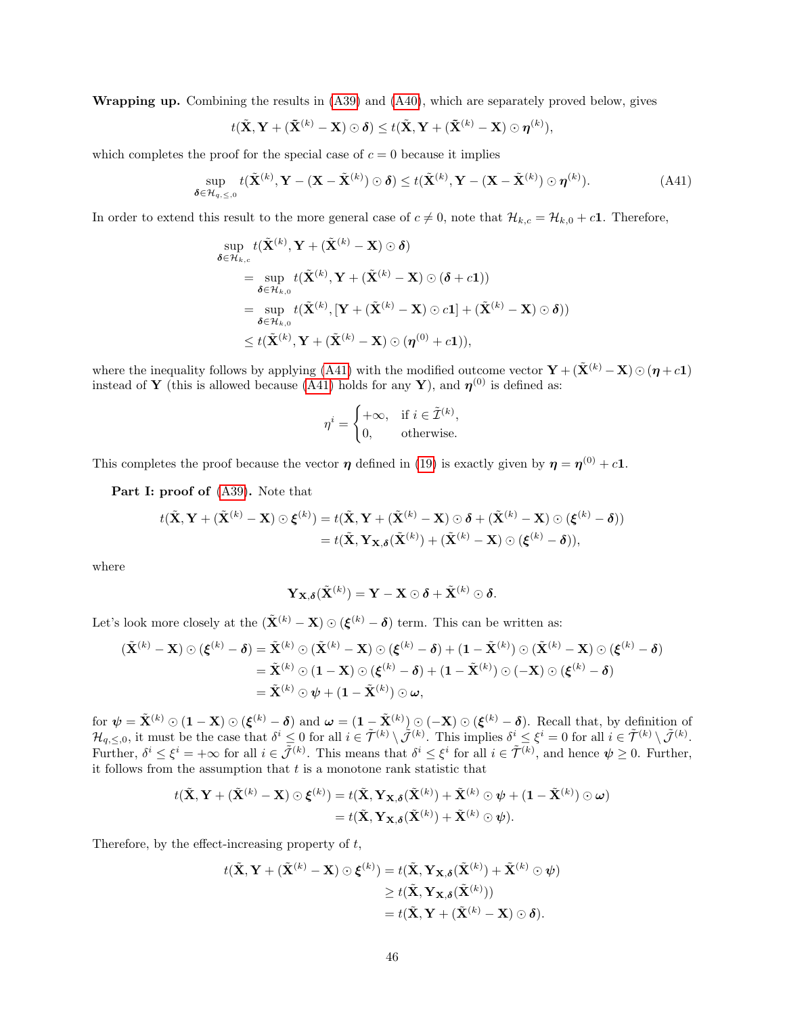Wrapping up. Combining the results in [\(A39\)](#page-44-1) and [\(A40\)](#page-44-2), which are separately proved below, gives

$$
t(\tilde{\mathbf{X}}, \mathbf{Y} + (\tilde{\mathbf{X}}^{(k)} - \mathbf{X}) \odot \boldsymbol{\delta}) \leq t(\tilde{\mathbf{X}}, \mathbf{Y} + (\tilde{\mathbf{X}}^{(k)} - \mathbf{X}) \odot \boldsymbol{\eta}^{(k)}),
$$

which completes the proof for the special case of  $c = 0$  because it implies

$$
\sup_{\boldsymbol{\delta}\in\mathcal{H}_{q,\leq,0}} t(\tilde{\mathbf{X}}^{(k)}, \mathbf{Y} - (\mathbf{X} - \tilde{\mathbf{X}}^{(k)}) \odot \boldsymbol{\delta}) \leq t(\tilde{\mathbf{X}}^{(k)}, \mathbf{Y} - (\mathbf{X} - \tilde{\mathbf{X}}^{(k)}) \odot \boldsymbol{\eta}^{(k)}).
$$
(A41)

In order to extend this result to the more general case of  $c \neq 0$ , note that  $\mathcal{H}_{k,c} = \mathcal{H}_{k,0} + c1$ . Therefore,

$$
\sup_{\boldsymbol{\delta} \in \mathcal{H}_{k,c}} t(\tilde{\mathbf{X}}^{(k)}, \mathbf{Y} + (\tilde{\mathbf{X}}^{(k)} - \mathbf{X}) \odot \boldsymbol{\delta})
$$
\n
$$
= \sup_{\boldsymbol{\delta} \in \mathcal{H}_{k,0}} t(\tilde{\mathbf{X}}^{(k)}, \mathbf{Y} + (\tilde{\mathbf{X}}^{(k)} - \mathbf{X}) \odot (\boldsymbol{\delta} + c\mathbf{1}))
$$
\n
$$
= \sup_{\boldsymbol{\delta} \in \mathcal{H}_{k,0}} t(\tilde{\mathbf{X}}^{(k)}, [\mathbf{Y} + (\tilde{\mathbf{X}}^{(k)} - \mathbf{X}) \odot c\mathbf{1}] + (\tilde{\mathbf{X}}^{(k)} - \mathbf{X}) \odot \boldsymbol{\delta}))
$$
\n
$$
\leq t(\tilde{\mathbf{X}}^{(k)}, \mathbf{Y} + (\tilde{\mathbf{X}}^{(k)} - \mathbf{X}) \odot (\boldsymbol{\eta}^{(0)} + c\mathbf{1})),
$$

where the inequality follows by applying [\(A41\)](#page-45-0) with the modified outcome vector  $\mathbf{Y} + (\tilde{\mathbf{X}}^{(k)} - \mathbf{X}) \odot (\boldsymbol{\eta} + c\mathbf{1})$ instead of **Y** (this is allowed because [\(A41\)](#page-45-0) holds for any **Y**), and  $\eta^{(0)}$  is defined as:

<span id="page-45-0"></span>
$$
\eta^i = \begin{cases} +\infty, & \text{if } i \in \tilde{\mathcal{I}}^{(k)}, \\ 0, & \text{otherwise.} \end{cases}
$$

This completes the proof because the vector  $\eta$  defined in [\(19\)](#page-11-3) is exactly given by  $\eta = \eta^{(0)} + c1$ .

Part I: proof of  $(A39)$ . Note that

$$
t(\tilde{\mathbf{X}}, \mathbf{Y} + (\tilde{\mathbf{X}}^{(k)} - \mathbf{X}) \odot \boldsymbol{\xi}^{(k)}) = t(\tilde{\mathbf{X}}, \mathbf{Y} + (\tilde{\mathbf{X}}^{(k)} - \mathbf{X}) \odot \boldsymbol{\delta} + (\tilde{\mathbf{X}}^{(k)} - \mathbf{X}) \odot (\boldsymbol{\xi}^{(k)} - \boldsymbol{\delta}))
$$
  
=  $t(\tilde{\mathbf{X}}, \mathbf{Y}_{\mathbf{X}, \boldsymbol{\delta}}(\tilde{\mathbf{X}}^{(k)}) + (\tilde{\mathbf{X}}^{(k)} - \mathbf{X}) \odot (\boldsymbol{\xi}^{(k)} - \boldsymbol{\delta})),$ 

where

$$
\mathbf{Y}_{\mathbf{X},\boldsymbol{\delta}}(\tilde{\mathbf{X}}^{(k)})=\mathbf{Y}-\mathbf{X}\odot\boldsymbol{\delta}+\tilde{\mathbf{X}}^{(k)}\odot\boldsymbol{\delta}.
$$

Let's look more closely at the  $(\tilde{\mathbf{X}}^{(k)} - \mathbf{X}) \odot (\boldsymbol{\xi}^{(k)} - \boldsymbol{\delta})$  term. This can be written as:

$$
(\tilde{\mathbf{X}}^{(k)} - \mathbf{X}) \odot (\boldsymbol{\xi}^{(k)} - \boldsymbol{\delta}) = \tilde{\mathbf{X}}^{(k)} \odot (\tilde{\mathbf{X}}^{(k)} - \mathbf{X}) \odot (\boldsymbol{\xi}^{(k)} - \boldsymbol{\delta}) + (1 - \tilde{\mathbf{X}}^{(k)}) \odot (\tilde{\mathbf{X}}^{(k)} - \mathbf{X}) \odot (\boldsymbol{\xi}^{(k)} - \boldsymbol{\delta})
$$
  
=  $\tilde{\mathbf{X}}^{(k)} \odot (1 - \mathbf{X}) \odot (\boldsymbol{\xi}^{(k)} - \boldsymbol{\delta}) + (1 - \tilde{\mathbf{X}}^{(k)}) \odot (-\mathbf{X}) \odot (\boldsymbol{\xi}^{(k)} - \boldsymbol{\delta})$   
=  $\tilde{\mathbf{X}}^{(k)} \odot \boldsymbol{\psi} + (1 - \tilde{\mathbf{X}}^{(k)}) \odot \boldsymbol{\omega},$ 

for  $\psi = \tilde{\mathbf{X}}^{(k)} \odot (\mathbf{1} - \mathbf{X}) \odot (\boldsymbol{\xi}^{(k)} - \boldsymbol{\delta})$  and  $\boldsymbol{\omega} = (\mathbf{1} - \tilde{\mathbf{X}}^{(k)}) \odot (-\mathbf{X}) \odot (\boldsymbol{\xi}^{(k)} - \boldsymbol{\delta})$ . Recall that, by definition of  $\mathcal{H}_{q,\leq,0}$ , it must be the case that  $\delta^i \leq 0$  for all  $i \in \tilde{\mathcal{T}}^{(k)} \setminus \tilde{\mathcal{J}}^{(k)}$ . This implies  $\delta^i \leq \xi^i = 0$  for all  $i \in \tilde{\mathcal{T}}^{(k)} \setminus \tilde{\mathcal{J}}^{(k)}$ . Further,  $\delta^i \leq \xi^i = +\infty$  for all  $i \in \tilde{\mathcal{J}}^{(k)}$ . This means that  $\delta^i \leq \xi^i$  for all  $i \in \tilde{\mathcal{T}}^{(k)}$ , and hence  $\psi \geq 0$ . Further, it follows from the assumption that  $t$  is a monotone rank statistic that

$$
t(\tilde{\mathbf{X}}, \mathbf{Y} + (\tilde{\mathbf{X}}^{(k)} - \mathbf{X}) \odot \boldsymbol{\xi}^{(k)}) = t(\tilde{\mathbf{X}}, \mathbf{Y}_{\mathbf{X}, \boldsymbol{\delta}}(\tilde{\mathbf{X}}^{(k)}) + \tilde{\mathbf{X}}^{(k)} \odot \boldsymbol{\psi} + (1 - \tilde{\mathbf{X}}^{(k)}) \odot \boldsymbol{\omega})
$$
  
=  $t(\tilde{\mathbf{X}}, \mathbf{Y}_{\mathbf{X}, \boldsymbol{\delta}}(\tilde{\mathbf{X}}^{(k)}) + \tilde{\mathbf{X}}^{(k)} \odot \boldsymbol{\psi}).$ 

Therefore, by the effect-increasing property of  $t$ ,

$$
t(\tilde{\mathbf{X}}, \mathbf{Y} + (\tilde{\mathbf{X}}^{(k)} - \mathbf{X}) \odot \boldsymbol{\xi}^{(k)}) = t(\tilde{\mathbf{X}}, \mathbf{Y}_{\mathbf{X}, \boldsymbol{\delta}}(\tilde{\mathbf{X}}^{(k)}) + \tilde{\mathbf{X}}^{(k)} \odot \boldsymbol{\psi})
$$
  
\n
$$
\geq t(\tilde{\mathbf{X}}, \mathbf{Y}_{\mathbf{X}, \boldsymbol{\delta}}(\tilde{\mathbf{X}}^{(k)}))
$$
  
\n
$$
= t(\tilde{\mathbf{X}}, \mathbf{Y} + (\tilde{\mathbf{X}}^{(k)} - \mathbf{X}) \odot \boldsymbol{\delta}).
$$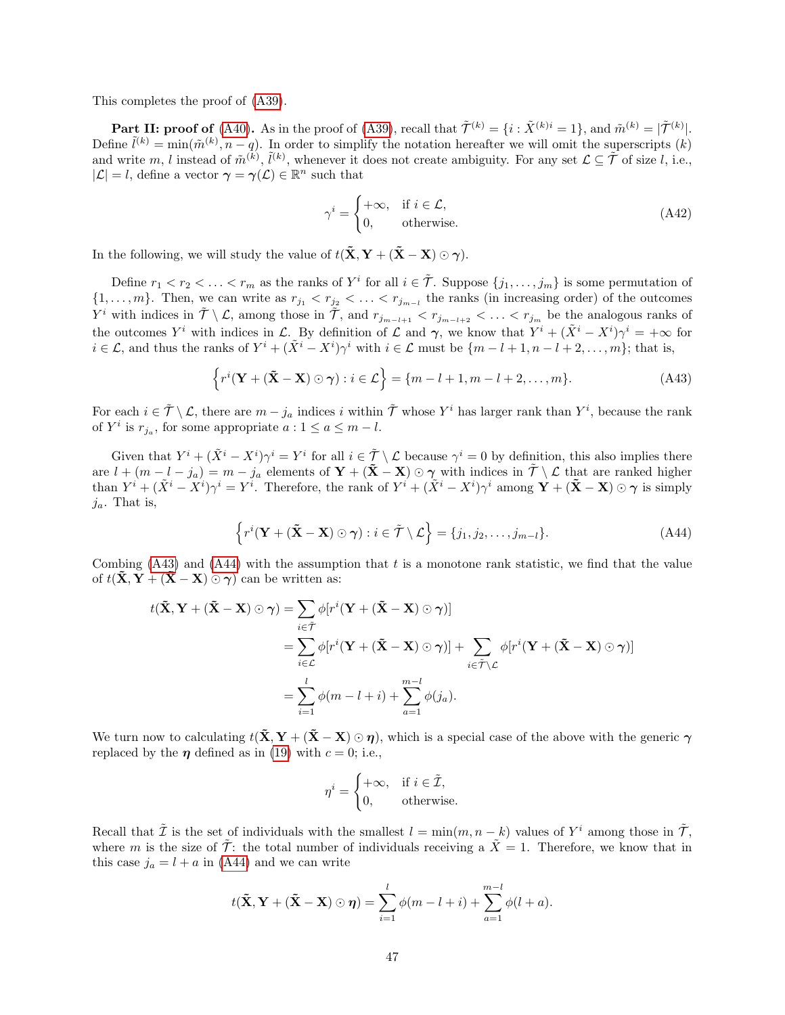This completes the proof of [\(A39\)](#page-44-1).

**Part II: proof of** [\(A40\)](#page-44-2). As in the proof of [\(A39\)](#page-44-1), recall that  $\tilde{\mathcal{T}}^{(k)} = \{i : \tilde{X}^{(k)i} = 1\}$ , and  $\tilde{m}^{(k)} = |\tilde{\mathcal{T}}^{(k)}|$ . Define  $\tilde{l}^{(k)} = \min(\tilde{m}^{(k)}, n - q)$ . In order to simplify the notation hereafter we will omit the superscripts  $(k)$ and write m, l instead of  $\tilde{m}^{(k)}$ ,  $\tilde{l}^{(k)}$ , whenever it does not create ambiguity. For any set  $\mathcal{L} \subseteq \tilde{\mathcal{T}}$  of size l, i.e.,  $|\mathcal{L}| = l$ , define a vector  $\gamma = \gamma(\mathcal{L}) \in \mathbb{R}^n$  such that

<span id="page-46-0"></span>
$$
\gamma^{i} = \begin{cases} +\infty, & \text{if } i \in \mathcal{L}, \\ 0, & \text{otherwise.} \end{cases}
$$
 (A42)

In the following, we will study the value of  $t(\tilde{\mathbf{X}}, \mathbf{Y} + (\tilde{\mathbf{X}} - \mathbf{X}) \odot \boldsymbol{\gamma})$ .

Define  $r_1 < r_2 < \ldots < r_m$  as the ranks of  $Y^i$  for all  $i \in \tilde{\mathcal{T}}$ . Suppose  $\{j_1, \ldots, j_m\}$  is some permutation of  $\{1,\ldots,m\}$ . Then, we can write as  $r_{j_1} < r_{j_2} < \ldots < r_{j_{m-1}}$  the ranks (in increasing order) of the outcomes  $Y^i$  with indices in  $\tilde{\mathcal{T}} \setminus \mathcal{L}$ , among those in  $\tilde{\mathcal{T}}$ , and  $r_{j_{m-l+1}} < r_{j_{m-l+2}} < \ldots < r_{j_m}$  be the analogous ranks of the outcomes  $Y^i$  with indices in  $\mathcal{L}$ . By definition of  $\mathcal{L}$  and  $\gamma$ , we know that  $Y^i + (\tilde{X}^i - X^i)\gamma^i = +\infty$  for  $i \in \mathcal{L}$ , and thus the ranks of  $Y^i + (\tilde{X}^i - X^i)\gamma^i$  with  $i \in \mathcal{L}$  must be  $\{m - l + 1, n - l + 2, \ldots, m\}$ ; that is,

$$
\left\{r^{i}(\mathbf{Y} + (\tilde{\mathbf{X}} - \mathbf{X}) \odot \boldsymbol{\gamma}) : i \in \mathcal{L}\right\} = \{m - l + 1, m - l + 2, \dots, m\}.
$$
 (A43)

For each  $i \in \tilde{\mathcal{T}} \setminus \mathcal{L}$ , there are  $m - j_a$  indices i within  $\tilde{\mathcal{T}}$  whose  $Y^i$  has larger rank than  $Y^i$ , because the rank of  $Y^i$  is  $r_{j_a}$ , for some appropriate  $a: 1 \le a \le m - l$ .

Given that  $Y^i + (\tilde{X}^i - X^i)\gamma^i = Y^i$  for all  $i \in \tilde{\mathcal{T}} \setminus \mathcal{L}$  because  $\gamma^i = 0$  by definition, this also implies there are  $l + (m - l - j_a) = m - j_a$  elements of  $\mathbf{Y} + (\mathbf{\tilde{X}} - \mathbf{X}) \odot \boldsymbol{\gamma}$  with indices in  $\tilde{\mathcal{T}} \setminus \mathcal{L}$  that are ranked higher than  $Y^i + (\tilde{X}^i - \tilde{X}^i)\gamma^i = Y^i$ . Therefore, the rank of  $Y^i + (\tilde{X}^i - X^i)\gamma^i$  among  $\mathbf{Y} + (\mathbf{\tilde{X}} - \mathbf{X}) \odot \gamma$  is simply  $j_a$ . That is,

$$
\left\{ r^{i}(\mathbf{Y} + (\tilde{\mathbf{X}} - \mathbf{X}) \odot \boldsymbol{\gamma}) : i \in \tilde{\mathcal{T}} \setminus \mathcal{L} \right\} = \{j_{1}, j_{2}, \dots, j_{m-l} \}.
$$
 (A44)

Combing  $(A43)$  and  $(A44)$  with the assumption that t is a monotone rank statistic, we find that the value of  $t(\tilde{\mathbf{X}}, \mathbf{Y} + (\tilde{\mathbf{X}} - \mathbf{X}) \odot \boldsymbol{\gamma})$  can be written as:

$$
t(\tilde{\mathbf{X}}, \mathbf{Y} + (\tilde{\mathbf{X}} - \mathbf{X}) \odot \boldsymbol{\gamma}) = \sum_{i \in \tilde{\mathcal{T}}} \phi[r^i(\mathbf{Y} + (\tilde{\mathbf{X}} - \mathbf{X}) \odot \boldsymbol{\gamma})]
$$
  
= 
$$
\sum_{i \in \mathcal{L}} \phi[r^i(\mathbf{Y} + (\tilde{\mathbf{X}} - \mathbf{X}) \odot \boldsymbol{\gamma})] + \sum_{i \in \tilde{\mathcal{T}} \setminus \mathcal{L}} \phi[r^i(\mathbf{Y} + (\tilde{\mathbf{X}} - \mathbf{X}) \odot \boldsymbol{\gamma})]
$$
  
= 
$$
\sum_{i=1}^{l} \phi(m - l + i) + \sum_{a=1}^{m-l} \phi(j_a).
$$

We turn now to calculating  $t(\tilde{\mathbf{X}}, \mathbf{Y} + (\tilde{\mathbf{X}} - \mathbf{X}) \odot \boldsymbol{\eta})$ , which is a special case of the above with the generic  $\boldsymbol{\gamma}$ replaced by the  $\eta$  defined as in [\(19\)](#page-11-3) with  $c = 0$ ; i.e.,

<span id="page-46-1"></span>
$$
\eta^i = \begin{cases} +\infty, & \text{if } i \in \tilde{\mathcal{I}}, \\ 0, & \text{otherwise.} \end{cases}
$$

Recall that  $\tilde{\mathcal{I}}$  is the set of individuals with the smallest  $l = \min(m, n - k)$  values of  $Y^i$  among those in  $\tilde{\mathcal{T}}$ , where m is the size of  $\tilde{\mathcal{T}}$ : the total number of individuals receiving a  $\tilde{X} = 1$ . Therefore, we know that in this case  $j_a = l + a$  in [\(A44\)](#page-46-1) and we can write

$$
t(\tilde{\mathbf{X}}, \mathbf{Y} + (\tilde{\mathbf{X}} - \mathbf{X}) \odot \boldsymbol{\eta}) = \sum_{i=1}^{l} \phi(m - l + i) + \sum_{a=1}^{m-l} \phi(l + a).
$$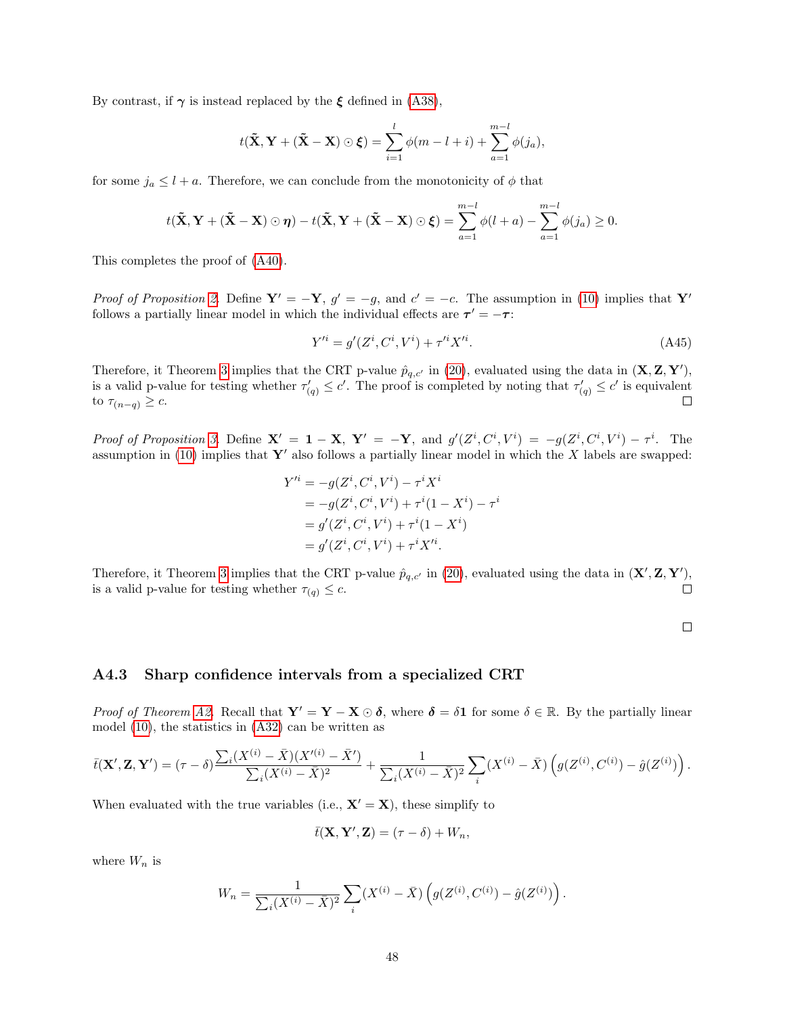By contrast, if  $\gamma$  is instead replaced by the  $\xi$  defined in [\(A38\)](#page-44-3),

$$
t(\tilde{\mathbf{X}}, \mathbf{Y} + (\tilde{\mathbf{X}} - \mathbf{X}) \odot \boldsymbol{\xi}) = \sum_{i=1}^{l} \phi(m - l + i) + \sum_{a=1}^{m-l} \phi(j_a),
$$

for some  $j_a \leq l + a$ . Therefore, we can conclude from the monotonicity of  $\phi$  that

$$
t(\tilde{\mathbf{X}}, \mathbf{Y} + (\tilde{\mathbf{X}} - \mathbf{X}) \odot \boldsymbol{\eta}) - t(\tilde{\mathbf{X}}, \mathbf{Y} + (\tilde{\mathbf{X}} - \mathbf{X}) \odot \boldsymbol{\xi}) = \sum_{a=1}^{m-l} \phi(l+a) - \sum_{a=1}^{m-l} \phi(j_a) \geq 0.
$$

This completes the proof of [\(A40\)](#page-44-2).

Proof of Proposition [2.](#page-12-3) Define  $Y' = -Y$ ,  $g' = -g$ , and  $c' = -c$ . The assumption in [\(10\)](#page-9-1) implies that Y' follows a partially linear model in which the individual effects are  $\tau' = -\tau$ :

$$
Y'^{i} = g'(Z^{i}, C^{i}, V^{i}) + \tau'^{i} X'^{i}.
$$
\n(A45)

Therefore, it Theorem [3](#page-12-4) implies that the CRT p-value  $\hat{p}_{q,c'}$  in [\(20\)](#page-12-0), evaluated using the data in  $(\mathbf{X}, \mathbf{Z}, \mathbf{Y}')$ , is a valid p-value for testing whether  $\tau'_{(q)} \leq c'$ . The proof is completed by noting that  $\tau'_{(q)} \leq c'$  is equivalent  $\Box$ to  $\tau_{(n-q)} \geq c$ .

Proof of Proposition [3.](#page-12-6) Define  $X' = 1 - X$ ,  $Y' = -Y$ , and  $g'(Z^i, C^i, V^i) = -g(Z^i, C^i, V^i) - \tau^i$ . The assumption in [\(10\)](#page-9-1) implies that  $\mathbf{Y}'$  also follows a partially linear model in which the X labels are swapped:

$$
Y'^{i} = -g(Z^{i}, C^{i}, V^{i}) - \tau^{i} X^{i}
$$
  
=  $-g(Z^{i}, C^{i}, V^{i}) + \tau^{i} (1 - X^{i}) - \tau^{i}$   
=  $g'(Z^{i}, C^{i}, V^{i}) + \tau^{i} (1 - X^{i})$   
=  $g'(Z^{i}, C^{i}, V^{i}) + \tau^{i} X'^{i}$ .

Therefore, it Theorem [3](#page-12-4) implies that the CRT p-value  $\hat{p}_{q,c'}$  in [\(20\)](#page-12-0), evaluated using the data in  $(\mathbf{X}', \mathbf{Z}, \mathbf{Y}')$ , is a valid p-value for testing whether  $\tau_{(q)} \leq c$ .  $\Box$ 

 $\Box$ 

#### A4.3 Sharp confidence intervals from a specialized CRT

*Proof of Theorem [A2.](#page-11-4)* Recall that  $Y' = Y - X \odot \delta$ , where  $\delta = \delta \mathbf{1}$  for some  $\delta \in \mathbb{R}$ . By the partially linear model [\(10\)](#page-9-1), the statistics in [\(A32\)](#page-31-1) can be written as

$$
\bar{t}(\mathbf{X}', \mathbf{Z}, \mathbf{Y}') = (\tau - \delta) \frac{\sum_{i} (X^{(i)} - \bar{X})(X'^{(i)} - \bar{X}')}{\sum_{i} (X^{(i)} - \bar{X})^2} + \frac{1}{\sum_{i} (X^{(i)} - \bar{X})^2} \sum_{i} (X^{(i)} - \bar{X}) \left( g(Z^{(i)}, C^{(i)}) - \hat{g}(Z^{(i)}) \right).
$$

When evaluated with the true variables (i.e.,  $X' = X$ ), these simplify to

$$
\bar{t}(\mathbf{X}, \mathbf{Y}', \mathbf{Z}) = (\tau - \delta) + W_n,
$$

where  $W_n$  is

$$
W_n = \frac{1}{\sum_i (X^{(i)} - \bar{X})^2} \sum_i (X^{(i)} - \bar{X}) \left( g(Z^{(i)}, C^{(i)}) - \hat{g}(Z^{(i)}) \right).
$$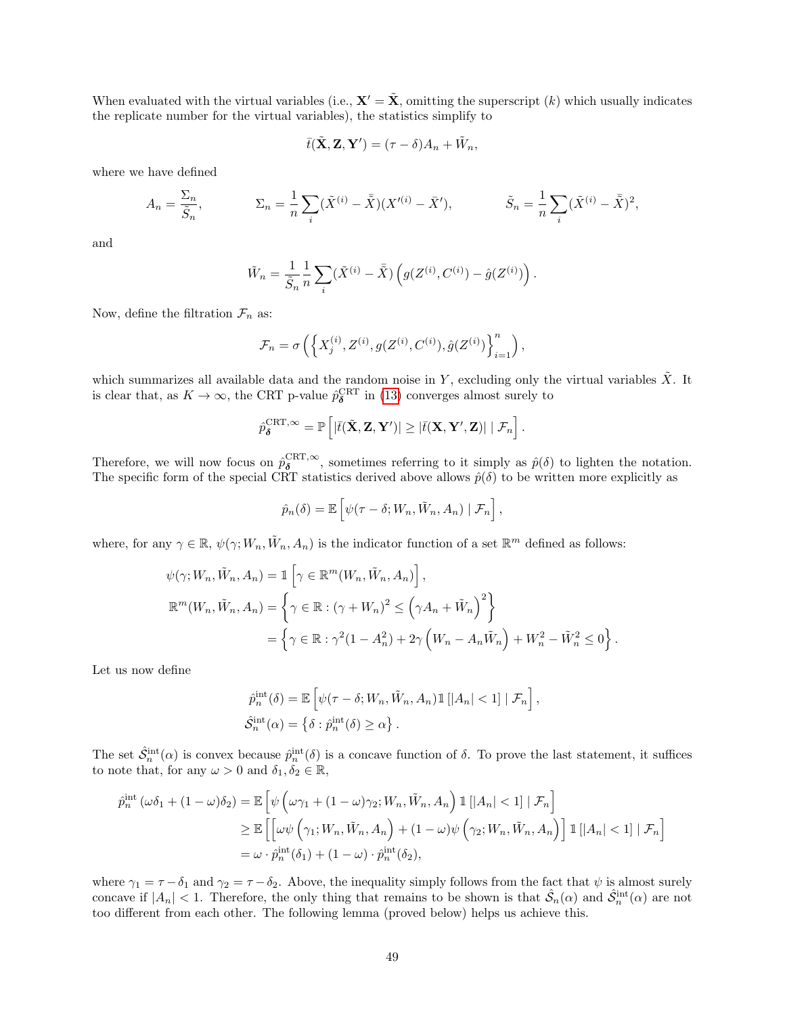When evaluated with the virtual variables (i.e.,  $\mathbf{X}' = \tilde{\mathbf{X}}$ , omitting the superscript (k) which usually indicates the replicate number for the virtual variables), the statistics simplify to

$$
\bar{t}(\tilde{\mathbf{X}}, \mathbf{Z}, \mathbf{Y}') = (\tau - \delta)A_n + \tilde{W}_n,
$$

where we have defined

$$
A_n = \frac{\Sigma_n}{\tilde{S}_n}, \qquad \Sigma_n = \frac{1}{n} \sum_i (\tilde{X}^{(i)} - \bar{\tilde{X}})(X'^{(i)} - \bar{X}'), \qquad \tilde{S}_n = \frac{1}{n} \sum_i (\tilde{X}^{(i)} - \bar{\tilde{X}})^2,
$$

and

$$
\tilde{W}_n = \frac{1}{\tilde{S}_n} \frac{1}{n} \sum_i (\tilde{X}^{(i)} - \bar{\tilde{X}}) \left( g(Z^{(i)}, C^{(i)}) - \hat{g}(Z^{(i)}) \right).
$$

Now, define the filtration  $\mathcal{F}_n$  as:

$$
\mathcal{F}_n = \sigma\left(\left\{X_j^{(i)}, Z^{(i)}, g(Z^{(i)}, C^{(i)}), \hat{g}(Z^{(i)})\right\}_{i=1}^n\right),\,
$$

which summarizes all available data and the random noise in Y, excluding only the virtual variables  $\tilde{X}$ . It is clear that, as  $K \to \infty$ , the CRT p-value  $\hat{p}_{\delta}^{\text{CRT}}$  in [\(13\)](#page-10-1) converges almost surely to

$$
\hat{p}_{\boldsymbol{\delta}}^{\text{CRT},\infty} = \mathbb{P}\left[|\bar{t}(\tilde{\mathbf{X}}, \mathbf{Z}, \mathbf{Y}')| \geq |\bar{t}(\mathbf{X}, \mathbf{Y}', \mathbf{Z})| \mid \mathcal{F}_n\right].
$$

Therefore, we will now focus on  $\hat{p}_{\delta}^{\text{CRT}, \infty}$ , sometimes referring to it simply as  $\hat{p}(\delta)$  to lighten the notation. The specific form of the special CRT statistics derived above allows  $\hat{p}(\delta)$  to be written more explicitly as

$$
\hat{p}_n(\delta) = \mathbb{E}\left[\psi(\tau-\delta;W_n,\tilde{W}_n,A_n) \mid \mathcal{F}_n\right],
$$

where, for any  $\gamma \in \mathbb{R}$ ,  $\psi(\gamma; W_n, \tilde{W}_n, A_n)$  is the indicator function of a set  $\mathbb{R}^m$  defined as follows:

$$
\psi(\gamma; W_n, \tilde{W}_n, A_n) = \mathbb{1}\left[\gamma \in \mathbb{R}^m(W_n, \tilde{W}_n, A_n)\right],
$$
  

$$
\mathbb{R}^m(W_n, \tilde{W}_n, A_n) = \left\{\gamma \in \mathbb{R} : (\gamma + W_n)^2 \leq (\gamma A_n + \tilde{W}_n)^2\right\}
$$
  

$$
= \left\{\gamma \in \mathbb{R} : \gamma^2(1 - A_n^2) + 2\gamma \left(W_n - A_n \tilde{W}_n\right) + W_n^2 - \tilde{W}_n^2 \leq 0\right\}.
$$

Let us now define

$$
\hat{p}_n^{\text{int}}(\delta) = \mathbb{E}\left[\psi(\tau - \delta; W_n, \tilde{W}_n, A_n) \mathbb{1}\left[|A_n| < 1\right] | \mathcal{F}_n\right],
$$
\n
$$
\hat{S}_n^{\text{int}}(\alpha) = \left\{\delta : \hat{p}_n^{\text{int}}(\delta) \ge \alpha\right\}.
$$

The set  $\hat{S}_n^{\text{int}}(\alpha)$  is convex because  $\hat{p}_n^{\text{int}}(\delta)$  is a concave function of  $\delta$ . To prove the last statement, it suffices to note that, for any  $\omega > 0$  and  $\delta_1, \delta_2 \in \mathbb{R}$ ,

$$
\hat{p}_n^{\text{int}}(\omega \delta_1 + (1 - \omega)\delta_2) = \mathbb{E}\left[\psi\left(\omega\gamma_1 + (1 - \omega)\gamma_2; W_n, \tilde{W}_n, A_n\right) \mathbb{1}\left[|A_n| < 1\right] | \mathcal{F}_n\right]
$$
\n
$$
\geq \mathbb{E}\left[\left[\omega\psi\left(\gamma_1; W_n, \tilde{W}_n, A_n\right) + (1 - \omega)\psi\left(\gamma_2; W_n, \tilde{W}_n, A_n\right)\right] \mathbb{1}\left[|A_n| < 1\right] | \mathcal{F}_n\right]
$$
\n
$$
= \omega \cdot \hat{p}_n^{\text{int}}(\delta_1) + (1 - \omega) \cdot \hat{p}_n^{\text{int}}(\delta_2),
$$

where  $\gamma_1 = \tau - \delta_1$  and  $\gamma_2 = \tau - \delta_2$ . Above, the inequality simply follows from the fact that  $\psi$  is almost surely concave if  $|A_n| < 1$ . Therefore, the only thing that remains to be shown is that  $\hat{S}_n(\alpha)$  and  $\hat{S}_n^{\text{int}}(\alpha)$  are not too different from each other. The following lemma (proved below) helps us achieve this.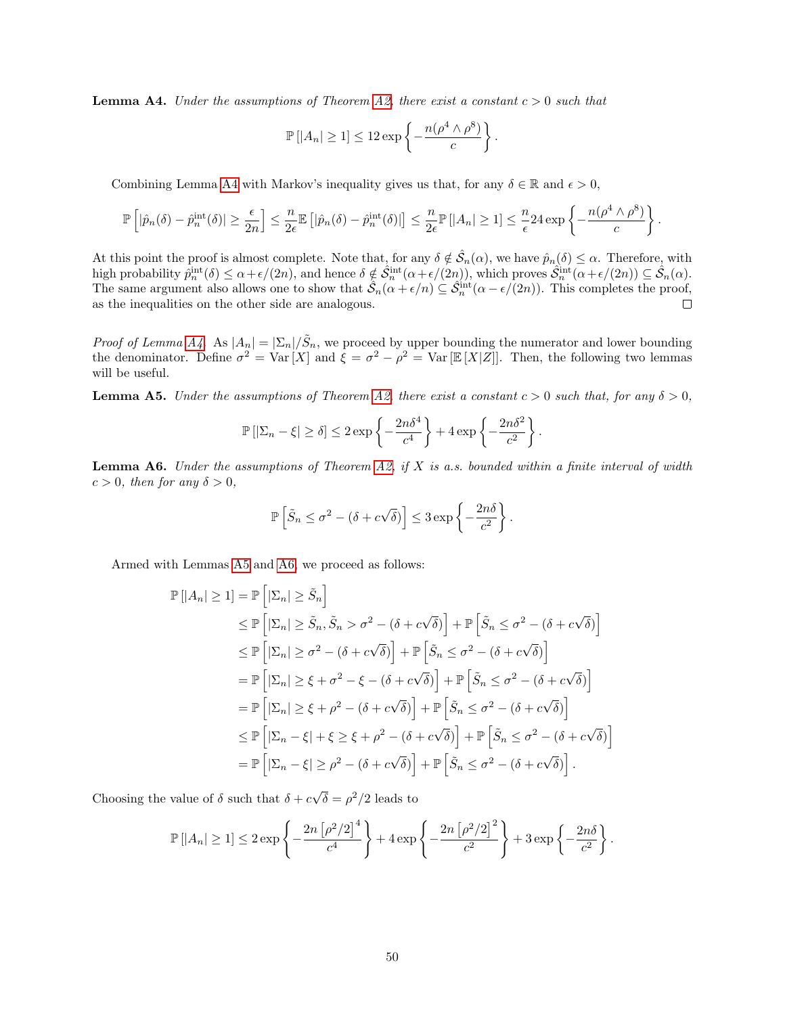<span id="page-49-0"></span>**Lemma A4.** Under the assumptions of Theorem [A2,](#page-11-4) there exist a constant  $c > 0$  such that

$$
\mathbb{P}\left[|A_n| \geq 1\right] \leq 12 \exp\left\{-\frac{n(\rho^4 \wedge \rho^8)}{c}\right\}.
$$

Combining Lemma [A4](#page-49-0) with Markov's inequality gives us that, for any  $\delta \in \mathbb{R}$  and  $\epsilon > 0$ ,

$$
\mathbb{P}\left[|\hat{p}_n(\delta) - \hat{p}_n^{\text{int}}(\delta)| \geq \frac{\epsilon}{2n}\right] \leq \frac{n}{2\epsilon} \mathbb{E}\left[|\hat{p}_n(\delta) - \hat{p}_n^{\text{int}}(\delta)|\right] \leq \frac{n}{2\epsilon} \mathbb{P}\left[|A_n| \geq 1\right] \leq \frac{n}{\epsilon} 24 \exp\left\{-\frac{n(\rho^4 \wedge \rho^8)}{c}\right\}.
$$

At this point the proof is almost complete. Note that, for any  $\delta \notin \hat{S}_n(\alpha)$ , we have  $\hat{p}_n(\delta) \leq \alpha$ . Therefore, with high probability  $\hat{p}_n^{\text{int}}(\delta) \leq \alpha + \epsilon/(2n)$ , and hence  $\delta \notin \hat{\mathcal{S}}_n^{\text{int}}(\alpha + \epsilon/(2n))$ , which proves  $\hat{\mathcal{S}}_n^{\text{int}}(\alpha + \epsilon/(2n)) \subseteq \hat{\mathcal{S}}_n(\alpha)$ . The same argument also allows one to show that  $\hat{S}_n(\alpha + \epsilon/n) \subseteq \hat{S}_n^{\text{int}}(\alpha - \epsilon/(2n))$ . This completes the proof, as the inequalities on the other side are analogous.  $\Box$ 

*Proof of Lemma [A4.](#page-49-0)* As  $|A_n| = |\Sigma_n| / \tilde{S}_n$ , we proceed by upper bounding the numerator and lower bounding the denominator. Define  $\sigma^2 = \text{Var}[X]$  and  $\xi = \sigma^2 - \rho^2 = \text{Var}[\mathbb{E}[X|Z]]$ . Then, the following two lemmas will be useful.

<span id="page-49-1"></span>**Lemma A5.** Under the assumptions of Theorem [A2,](#page-11-4) there exist a constant  $c > 0$  such that, for any  $\delta > 0$ ,

$$
\mathbb{P}\left[|\Sigma_n - \xi| \ge \delta\right] \le 2 \exp\left\{-\frac{2n\delta^4}{c^4}\right\} + 4 \exp\left\{-\frac{2n\delta^2}{c^2}\right\}.
$$

<span id="page-49-2"></span>**Lemma A6.** Under the assumptions of Theorem [A2,](#page-11-4) if X is a.s. bounded within a finite interval of width  $c > 0$ , then for any  $\delta > 0$ ,

$$
\mathbb{P}\left[\tilde{S}_n \leq \sigma^2 - (\delta + c\sqrt{\delta})\right] \leq 3\exp\left\{-\frac{2n\delta}{c^2}\right\}.
$$

Armed with Lemmas [A5](#page-49-1) and [A6,](#page-49-2) we proceed as follows:

$$
\mathbb{P}\left[|A_n| \geq 1\right] = \mathbb{P}\left[|\Sigma_n| \geq \tilde{S}_n\right]
$$
\n
$$
\leq \mathbb{P}\left[|\Sigma_n| \geq \tilde{S}_n, \tilde{S}_n > \sigma^2 - (\delta + c\sqrt{\delta})\right] + \mathbb{P}\left[\tilde{S}_n \leq \sigma^2 - (\delta + c\sqrt{\delta})\right]
$$
\n
$$
\leq \mathbb{P}\left[|\Sigma_n| \geq \sigma^2 - (\delta + c\sqrt{\delta})\right] + \mathbb{P}\left[\tilde{S}_n \leq \sigma^2 - (\delta + c\sqrt{\delta})\right]
$$
\n
$$
= \mathbb{P}\left[|\Sigma_n| \geq \xi + \sigma^2 - \xi - (\delta + c\sqrt{\delta})\right] + \mathbb{P}\left[\tilde{S}_n \leq \sigma^2 - (\delta + c\sqrt{\delta})\right]
$$
\n
$$
= \mathbb{P}\left[|\Sigma_n| \geq \xi + \rho^2 - (\delta + c\sqrt{\delta})\right] + \mathbb{P}\left[\tilde{S}_n \leq \sigma^2 - (\delta + c\sqrt{\delta})\right]
$$
\n
$$
\leq \mathbb{P}\left[|\Sigma_n - \xi| + \xi \geq \xi + \rho^2 - (\delta + c\sqrt{\delta})\right] + \mathbb{P}\left[\tilde{S}_n \leq \sigma^2 - (\delta + c\sqrt{\delta})\right]
$$
\n
$$
= \mathbb{P}\left[|\Sigma_n - \xi| \geq \rho^2 - (\delta + c\sqrt{\delta})\right] + \mathbb{P}\left[\tilde{S}_n \leq \sigma^2 - (\delta + c\sqrt{\delta})\right].
$$

Choosing the value of  $\delta$  such that  $\delta + c$ √  $\overline{\delta} = \rho^2/2$  leads to

$$
\mathbb{P}\left[|A_n| \geq 1\right] \leq 2\exp\left\{-\frac{2n\left[\rho^2/2\right]^4}{c^4}\right\} + 4\exp\left\{-\frac{2n\left[\rho^2/2\right]^2}{c^2}\right\} + 3\exp\left\{-\frac{2n\delta}{c^2}\right\}.
$$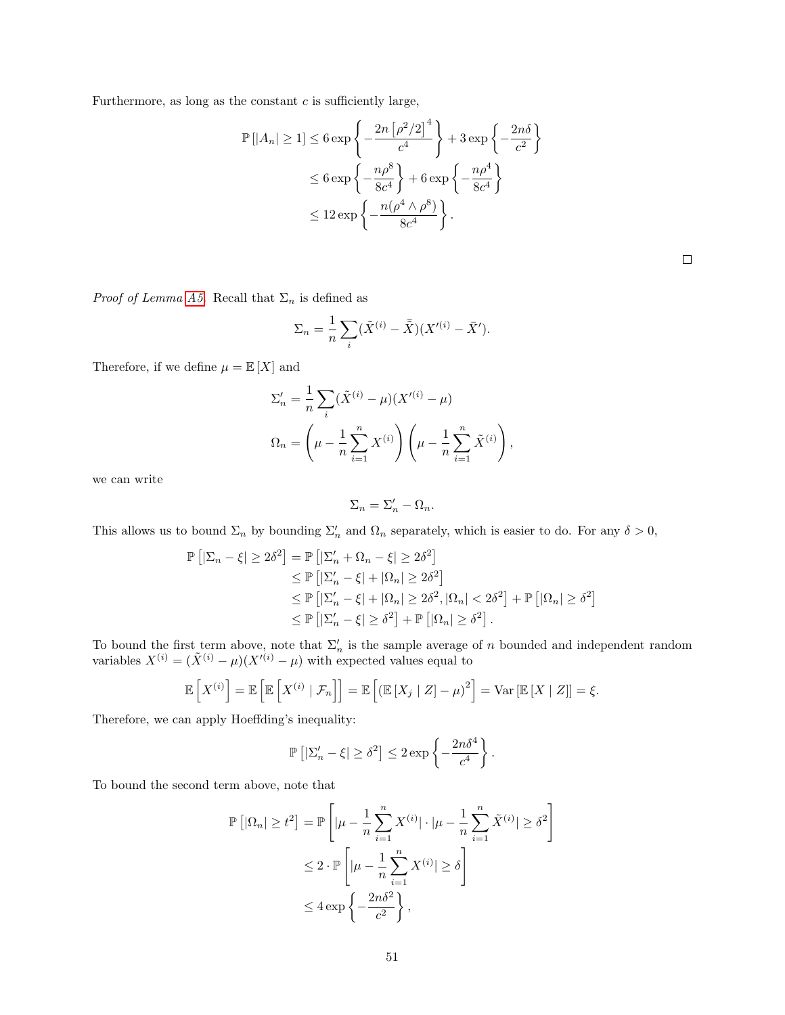Furthermore, as long as the constant  $c$  is sufficiently large,

$$
\mathbb{P}\left[|A_n| \ge 1\right] \le 6 \exp\left\{-\frac{2n\left[\rho^2/2\right]^4}{c^4}\right\} + 3 \exp\left\{-\frac{2n\delta}{c^2}\right\}
$$

$$
\le 6 \exp\left\{-\frac{n\rho^8}{8c^4}\right\} + 6 \exp\left\{-\frac{n\rho^4}{8c^4}\right\}
$$

$$
\le 12 \exp\left\{-\frac{n(\rho^4 \wedge \rho^8)}{8c^4}\right\}.
$$

*Proof of Lemma [A5.](#page-49-1)* Recall that  $\Sigma_n$  is defined as

$$
\Sigma_n = \frac{1}{n} \sum_i (\tilde{X}^{(i)} - \bar{\tilde{X}})(X'^{(i)} - \bar{X}').
$$

Therefore, if we define  $\mu = \mathbb{E}\left[X\right]$  and

$$
\Sigma'_{n} = \frac{1}{n} \sum_{i} (\tilde{X}^{(i)} - \mu)(X'^{(i)} - \mu)
$$
  

$$
\Omega_{n} = \left(\mu - \frac{1}{n} \sum_{i=1}^{n} X^{(i)}\right) \left(\mu - \frac{1}{n} \sum_{i=1}^{n} \tilde{X}^{(i)}\right),
$$

we can write

$$
\Sigma_n = \Sigma_n' - \Omega_n.
$$

This allows us to bound  $\Sigma_n$  by bounding  $\Sigma'_n$  and  $\Omega_n$  separately, which is easier to do. For any  $\delta > 0$ ,

$$
\mathbb{P}\left[|\Sigma_n - \xi| \ge 2\delta^2\right] = \mathbb{P}\left[|\Sigma'_n + \Omega_n - \xi| \ge 2\delta^2\right] \\
\le \mathbb{P}\left[|\Sigma'_n - \xi| + |\Omega_n| \ge 2\delta^2\right] \\
\le \mathbb{P}\left[|\Sigma'_n - \xi| + |\Omega_n| \ge 2\delta^2, |\Omega_n| < 2\delta^2\right] + \mathbb{P}\left[|\Omega_n| \ge \delta^2\right] \\
\le \mathbb{P}\left[|\Sigma'_n - \xi| \ge \delta^2\right] + \mathbb{P}\left[|\Omega_n| \ge \delta^2\right].
$$

To bound the first term above, note that  $\Sigma_n'$  is the sample average of n bounded and independent random variables  $X^{(i)} = (\tilde{X}^{(i)} - \mu)(X^{(i)} - \mu)$  with expected values equal to

$$
\mathbb{E}\left[X^{(i)}\right] = \mathbb{E}\left[\mathbb{E}\left[X^{(i)} \mid \mathcal{F}_n\right]\right] = \mathbb{E}\left[\left(\mathbb{E}\left[X_j \mid Z\right] - \mu\right)^2\right] = \text{Var}\left[\mathbb{E}\left[X \mid Z\right]\right] = \xi.
$$

Therefore, we can apply Hoeffding's inequality:

$$
\mathbb{P}\left[|\Sigma'_n-\xi|\geq \delta^2\right]\leq 2\exp\left\{-\frac{2n\delta^4}{c^4}\right\}.
$$

To bound the second term above, note that

$$
\mathbb{P}\left[|\Omega_n| \ge t^2\right] = \mathbb{P}\left[|\mu - \frac{1}{n}\sum_{i=1}^n X^{(i)}| \cdot |\mu - \frac{1}{n}\sum_{i=1}^n \tilde{X}^{(i)}| \ge \delta^2\right]
$$
  

$$
\le 2 \cdot \mathbb{P}\left[|\mu - \frac{1}{n}\sum_{i=1}^n X^{(i)}| \ge \delta\right]
$$
  

$$
\le 4 \exp\left\{-\frac{2n\delta^2}{c^2}\right\},
$$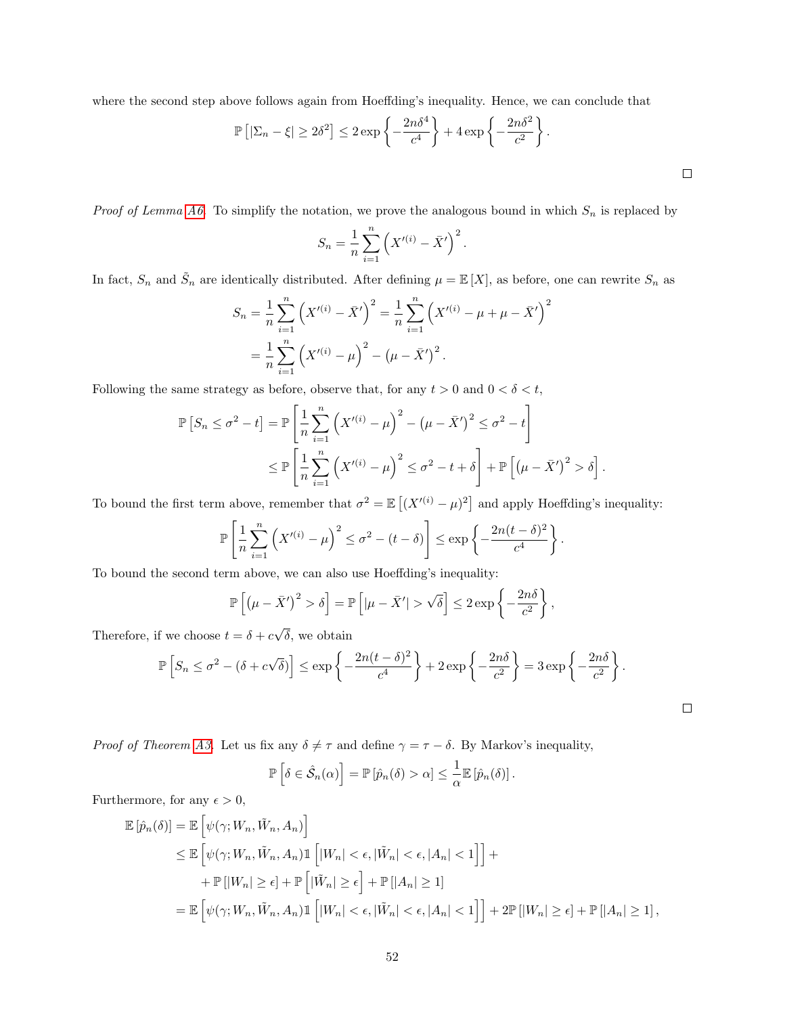where the second step above follows again from Hoeffding's inequality. Hence, we can conclude that

$$
\mathbb{P}\left[|\Sigma_n - \xi| \ge 2\delta^2\right] \le 2 \exp\left\{-\frac{2n\delta^4}{c^4}\right\} + 4 \exp\left\{-\frac{2n\delta^2}{c^2}\right\}.
$$

*Proof of Lemma [A6.](#page-49-2)* To simplify the notation, we prove the analogous bound in which  $S_n$  is replaced by

$$
S_n = \frac{1}{n} \sum_{i=1}^n \left( X'^{(i)} - \bar{X}' \right)^2.
$$

In fact,  $S_n$  and  $\tilde{S}_n$  are identically distributed. After defining  $\mu = \mathbb{E}[X]$ , as before, one can rewrite  $S_n$  as

$$
S_n = \frac{1}{n} \sum_{i=1}^n \left( X'^{(i)} - \bar{X}' \right)^2 = \frac{1}{n} \sum_{i=1}^n \left( X'^{(i)} - \mu + \mu - \bar{X}' \right)^2
$$

$$
= \frac{1}{n} \sum_{i=1}^n \left( X'^{(i)} - \mu \right)^2 - \left( \mu - \bar{X}' \right)^2.
$$

Following the same strategy as before, observe that, for any  $t > 0$  and  $0 < \delta < t$ ,

$$
\mathbb{P}\left[S_n \leq \sigma^2 - t\right] = \mathbb{P}\left[\frac{1}{n}\sum_{i=1}^n \left(X'^{(i)} - \mu\right)^2 - \left(\mu - \bar{X}'\right)^2 \leq \sigma^2 - t\right]
$$
  

$$
\leq \mathbb{P}\left[\frac{1}{n}\sum_{i=1}^n \left(X'^{(i)} - \mu\right)^2 \leq \sigma^2 - t + \delta\right] + \mathbb{P}\left[\left(\mu - \bar{X}'\right)^2 > \delta\right].
$$

To bound the first term above, remember that  $\sigma^2 = \mathbb{E}[(X^{(i)} - \mu)^2]$  and apply Hoeffding's inequality:

$$
\mathbb{P}\left[\frac{1}{n}\sum_{i=1}^n \left(X'^{(i)} - \mu\right)^2 \leq \sigma^2 - (t - \delta)\right] \leq \exp\left\{-\frac{2n(t - \delta)^2}{c^4}\right\}.
$$

To bound the second term above, we can also use Hoeffding's inequality:

$$
\mathbb{P}\left[\left(\mu - \bar{X}'\right)^2 > \delta\right] = \mathbb{P}\left[|\mu - \bar{X}'| > \sqrt{\delta}\right] \le 2 \exp\left\{-\frac{2n\delta}{c^2}\right\},\
$$

Therefore, if we choose  $t = \delta + c$  $\delta$ , we obtain

$$
\mathbb{P}\left[S_n \le \sigma^2 - (\delta + c\sqrt{\delta})\right] \le \exp\left\{-\frac{2n(t-\delta)^2}{c^4}\right\} + 2\exp\left\{-\frac{2n\delta}{c^2}\right\} = 3\exp\left\{-\frac{2n\delta}{c^2}\right\}.
$$

 $\Box$ 

*Proof of Theorem [A3.](#page-12-4)* Let us fix any  $\delta \neq \tau$  and define  $\gamma = \tau - \delta$ . By Markov's inequality,

$$
\mathbb{P}\left[\delta \in \hat{\mathcal{S}}_n(\alpha)\right] = \mathbb{P}\left[\hat{p}_n(\delta) > \alpha\right] \leq \frac{1}{\alpha} \mathbb{E}\left[\hat{p}_n(\delta)\right].
$$

Furthermore, for any  $\epsilon > 0$ ,

$$
\mathbb{E}\left[\hat{p}_n(\delta)\right] = \mathbb{E}\left[\psi(\gamma; W_n, \tilde{W}_n, A_n)\right]
$$
  
\n
$$
\leq \mathbb{E}\left[\psi(\gamma; W_n, \tilde{W}_n, A_n)\mathbb{1}\left[|W_n| < \epsilon, |\tilde{W}_n| < \epsilon, |A_n| < 1\right]\right] +
$$
  
\n
$$
+ \mathbb{P}\left[|W_n| \geq \epsilon\right] + \mathbb{P}\left[|\tilde{W}_n| \geq \epsilon\right] + \mathbb{P}\left[|A_n| \geq 1\right]
$$
  
\n
$$
= \mathbb{E}\left[\psi(\gamma; W_n, \tilde{W}_n, A_n)\mathbb{1}\left[|W_n| < \epsilon, |\tilde{W}_n| < \epsilon, |A_n| < 1\right]\right] + 2\mathbb{P}\left[|W_n| \geq \epsilon\right] + \mathbb{P}\left[|A_n| \geq 1\right],
$$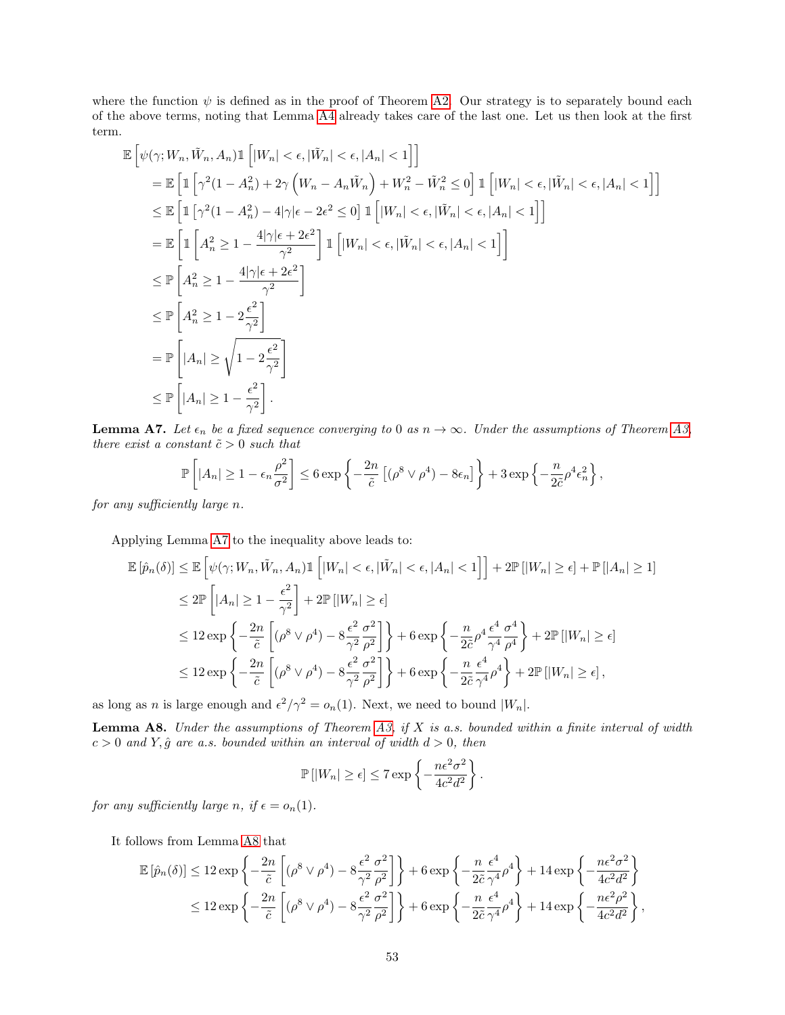where the function  $\psi$  is defined as in the proof of Theorem [A2.](#page-11-4) Our strategy is to separately bound each of the above terms, noting that Lemma [A4](#page-49-0) already takes care of the last one. Let us then look at the first term.

$$
\mathbb{E}\left[\psi(\gamma; W_n, \tilde{W}_n, A_n) \mathbb{1}\left[|W_n| < \epsilon, |\tilde{W}_n| < \epsilon, |A_n| < 1\right]\right]
$$
\n
$$
= \mathbb{E}\left[\mathbb{1}\left[\gamma^2(1-A_n^2) + 2\gamma\left(W_n - A_n\tilde{W}_n\right) + W_n^2 - \tilde{W}_n^2 \le 0\right] \mathbb{1}\left[|W_n| < \epsilon, |\tilde{W}_n| < \epsilon, |A_n| < 1\right]\right]
$$
\n
$$
\le \mathbb{E}\left[\mathbb{1}\left[\gamma^2(1-A_n^2) - 4|\gamma|\epsilon - 2\epsilon^2 \le 0\right] \mathbb{1}\left[|W_n| < \epsilon, |\tilde{W}_n| < \epsilon, |A_n| < 1\right]\right]
$$
\n
$$
= \mathbb{E}\left[\mathbb{1}\left[A_n^2 \ge 1 - \frac{4|\gamma|\epsilon + 2\epsilon^2}{\gamma^2}\right] \mathbb{1}\left[|W_n| < \epsilon, |\tilde{W}_n| < \epsilon, |A_n| < 1\right]\right]
$$
\n
$$
\le \mathbb{P}\left[A_n^2 \ge 1 - \frac{4|\gamma|\epsilon + 2\epsilon^2}{\gamma^2}\right]
$$
\n
$$
\le \mathbb{P}\left[A_n^2 \ge 1 - 2\frac{\epsilon^2}{\gamma^2}\right]
$$
\n
$$
= \mathbb{P}\left[|A_n| \ge \sqrt{1 - 2\frac{\epsilon^2}{\gamma^2}}\right]
$$
\n
$$
\le \mathbb{P}\left[|A_n| \ge 1 - \frac{\epsilon^2}{\gamma^2}\right].
$$

<span id="page-52-0"></span>**Lemma A7.** Let  $\epsilon_n$  be a fixed sequence converging to 0 as  $n \to \infty$ . Under the assumptions of Theorem [A3,](#page-12-4) there exist a constant  $\tilde{c} > 0$  such that

$$
\mathbb{P}\left[|A_n| \geq 1 - \epsilon_n \frac{\rho^2}{\sigma^2}\right] \leq 6 \exp\left\{-\frac{2n}{\tilde{c}}\left[ (\rho^8 \vee \rho^4) - 8\epsilon_n\right] \right\} + 3 \exp\left\{-\frac{n}{2\tilde{c}}\rho^4 \epsilon_n^2\right\},\
$$

for any sufficiently large n.

Applying Lemma [A7](#page-52-0) to the inequality above leads to:

$$
\mathbb{E}\left[\hat{p}_n(\delta)\right] \leq \mathbb{E}\left[\psi(\gamma; W_n, \tilde{W}_n, A_n)\mathbb{1}\left[|W_n| < \epsilon, |\tilde{W}_n| < \epsilon, |A_n| < 1\right]\right] + 2\mathbb{P}\left[|W_n| \geq \epsilon\right] + \mathbb{P}\left[|A_n| \geq 1\right]
$$
\n
$$
\leq 2\mathbb{P}\left[|A_n| \geq 1 - \frac{\epsilon^2}{\gamma^2}\right] + 2\mathbb{P}\left[|W_n| \geq \epsilon\right]
$$
\n
$$
\leq 12\exp\left\{-\frac{2n}{\tilde{c}}\left[(\rho^8 \vee \rho^4) - 8\frac{\epsilon^2}{\gamma^2} \frac{\sigma^2}{\rho^2}\right]\right\} + 6\exp\left\{-\frac{n}{2\tilde{c}}\rho^4 \frac{\epsilon^4}{\gamma^4} \frac{\sigma^4}{\rho^4}\right\} + 2\mathbb{P}\left[|W_n| \geq \epsilon\right]
$$
\n
$$
\leq 12\exp\left\{-\frac{2n}{\tilde{c}}\left[(\rho^8 \vee \rho^4) - 8\frac{\epsilon^2}{\gamma^2} \frac{\sigma^2}{\rho^2}\right]\right\} + 6\exp\left\{-\frac{n}{2\tilde{c}} \frac{\epsilon^4}{\gamma^4} \rho^4\right\} + 2\mathbb{P}\left[|W_n| \geq \epsilon\right],
$$

as long as *n* is large enough and  $\epsilon^2/\gamma^2 = o_n(1)$ . Next, we need to bound  $|W_n|$ .

<span id="page-52-1"></span>**Lemma A8.** Under the assumptions of Theorem [A3,](#page-12-4) if  $X$  is a.s. bounded within a finite interval of width  $c > 0$  and Y,  $\hat{g}$  are a.s. bounded within an interval of width  $d > 0$ , then

$$
\mathbb{P}\left[|W_n| \geq \epsilon\right] \leq 7 \exp\left\{-\frac{n\epsilon^2 \sigma^2}{4c^2 d^2}\right\}.
$$

for any sufficiently large n, if  $\epsilon = o_n(1)$ .

It follows from Lemma [A8](#page-52-1) that

$$
\mathbb{E}\left[\hat{p}_n(\delta)\right] \le 12 \exp\left\{-\frac{2n}{\tilde{c}}\left[ (\rho^8 \vee \rho^4) - 8\frac{\epsilon^2}{\gamma^2} \frac{\sigma^2}{\rho^2} \right] \right\} + 6 \exp\left\{-\frac{n}{2\tilde{c}} \frac{\epsilon^4}{\gamma^4} \rho^4 \right\} + 14 \exp\left\{-\frac{n\epsilon^2 \sigma^2}{4c^2 d^2}\right\}
$$
  

$$
\le 12 \exp\left\{-\frac{2n}{\tilde{c}}\left[ (\rho^8 \vee \rho^4) - 8\frac{\epsilon^2}{\gamma^2} \frac{\sigma^2}{\rho^2} \right] \right\} + 6 \exp\left\{-\frac{n}{2\tilde{c}} \frac{\epsilon^4}{\gamma^4} \rho^4 \right\} + 14 \exp\left\{-\frac{n\epsilon^2 \rho^2}{4c^2 d^2}\right\},
$$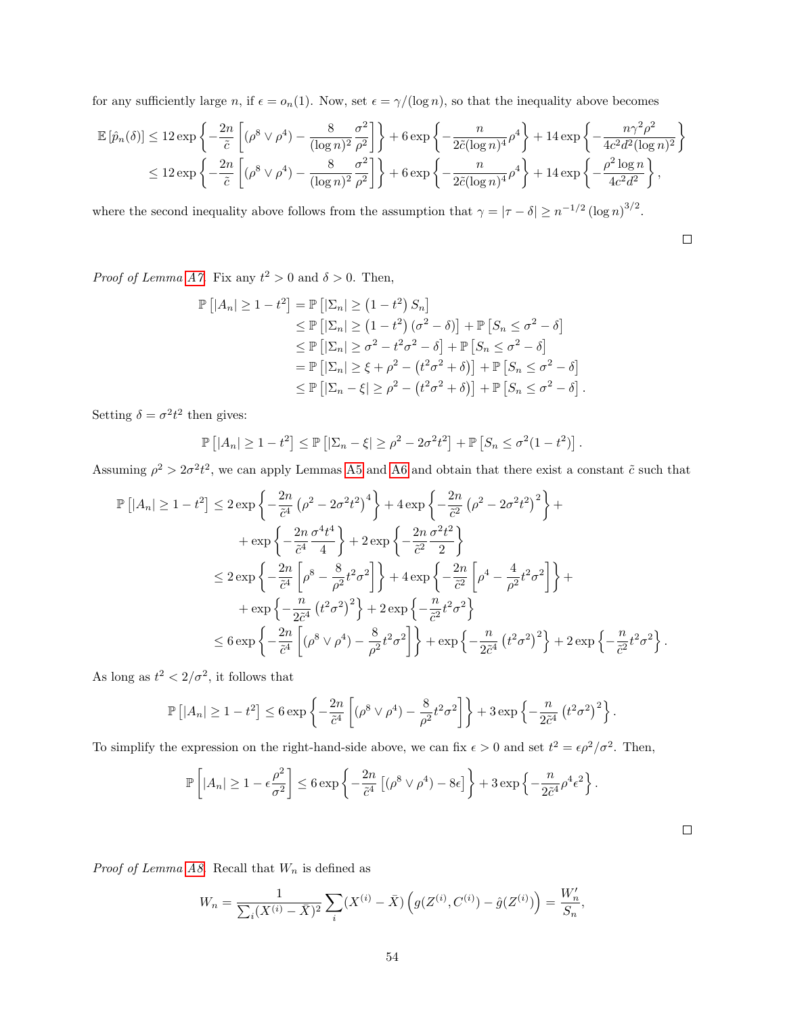for any sufficiently large n, if  $\epsilon = o_n(1)$ . Now, set  $\epsilon = \gamma/(\log n)$ , so that the inequality above becomes

$$
\mathbb{E}\left[\hat{p}_n(\delta)\right] \le 12 \exp\left\{-\frac{2n}{\tilde{c}}\left[(\rho^8 \vee \rho^4) - \frac{8}{(\log n)^2} \frac{\sigma^2}{\rho^2}\right]\right\} + 6 \exp\left\{-\frac{n}{2\tilde{c}(\log n)^4} \rho^4\right\} + 14 \exp\left\{-\frac{n\gamma^2 \rho^2}{4c^2 d^2 (\log n)^2}\right\}
$$
  

$$
\le 12 \exp\left\{-\frac{2n}{\tilde{c}}\left[(\rho^8 \vee \rho^4) - \frac{8}{(\log n)^2} \frac{\sigma^2}{\rho^2}\right]\right\} + 6 \exp\left\{-\frac{n}{2\tilde{c}(\log n)^4} \rho^4\right\} + 14 \exp\left\{-\frac{\rho^2 \log n}{4c^2 d^2}\right\},
$$

where the second inequality above follows from the assumption that  $\gamma = |\tau - \delta| \geq n^{-1/2} (\log n)^{3/2}$ .

$$
\qquad \qquad \Box
$$

*Proof of Lemma [A7.](#page-52-0)* Fix any  $t^2 > 0$  and  $\delta > 0$ . Then,

$$
\mathbb{P}\left[|A_n| \ge 1 - t^2\right] = \mathbb{P}\left[|\Sigma_n| \ge \left(1 - t^2\right) S_n\right] \\
\le \mathbb{P}\left[|\Sigma_n| \ge \left(1 - t^2\right) (\sigma^2 - \delta)\right] + \mathbb{P}\left[S_n \le \sigma^2 - \delta\right] \\
\le \mathbb{P}\left[|\Sigma_n| \ge \sigma^2 - t^2 \sigma^2 - \delta\right] + \mathbb{P}\left[S_n \le \sigma^2 - \delta\right] \\
= \mathbb{P}\left[|\Sigma_n| \ge \xi + \rho^2 - \left(t^2 \sigma^2 + \delta\right)\right] + \mathbb{P}\left[S_n \le \sigma^2 - \delta\right] \\
\le \mathbb{P}\left[|\Sigma_n - \xi| \ge \rho^2 - \left(t^2 \sigma^2 + \delta\right)\right] + \mathbb{P}\left[S_n \le \sigma^2 - \delta\right].
$$

Setting  $\delta = \sigma^2 t^2$  then gives:

$$
\mathbb{P}\left[|A_n| \geq 1 - t^2\right] \leq \mathbb{P}\left[|\Sigma_n - \xi| \geq \rho^2 - 2\sigma^2 t^2\right] + \mathbb{P}\left[S_n \leq \sigma^2 (1 - t^2)\right].
$$

Assuming  $\rho^2 > 2\sigma^2 t^2$ , we can apply Lemmas [A5](#page-49-1) and [A6](#page-49-2) and obtain that there exist a constant  $\tilde{c}$  such that

$$
\mathbb{P}\left[|A_n| \ge 1 - t^2\right] \le 2 \exp\left\{-\frac{2n}{\tilde{c}^4} \left(\rho^2 - 2\sigma^2 t^2\right)^4\right\} + 4 \exp\left\{-\frac{2n}{\tilde{c}^2} \left(\rho^2 - 2\sigma^2 t^2\right)^2\right\} + \exp\left\{-\frac{2n}{\tilde{c}^4} \frac{\sigma^4 t^4}{4}\right\} + 2 \exp\left\{-\frac{2n}{\tilde{c}^2} \frac{\sigma^2 t^2}{2}\right\}
$$
  

$$
\le 2 \exp\left\{-\frac{2n}{\tilde{c}^4} \left[\rho^8 - \frac{8}{\rho^2} t^2 \sigma^2\right]\right\} + 4 \exp\left\{-\frac{2n}{\tilde{c}^2} \left[\rho^4 - \frac{4}{\rho^2} t^2 \sigma^2\right]\right\} + \exp\left\{-\frac{n}{2\tilde{c}^4} \left(t^2 \sigma^2\right)^2\right\} + 2 \exp\left\{-\frac{n}{\tilde{c}^2} t^2 \sigma^2\right\}
$$
  

$$
\le 6 \exp\left\{-\frac{2n}{\tilde{c}^4} \left[\left(\rho^8 \vee \rho^4\right) - \frac{8}{\rho^2} t^2 \sigma^2\right]\right\} + \exp\left\{-\frac{n}{2\tilde{c}^4} \left(t^2 \sigma^2\right)^2\right\} + 2 \exp\left\{-\frac{n}{2\tilde{c}^4} \left(t^2 \sigma^2\right)^2\right\} + 2 \exp\left\{-\frac{n}{\tilde{c}^2} t^2 \sigma^2\right\}.
$$

As long as  $t^2 < 2/\sigma^2$ , it follows that

$$
\mathbb{P}\left[|A_n| \geq 1 - t^2\right] \leq 6 \exp\left\{-\frac{2n}{\tilde{c}^4} \left[ (\rho^8 \vee \rho^4) - \frac{8}{\rho^2} t^2 \sigma^2 \right] \right\} + 3 \exp\left\{-\frac{n}{2\tilde{c}^4} \left(t^2 \sigma^2\right)^2\right\}.
$$

To simplify the expression on the right-hand-side above, we can fix  $\epsilon > 0$  and set  $t^2 = \epsilon \rho^2/\sigma^2$ . Then,

$$
\mathbb{P}\left[|A_n| \geq 1 - \epsilon \frac{\rho^2}{\sigma^2}\right] \leq 6 \exp\left\{-\frac{2n}{\tilde{c}^4}\left[ (\rho^8 \vee \rho^4) - 8\epsilon\right] \right\} + 3 \exp\left\{-\frac{n}{2\tilde{c}^4} \rho^4 \epsilon^2\right\}.
$$

 $\Box$ 

*Proof of Lemma [A8.](#page-52-1)* Recall that  $W_n$  is defined as

$$
W_n = \frac{1}{\sum_i (X^{(i)} - \bar{X})^2} \sum_i (X^{(i)} - \bar{X}) \left( g(Z^{(i)}, C^{(i)}) - \hat{g}(Z^{(i)}) \right) = \frac{W'_n}{S_n},
$$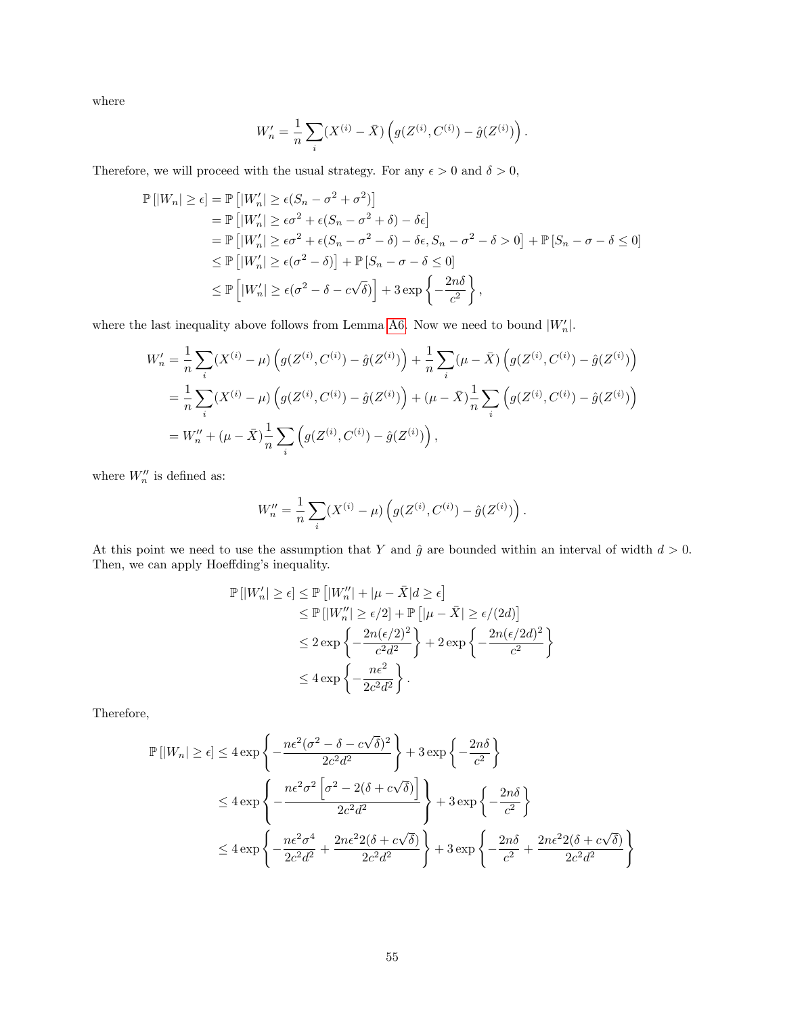where

$$
W'_n = \frac{1}{n} \sum_i (X^{(i)} - \bar{X}) \left( g(Z^{(i)}, C^{(i)}) - \hat{g}(Z^{(i)}) \right).
$$

Therefore, we will proceed with the usual strategy. For any  $\epsilon > 0$  and  $\delta > 0$ ,

$$
\mathbb{P}\left[|W_n| \geq \epsilon\right] = \mathbb{P}\left[|W'_n| \geq \epsilon(S_n - \sigma^2 + \sigma^2)\right]
$$
  
\n
$$
= \mathbb{P}\left[|W'_n| \geq \epsilon\sigma^2 + \epsilon(S_n - \sigma^2 + \delta) - \delta\epsilon\right]
$$
  
\n
$$
= \mathbb{P}\left[|W'_n| \geq \epsilon\sigma^2 + \epsilon(S_n - \sigma^2 - \delta) - \delta\epsilon, S_n - \sigma^2 - \delta > 0\right] + \mathbb{P}\left[S_n - \sigma - \delta \leq 0\right]
$$
  
\n
$$
\leq \mathbb{P}\left[|W'_n| \geq \epsilon(\sigma^2 - \delta)\right] + \mathbb{P}\left[S_n - \sigma - \delta \leq 0\right]
$$
  
\n
$$
\leq \mathbb{P}\left[|W'_n| \geq \epsilon(\sigma^2 - \delta - c\sqrt{\delta})\right] + 3\exp\left\{-\frac{2n\delta}{c^2}\right\},
$$

where the last inequality above follows from Lemma [A6.](#page-49-2) Now we need to bound  $|W'_n|$ .

$$
W'_{n} = \frac{1}{n} \sum_{i} (X^{(i)} - \mu) \left( g(Z^{(i)}, C^{(i)}) - \hat{g}(Z^{(i)}) \right) + \frac{1}{n} \sum_{i} (\mu - \bar{X}) \left( g(Z^{(i)}, C^{(i)}) - \hat{g}(Z^{(i)}) \right)
$$
  

$$
= \frac{1}{n} \sum_{i} (X^{(i)} - \mu) \left( g(Z^{(i)}, C^{(i)}) - \hat{g}(Z^{(i)}) \right) + (\mu - \bar{X}) \frac{1}{n} \sum_{i} \left( g(Z^{(i)}, C^{(i)}) - \hat{g}(Z^{(i)}) \right)
$$
  

$$
= W''_{n} + (\mu - \bar{X}) \frac{1}{n} \sum_{i} \left( g(Z^{(i)}, C^{(i)}) - \hat{g}(Z^{(i)}) \right),
$$

where  $W_n''$  is defined as:

$$
W_n'' = \frac{1}{n} \sum_i (X^{(i)} - \mu) \left( g(Z^{(i)}, C^{(i)}) - \hat{g}(Z^{(i)}) \right).
$$

At this point we need to use the assumption that Y and  $\hat{g}$  are bounded within an interval of width  $d > 0$ . Then, we can apply Hoeffding's inequality.

$$
\mathbb{P}\left[|W'_n| \geq \epsilon\right] \leq \mathbb{P}\left[|W''_n| + |\mu - \bar{X}|d \geq \epsilon\right] \\
\leq \mathbb{P}\left[|W''_n| \geq \epsilon/2\right] + \mathbb{P}\left[|\mu - \bar{X}| \geq \epsilon/(2d)\right] \\
\leq 2 \exp\left\{-\frac{2n(\epsilon/2)^2}{c^2d^2}\right\} + 2 \exp\left\{-\frac{2n(\epsilon/2d)^2}{c^2}\right\} \\
\leq 4 \exp\left\{-\frac{n\epsilon^2}{2c^2d^2}\right\}.
$$

Therefore,

$$
\mathbb{P}\left[|W_n| \ge \epsilon\right] \le 4 \exp\left\{-\frac{n\epsilon^2(\sigma^2 - \delta - c\sqrt{\delta})^2}{2c^2d^2}\right\} + 3 \exp\left\{-\frac{2n\delta}{c^2}\right\}
$$
  

$$
\le 4 \exp\left\{-\frac{n\epsilon^2\sigma^2\left[\sigma^2 - 2(\delta + c\sqrt{\delta})\right]}{2c^2d^2}\right\} + 3 \exp\left\{-\frac{2n\delta}{c^2}\right\}
$$
  

$$
\le 4 \exp\left\{-\frac{n\epsilon^2\sigma^4}{2c^2d^2} + \frac{2n\epsilon^22(\delta + c\sqrt{\delta})}{2c^2d^2}\right\} + 3 \exp\left\{-\frac{2n\delta}{c^2} + \frac{2n\epsilon^22(\delta + c\sqrt{\delta})}{2c^2d^2}\right\}
$$